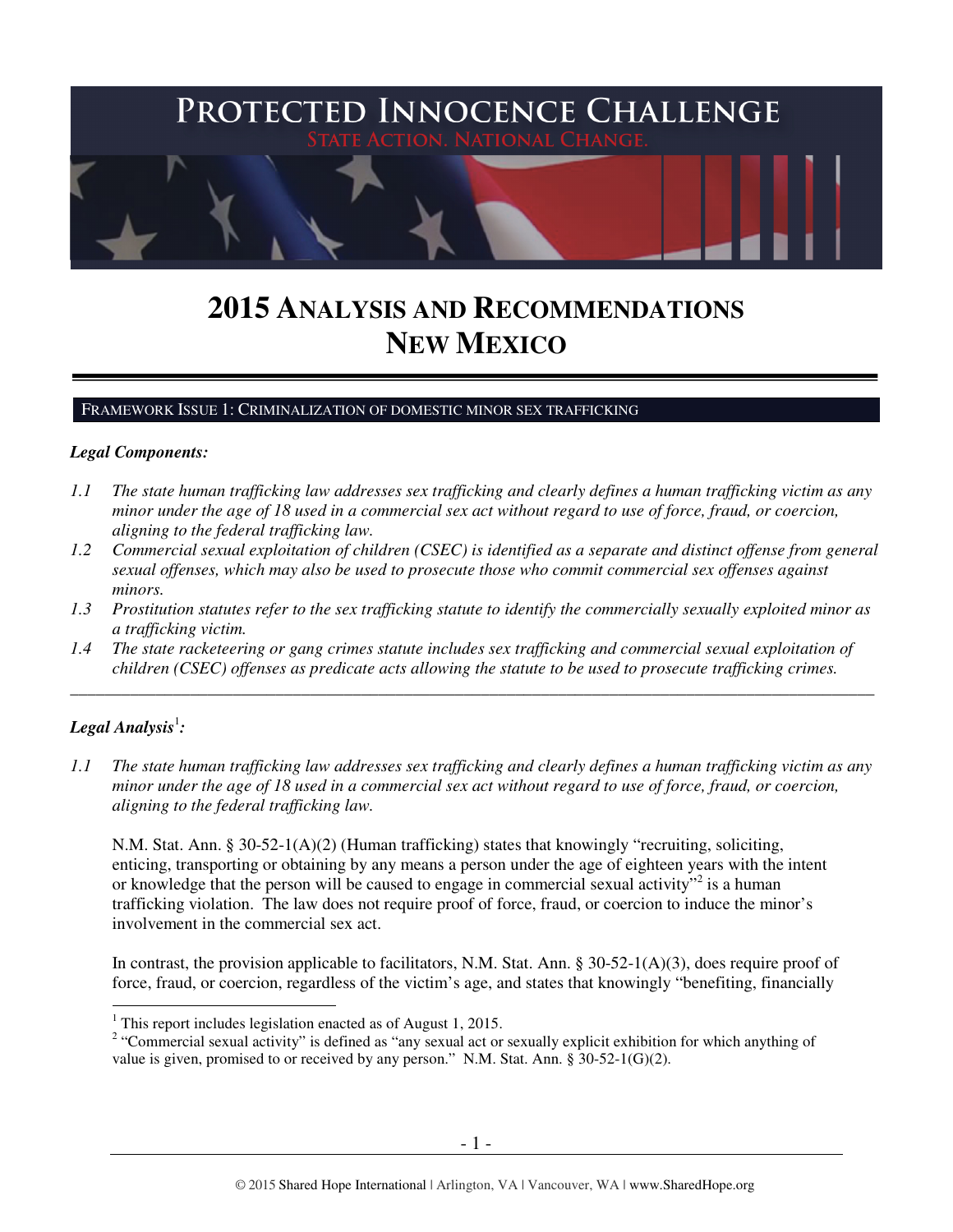

# **2015 ANALYSIS AND RECOMMENDATIONS NEW MEXICO**

#### FRAMEWORK ISSUE 1: CRIMINALIZATION OF DOMESTIC MINOR SEX TRAFFICKING

#### *Legal Components:*

- *1.1 The state human trafficking law addresses sex trafficking and clearly defines a human trafficking victim as any minor under the age of 18 used in a commercial sex act without regard to use of force, fraud, or coercion, aligning to the federal trafficking law.*
- *1.2 Commercial sexual exploitation of children (CSEC) is identified as a separate and distinct offense from general sexual offenses, which may also be used to prosecute those who commit commercial sex offenses against minors.*
- *1.3 Prostitution statutes refer to the sex trafficking statute to identify the commercially sexually exploited minor as a trafficking victim.*
- *1.4 The state racketeering or gang crimes statute includes sex trafficking and commercial sexual exploitation of children (CSEC) offenses as predicate acts allowing the statute to be used to prosecute trafficking crimes.*

\_\_\_\_\_\_\_\_\_\_\_\_\_\_\_\_\_\_\_\_\_\_\_\_\_\_\_\_\_\_\_\_\_\_\_\_\_\_\_\_\_\_\_\_\_\_\_\_\_\_\_\_\_\_\_\_\_\_\_\_\_\_\_\_\_\_\_\_\_\_\_\_\_\_\_\_\_\_\_\_\_\_\_\_\_\_\_\_\_\_\_\_\_\_

## $\bm{L}$ egal Analysis $^{\rm l}$ :

 $\overline{a}$ 

*1.1 The state human trafficking law addresses sex trafficking and clearly defines a human trafficking victim as any minor under the age of 18 used in a commercial sex act without regard to use of force, fraud, or coercion, aligning to the federal trafficking law.*

N.M. Stat. Ann. § 30-52-1(A)(2) (Human trafficking) states that knowingly "recruiting, soliciting, enticing, transporting or obtaining by any means a person under the age of eighteen years with the intent or knowledge that the person will be caused to engage in commercial sexual activity"<sup>2</sup> is a human trafficking violation. The law does not require proof of force, fraud, or coercion to induce the minor's involvement in the commercial sex act.

In contrast, the provision applicable to facilitators, N.M. Stat. Ann. § 30-52-1(A)(3), does require proof of force, fraud, or coercion, regardless of the victim's age, and states that knowingly "benefiting, financially

 $<sup>1</sup>$  This report includes legislation enacted as of August 1, 2015.</sup>

<sup>&</sup>lt;sup>2</sup> "Commercial sexual activity" is defined as "any sexual act or sexually explicit exhibition for which anything of value is given, promised to or received by any person." N.M. Stat. Ann. § 30-52-1(G)(2).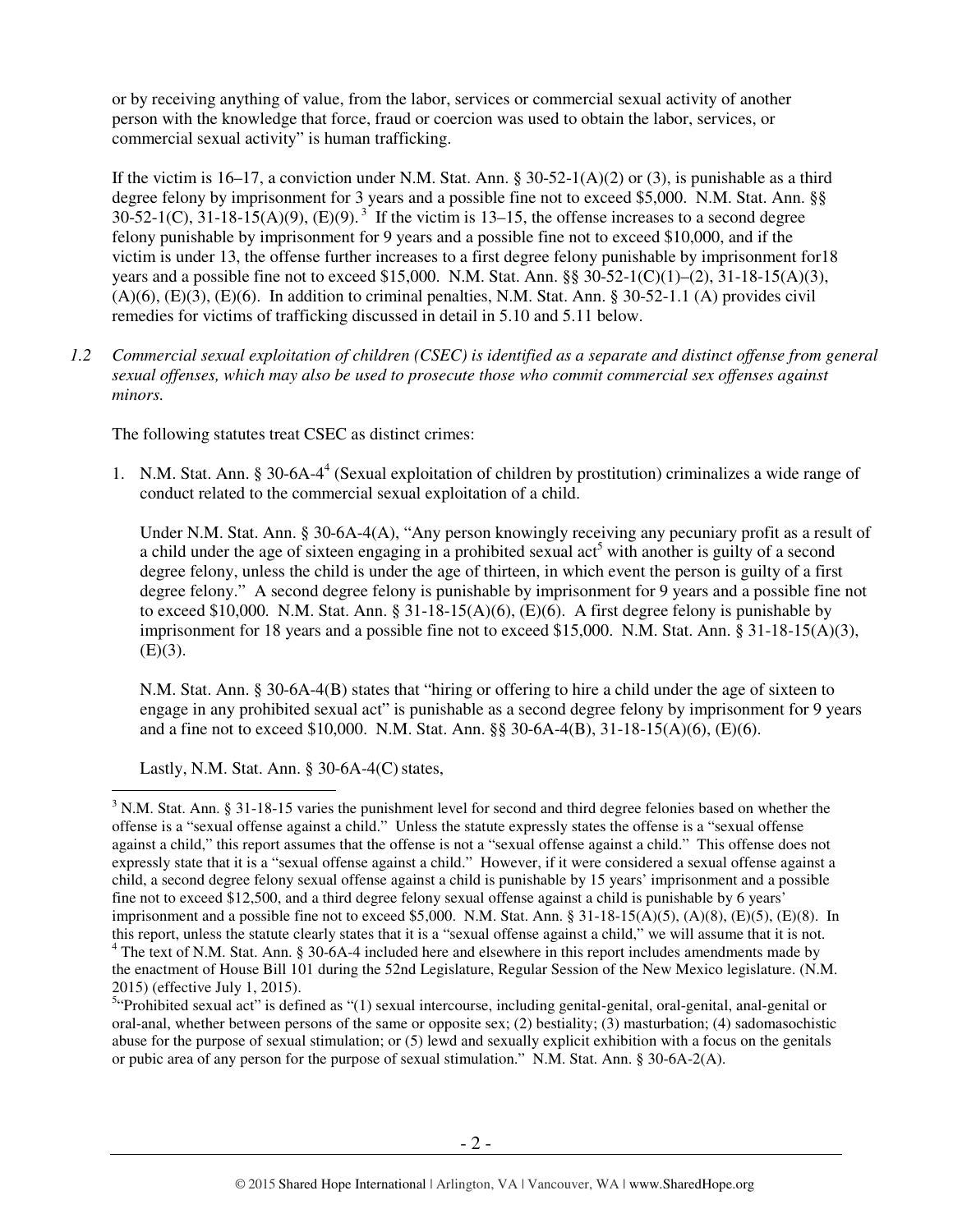or by receiving anything of value, from the labor, services or commercial sexual activity of another person with the knowledge that force, fraud or coercion was used to obtain the labor, services, or commercial sexual activity" is human trafficking.

If the victim is 16–17, a conviction under N.M. Stat. Ann. § 30-52-1(A)(2) or (3), is punishable as a third degree felony by imprisonment for 3 years and a possible fine not to exceed \$5,000. N.M. Stat. Ann. §§  $30-52-1(C)$ ,  $31-18-15(A)(9)$ ,  $(E)(9)$ .<sup>3</sup> If the victim is 13–15, the offense increases to a second degree felony punishable by imprisonment for 9 years and a possible fine not to exceed \$10,000, and if the victim is under 13, the offense further increases to a first degree felony punishable by imprisonment for18 years and a possible fine not to exceed \$15,000. N.M. Stat. Ann. §§ 30-52-1(C)(1)–(2), 31-18-15(A)(3),  $(A)(6)$ ,  $(E)(3)$ ,  $(E)(6)$ . In addition to criminal penalties, N.M. Stat. Ann. § 30-52-1.1 (A) provides civil remedies for victims of trafficking discussed in detail in 5.10 and 5.11 below.

*1.2 Commercial sexual exploitation of children (CSEC) is identified as a separate and distinct offense from general sexual offenses, which may also be used to prosecute those who commit commercial sex offenses against minors.*

The following statutes treat CSEC as distinct crimes:

1. N.M. Stat. Ann. § 30-6A-4<sup>4</sup> (Sexual exploitation of children by prostitution) criminalizes a wide range of conduct related to the commercial sexual exploitation of a child.

Under N.M. Stat. Ann. § 30-6A-4(A), "Any person knowingly receiving any pecuniary profit as a result of a child under the age of sixteen engaging in a prohibited sexual act<sup>5</sup> with another is guilty of a second degree felony, unless the child is under the age of thirteen, in which event the person is guilty of a first degree felony." A second degree felony is punishable by imprisonment for 9 years and a possible fine not to exceed \$10,000. N.M. Stat. Ann.  $\S 31-18-15(A)(6)$ , (E)(6). A first degree felony is punishable by imprisonment for 18 years and a possible fine not to exceed \$15,000. N.M. Stat. Ann. § 31-18-15(A)(3),  $(E)(3)$ .

N.M. Stat. Ann. § 30-6A-4(B) states that "hiring or offering to hire a child under the age of sixteen to engage in any prohibited sexual act" is punishable as a second degree felony by imprisonment for 9 years and a fine not to exceed \$10,000. N.M. Stat. Ann. §§ 30-6A-4(B), 31-18-15(A)(6), (E)(6).

Lastly, N.M. Stat. Ann.  $\S$  30-6A-4(C) states,

 $3$  N.M. Stat. Ann. § 31-18-15 varies the punishment level for second and third degree felonies based on whether the offense is a "sexual offense against a child." Unless the statute expressly states the offense is a "sexual offense against a child," this report assumes that the offense is not a "sexual offense against a child." This offense does not expressly state that it is a "sexual offense against a child." However, if it were considered a sexual offense against a child, a second degree felony sexual offense against a child is punishable by 15 years' imprisonment and a possible fine not to exceed \$12,500, and a third degree felony sexual offense against a child is punishable by 6 years' imprisonment and a possible fine not to exceed \$5,000. N.M. Stat. Ann. § 31-18-15(A)(5), (A)(8), (E)(5), (E)(8). In this report, unless the statute clearly states that it is a "sexual offense against a child," we will assume that it is not.

<sup>&</sup>lt;sup>4</sup> The text of N.M. Stat. Ann. § 30-6A-4 included here and elsewhere in this report includes amendments made by the enactment of House Bill 101 during the 52nd Legislature, Regular Session of the New Mexico legislature. (N.M. 2015) (effective July 1, 2015).

<sup>&</sup>lt;sup>5</sup>"Prohibited sexual act" is defined as "(1) sexual intercourse, including genital-genital, oral-genital, anal-genital or oral-anal, whether between persons of the same or opposite sex; (2) bestiality; (3) masturbation; (4) sadomasochistic abuse for the purpose of sexual stimulation; or (5) lewd and sexually explicit exhibition with a focus on the genitals or pubic area of any person for the purpose of sexual stimulation." N.M. Stat. Ann. § 30-6A-2(A).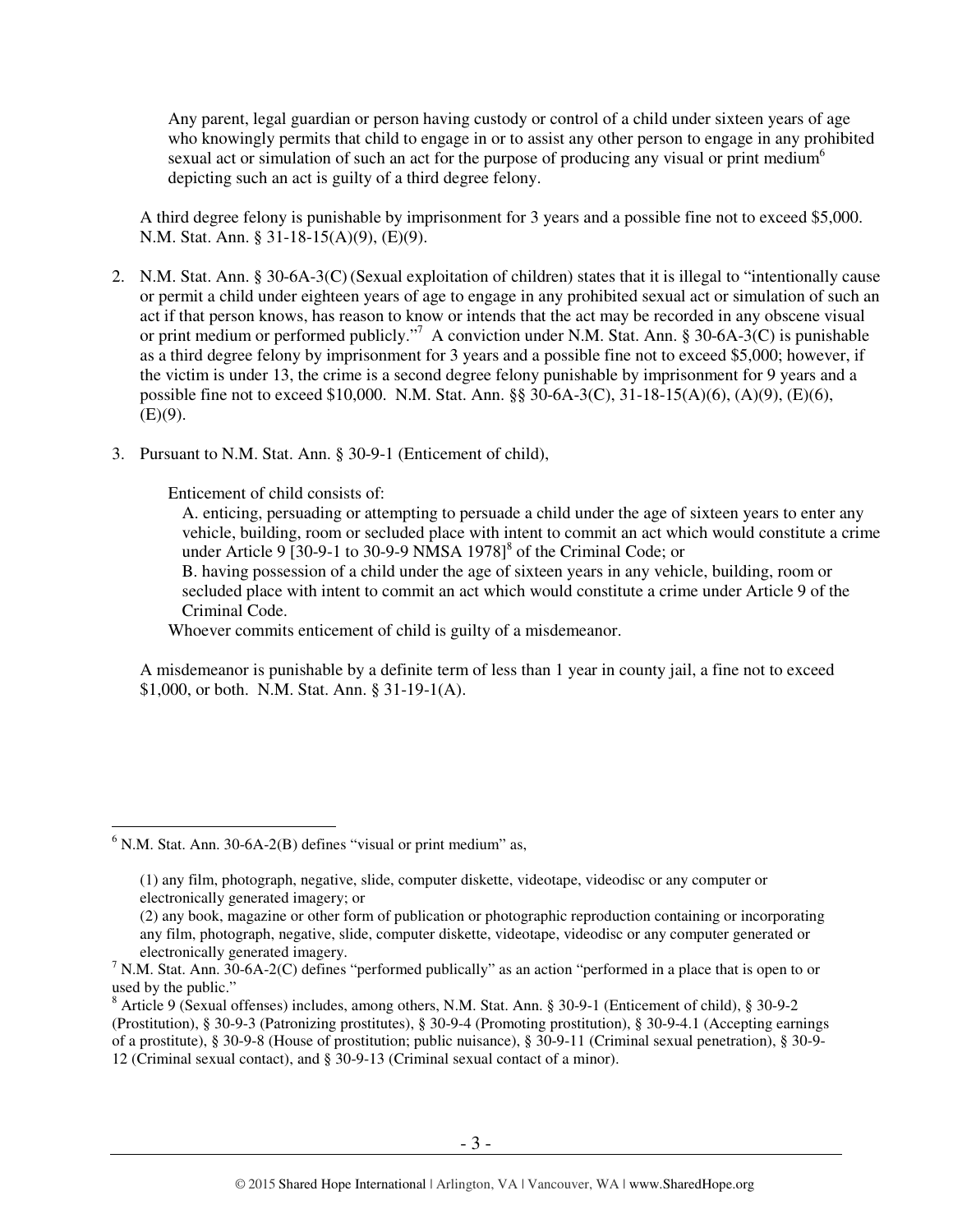Any parent, legal guardian or person having custody or control of a child under sixteen years of age who knowingly permits that child to engage in or to assist any other person to engage in any prohibited sexual act or simulation of such an act for the purpose of producing any visual or print medium<sup>6</sup> depicting such an act is guilty of a third degree felony.

A third degree felony is punishable by imprisonment for 3 years and a possible fine not to exceed \$5,000. N.M. Stat. Ann. § 31-18-15(A)(9), (E)(9).

- 2. N.M. Stat. Ann. § 30-6A-3(C) (Sexual exploitation of children) states that it is illegal to "intentionally cause or permit a child under eighteen years of age to engage in any prohibited sexual act or simulation of such an act if that person knows, has reason to know or intends that the act may be recorded in any obscene visual or print medium or performed publicly."<sup>7</sup> A conviction under N.M. Stat. Ann. § 30-6A-3(C) is punishable as a third degree felony by imprisonment for 3 years and a possible fine not to exceed \$5,000; however, if the victim is under 13, the crime is a second degree felony punishable by imprisonment for 9 years and a possible fine not to exceed \$10,000. N.M. Stat. Ann. §§ 30-6A-3(C), 31-18-15(A)(6), (A)(9), (E)(6),  $(E)(9)$ .
- 3. Pursuant to N.M. Stat. Ann. § 30-9-1 (Enticement of child),

Enticement of child consists of:

A. enticing, persuading or attempting to persuade a child under the age of sixteen years to enter any vehicle, building, room or secluded place with intent to commit an act which would constitute a crime under Article 9 [30-9-1 to 30-9-9 NMSA  $1978$ ]<sup>8</sup> of the Criminal Code; or

B. having possession of a child under the age of sixteen years in any vehicle, building, room or secluded place with intent to commit an act which would constitute a crime under Article 9 of the Criminal Code.

Whoever commits enticement of child is guilty of a misdemeanor.

A misdemeanor is punishable by a definite term of less than 1 year in county jail, a fine not to exceed \$1,000, or both. N.M. Stat. Ann. § 31-19-1(A).

 $6$  N.M. Stat. Ann. 30-6A-2(B) defines "visual or print medium" as,

<sup>(1)</sup> any film, photograph, negative, slide, computer diskette, videotape, videodisc or any computer or electronically generated imagery; or

<sup>(2)</sup> any book, magazine or other form of publication or photographic reproduction containing or incorporating any film, photograph, negative, slide, computer diskette, videotape, videodisc or any computer generated or electronically generated imagery.

<sup>&</sup>lt;sup>7</sup> N.M. Stat. Ann. 30-6A-2(C) defines "performed publically" as an action "performed in a place that is open to or used by the public."

<sup>8</sup> Article 9 (Sexual offenses) includes, among others, N.M. Stat. Ann. § 30-9-1 (Enticement of child), § 30-9-2 (Prostitution), § 30-9-3 (Patronizing prostitutes), § 30-9-4 (Promoting prostitution), § 30-9-4.1 (Accepting earnings of a prostitute), § 30-9-8 (House of prostitution; public nuisance), § 30-9-11 (Criminal sexual penetration), § 30-9- 12 (Criminal sexual contact), and § 30-9-13 (Criminal sexual contact of a minor).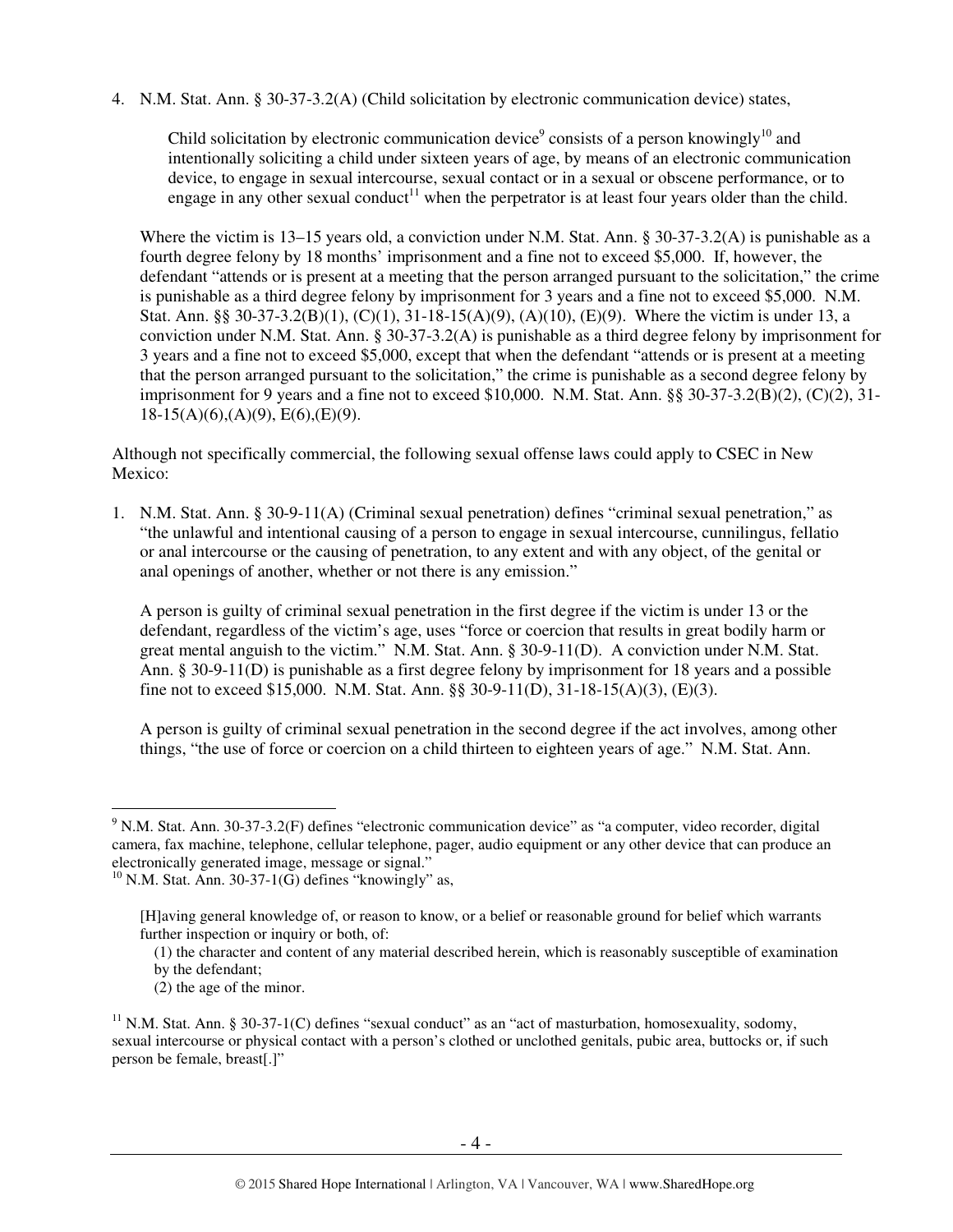4. N.M. Stat. Ann. § 30-37-3.2(A) (Child solicitation by electronic communication device) states,

Child solicitation by electronic communication device<sup>9</sup> consists of a person knowingly<sup>10</sup> and intentionally soliciting a child under sixteen years of age, by means of an electronic communication device, to engage in sexual intercourse, sexual contact or in a sexual or obscene performance, or to engage in any other sexual conduct<sup>11</sup> when the perpetrator is at least four years older than the child.

Where the victim is 13–15 years old, a conviction under N.M. Stat. Ann. § 30-37-3.2(A) is punishable as a fourth degree felony by 18 months' imprisonment and a fine not to exceed \$5,000. If, however, the defendant "attends or is present at a meeting that the person arranged pursuant to the solicitation," the crime is punishable as a third degree felony by imprisonment for 3 years and a fine not to exceed \$5,000. N.M. Stat. Ann. §§ 30-37-3.2(B)(1), (C)(1), 31-18-15(A)(9), (A)(10), (E)(9). Where the victim is under 13, a conviction under N.M. Stat. Ann. § 30-37-3.2(A) is punishable as a third degree felony by imprisonment for 3 years and a fine not to exceed \$5,000, except that when the defendant "attends or is present at a meeting that the person arranged pursuant to the solicitation," the crime is punishable as a second degree felony by imprisonment for 9 years and a fine not to exceed \$10,000. N.M. Stat. Ann. §§ 30-37-3.2(B)(2), (C)(2), 31- $18-15(A)(6)$ ,  $(A)(9)$ ,  $E(6)$ ,  $(E)(9)$ .

Although not specifically commercial, the following sexual offense laws could apply to CSEC in New Mexico:

1. N.M. Stat. Ann. § 30-9-11(A) (Criminal sexual penetration) defines "criminal sexual penetration," as "the unlawful and intentional causing of a person to engage in sexual intercourse, cunnilingus, fellatio or anal intercourse or the causing of penetration, to any extent and with any object, of the genital or anal openings of another, whether or not there is any emission."

A person is guilty of criminal sexual penetration in the first degree if the victim is under 13 or the defendant, regardless of the victim's age, uses "force or coercion that results in great bodily harm or great mental anguish to the victim." N.M. Stat. Ann. § 30-9-11(D). A conviction under N.M. Stat. Ann. § 30-9-11(D) is punishable as a first degree felony by imprisonment for 18 years and a possible fine not to exceed \$15,000. N.M. Stat. Ann. §§ 30-9-11(D), 31-18-15(A)(3), (E)(3).

A person is guilty of criminal sexual penetration in the second degree if the act involves, among other things, "the use of force or coercion on a child thirteen to eighteen years of age." N.M. Stat. Ann.

- (1) the character and content of any material described herein, which is reasonably susceptible of examination by the defendant;
- (2) the age of the minor.

<sup>&</sup>lt;sup>9</sup> N.M. Stat. Ann. 30-37-3.2(F) defines "electronic communication device" as "a computer, video recorder, digital camera, fax machine, telephone, cellular telephone, pager, audio equipment or any other device that can produce an electronically generated image, message or signal."

 $10$  N.M. Stat. Ann. 30-37-1(G) defines "knowingly" as,

<sup>[</sup>H]aving general knowledge of, or reason to know, or a belief or reasonable ground for belief which warrants further inspection or inquiry or both, of:

 $11$  N.M. Stat. Ann. § 30-37-1(C) defines "sexual conduct" as an "act of masturbation, homosexuality, sodomy, sexual intercourse or physical contact with a person's clothed or unclothed genitals, pubic area, buttocks or, if such person be female, breast[.]"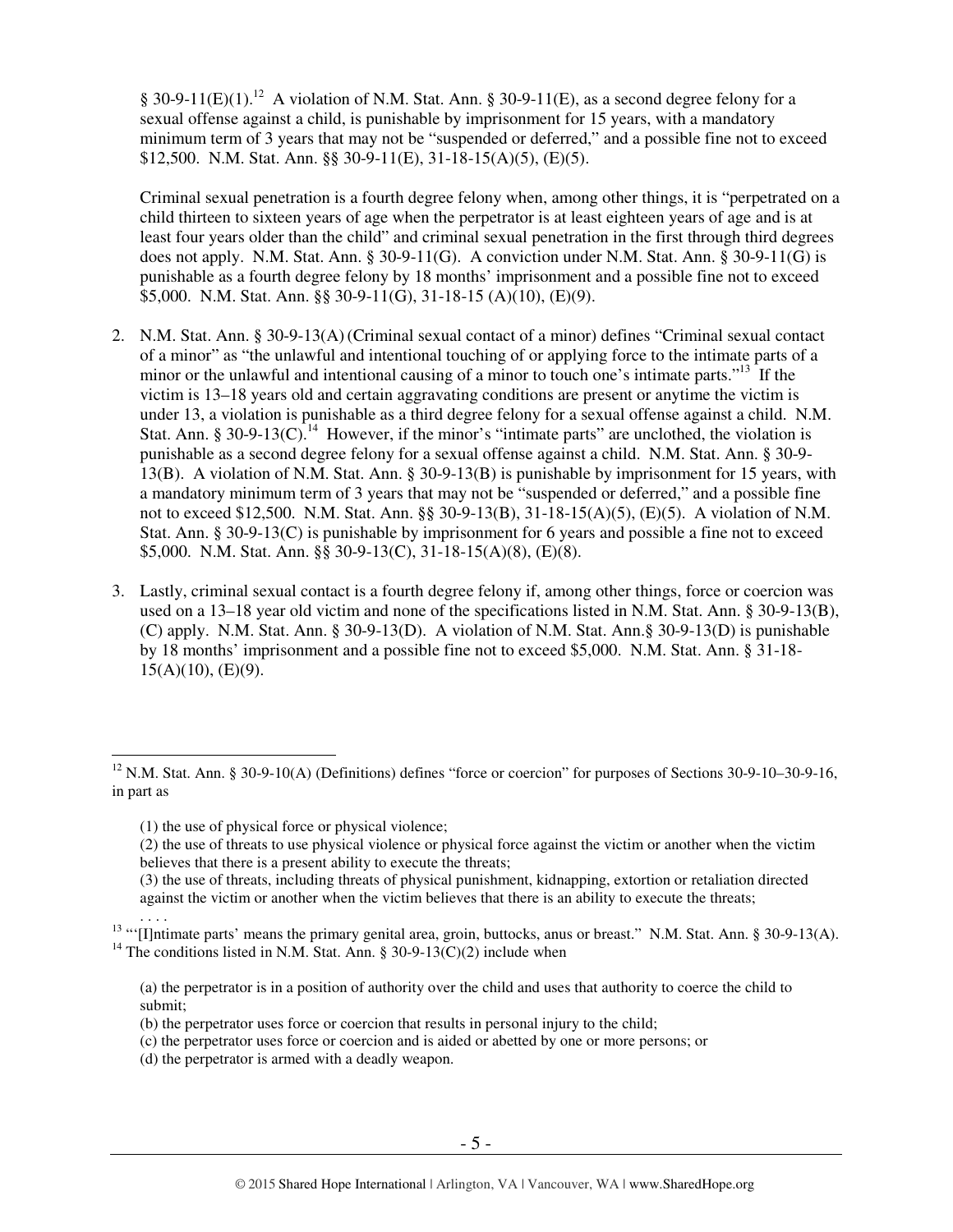§ 30-9-11(E)(1).<sup>12</sup> A violation of N.M. Stat. Ann. § 30-9-11(E), as a second degree felony for a sexual offense against a child, is punishable by imprisonment for 15 years, with a mandatory minimum term of 3 years that may not be "suspended or deferred," and a possible fine not to exceed \$12,500. N.M. Stat. Ann. §§ 30-9-11(E), 31-18-15(A)(5), (E)(5).

Criminal sexual penetration is a fourth degree felony when, among other things, it is "perpetrated on a child thirteen to sixteen years of age when the perpetrator is at least eighteen years of age and is at least four years older than the child" and criminal sexual penetration in the first through third degrees does not apply. N.M. Stat. Ann. § 30-9-11(G). A conviction under N.M. Stat. Ann. § 30-9-11(G) is punishable as a fourth degree felony by 18 months' imprisonment and a possible fine not to exceed \$5,000. N.M. Stat. Ann. §§ 30-9-11(G), 31-18-15 (A)(10), (E)(9).

- 2. N.M. Stat. Ann. § 30-9-13(A) (Criminal sexual contact of a minor) defines "Criminal sexual contact of a minor" as "the unlawful and intentional touching of or applying force to the intimate parts of a minor or the unlawful and intentional causing of a minor to touch one's intimate parts."<sup>13</sup> If the victim is 13–18 years old and certain aggravating conditions are present or anytime the victim is under 13, a violation is punishable as a third degree felony for a sexual offense against a child. N.M. Stat. Ann. § 30-9-13(C).<sup>14</sup> However, if the minor's "intimate parts" are unclothed, the violation is punishable as a second degree felony for a sexual offense against a child. N.M. Stat. Ann. § 30-9- 13(B). A violation of N.M. Stat. Ann. § 30-9-13(B) is punishable by imprisonment for 15 years, with a mandatory minimum term of 3 years that may not be "suspended or deferred," and a possible fine not to exceed \$12,500. N.M. Stat. Ann. §§ 30-9-13(B), 31-18-15(A)(5), (E)(5). A violation of N.M. Stat. Ann. § 30-9-13(C) is punishable by imprisonment for 6 years and possible a fine not to exceed \$5,000. N.M. Stat. Ann. §§ 30-9-13(C), 31-18-15(A)(8), (E)(8).
- 3. Lastly, criminal sexual contact is a fourth degree felony if, among other things, force or coercion was used on a 13–18 year old victim and none of the specifications listed in N.M. Stat. Ann. § 30-9-13(B), (C) apply. N.M. Stat. Ann. § 30-9-13(D). A violation of N.M. Stat. Ann.§ 30-9-13(D) is punishable by 18 months' imprisonment and a possible fine not to exceed \$5,000. N.M. Stat. Ann. § 31-18-  $15(A)(10)$ , (E)(9).

(1) the use of physical force or physical violence;

- (2) the use of threats to use physical violence or physical force against the victim or another when the victim believes that there is a present ability to execute the threats;
- (3) the use of threats, including threats of physical punishment, kidnapping, extortion or retaliation directed against the victim or another when the victim believes that there is an ability to execute the threats;
- . . . . <sup>13</sup> "'[I]ntimate parts' means the primary genital area, groin, buttocks, anus or breast." N.M. Stat. Ann. § 30-9-13(A). <sup>14</sup> The conditions listed in N.M. Stat. Ann. § 30-9-13(C)(2) include when
	- (a) the perpetrator is in a position of authority over the child and uses that authority to coerce the child to submit;
	- (b) the perpetrator uses force or coercion that results in personal injury to the child;
	- (c) the perpetrator uses force or coercion and is aided or abetted by one or more persons; or
	- (d) the perpetrator is armed with a deadly weapon.

<sup>&</sup>lt;sup>12</sup> N.M. Stat. Ann. § 30-9-10(A) (Definitions) defines "force or coercion" for purposes of Sections 30-9-10–30-9-16, in part as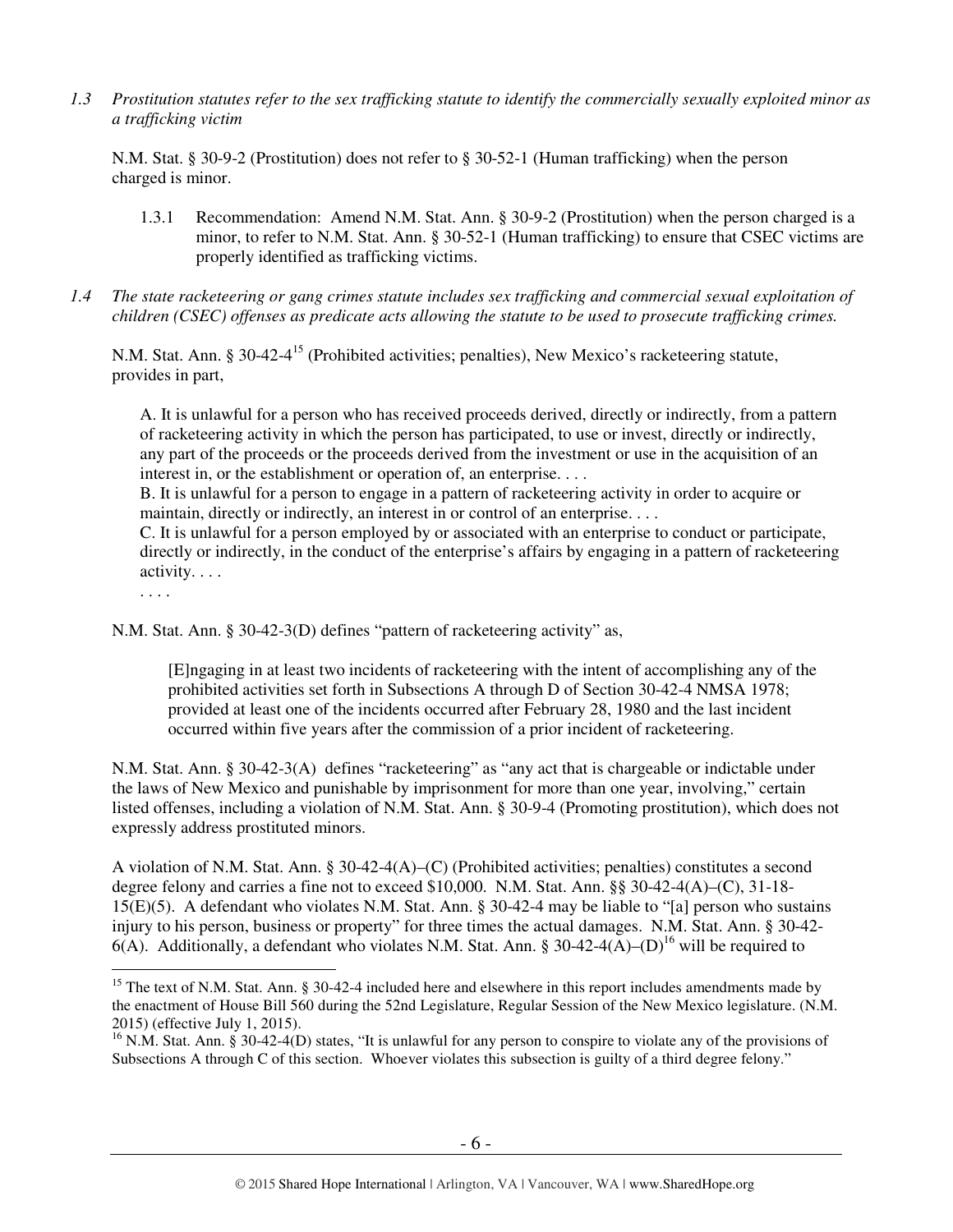*1.3 Prostitution statutes refer to the sex trafficking statute to identify the commercially sexually exploited minor as a trafficking victim* 

N.M. Stat. § 30-9-2 (Prostitution) does not refer to § 30-52-1 (Human trafficking) when the person charged is minor.

- 1.3.1 Recommendation: Amend N.M. Stat. Ann. § 30-9-2 (Prostitution) when the person charged is a minor, to refer to N.M. Stat. Ann. § 30-52-1 (Human trafficking) to ensure that CSEC victims are properly identified as trafficking victims.
- *1.4 The state racketeering or gang crimes statute includes sex trafficking and commercial sexual exploitation of children (CSEC) offenses as predicate acts allowing the statute to be used to prosecute trafficking crimes.*

N.M. Stat. Ann. § 30-42-4<sup>15</sup> (Prohibited activities; penalties), New Mexico's racketeering statute, provides in part,

A. It is unlawful for a person who has received proceeds derived, directly or indirectly, from a pattern of racketeering activity in which the person has participated, to use or invest, directly or indirectly, any part of the proceeds or the proceeds derived from the investment or use in the acquisition of an interest in, or the establishment or operation of, an enterprise. . . .

B. It is unlawful for a person to engage in a pattern of racketeering activity in order to acquire or maintain, directly or indirectly, an interest in or control of an enterprise. . . .

C. It is unlawful for a person employed by or associated with an enterprise to conduct or participate, directly or indirectly, in the conduct of the enterprise's affairs by engaging in a pattern of racketeering activity. . . .

. . . .

N.M. Stat. Ann. § 30-42-3(D) defines "pattern of racketeering activity" as,

[E]ngaging in at least two incidents of racketeering with the intent of accomplishing any of the prohibited activities set forth in Subsections A through D of Section 30-42-4 NMSA 1978; provided at least one of the incidents occurred after February 28, 1980 and the last incident occurred within five years after the commission of a prior incident of racketeering.

N.M. Stat. Ann. § 30-42-3(A) defines "racketeering" as "any act that is chargeable or indictable under the laws of New Mexico and punishable by imprisonment for more than one year, involving," certain listed offenses, including a violation of N.M. Stat. Ann. § 30-9-4 (Promoting prostitution), which does not expressly address prostituted minors.

A violation of N.M. Stat. Ann. § 30-42-4(A)–(C) (Prohibited activities; penalties) constitutes a second degree felony and carries a fine not to exceed \$10,000. N.M. Stat. Ann. §§ 30-42-4(A)–(C), 31-18- 15(E)(5). A defendant who violates N.M. Stat. Ann. § 30-42-4 may be liable to "[a] person who sustains injury to his person, business or property" for three times the actual damages. N.M. Stat. Ann. § 30-42- 6(A). Additionally, a defendant who violates N.M. Stat. Ann. § 30-42-4(A)–(D)<sup>16</sup> will be required to

 $\overline{a}$ <sup>15</sup> The text of N.M. Stat. Ann. § 30-42-4 included here and elsewhere in this report includes amendments made by the enactment of House Bill 560 during the 52nd Legislature, Regular Session of the New Mexico legislature. (N.M. 2015) (effective July 1, 2015).

 $^{16}$  N.M. Stat. Ann. § 30-42-4(D) states, "It is unlawful for any person to conspire to violate any of the provisions of Subsections A through C of this section. Whoever violates this subsection is guilty of a third degree felony."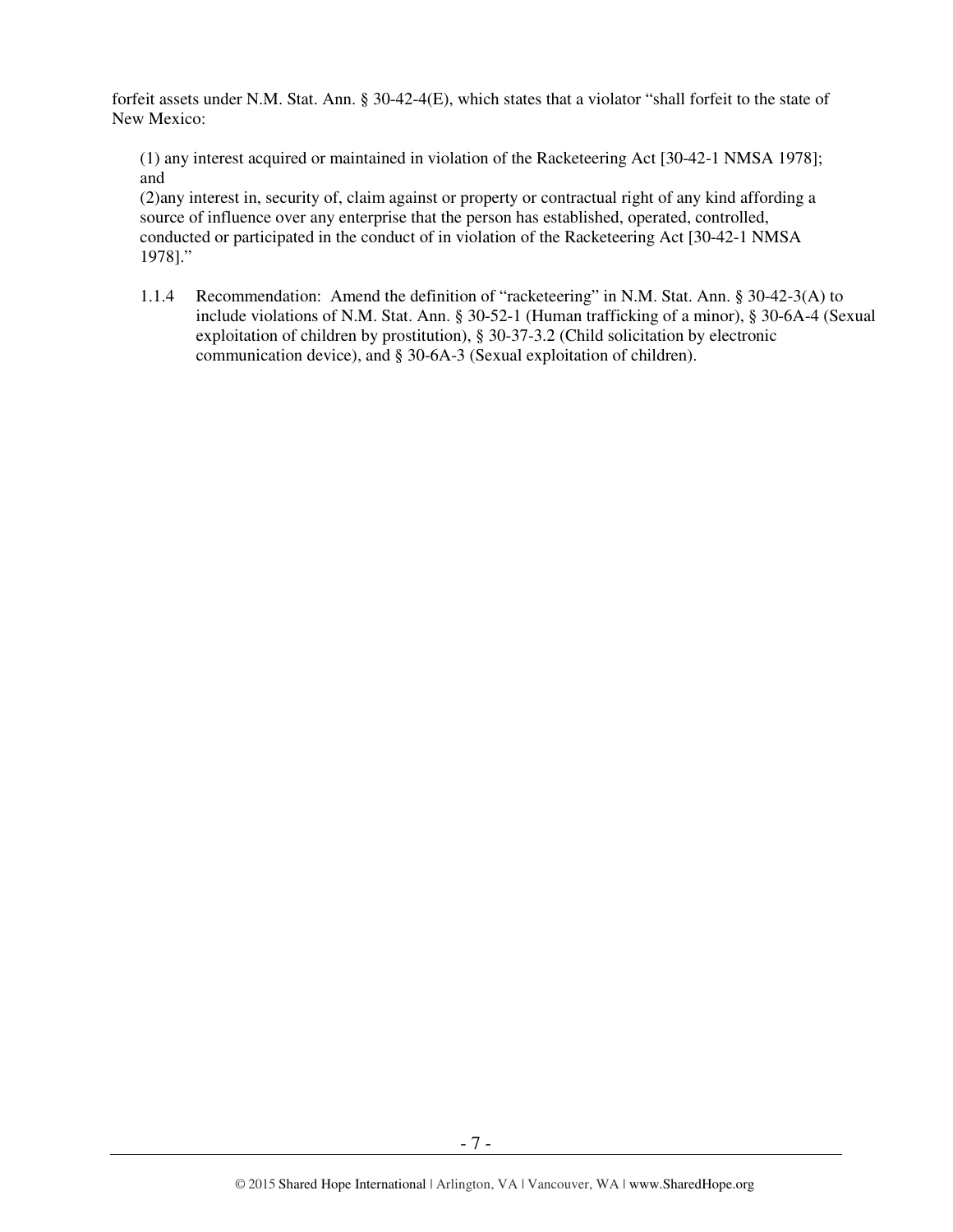forfeit assets under N.M. Stat. Ann. § 30-42-4(E), which states that a violator "shall forfeit to the state of New Mexico:

(1) any interest acquired or maintained in violation of the Racketeering Act [30-42-1 NMSA 1978]; and

(2)any interest in, security of, claim against or property or contractual right of any kind affording a source of influence over any enterprise that the person has established, operated, controlled, conducted or participated in the conduct of in violation of the Racketeering Act [30-42-1 NMSA 1978]."

1.1.4 Recommendation: Amend the definition of "racketeering" in N.M. Stat. Ann. § 30-42-3(A) to include violations of N.M. Stat. Ann. § 30-52-1 (Human trafficking of a minor), § 30-6A-4 (Sexual exploitation of children by prostitution), § 30-37-3.2 (Child solicitation by electronic communication device), and § 30-6A-3 (Sexual exploitation of children).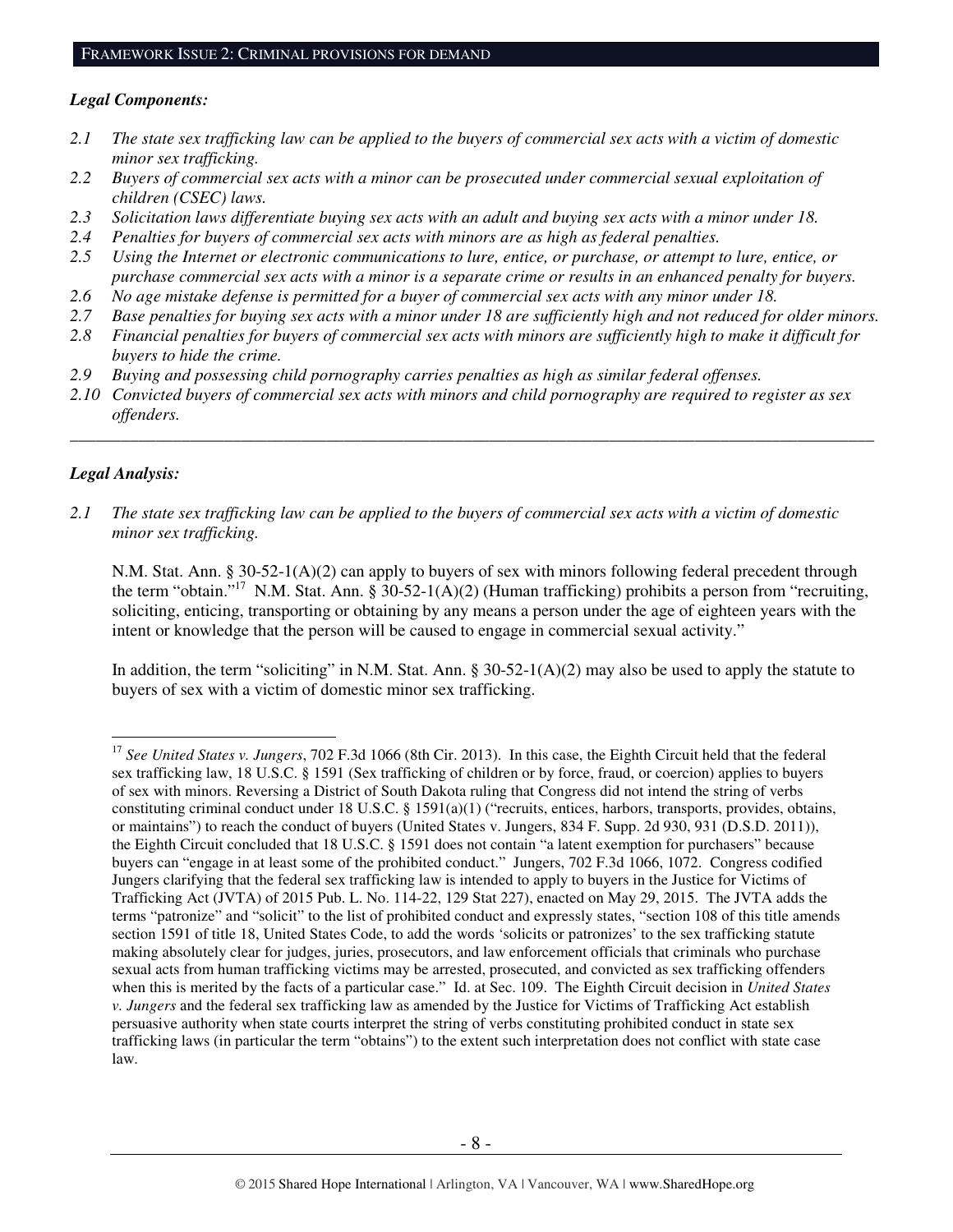#### *Legal Components:*

- *2.1 The state sex trafficking law can be applied to the buyers of commercial sex acts with a victim of domestic minor sex trafficking.*
- *2.2 Buyers of commercial sex acts with a minor can be prosecuted under commercial sexual exploitation of children (CSEC) laws.*
- *2.3 Solicitation laws differentiate buying sex acts with an adult and buying sex acts with a minor under 18.*
- *2.4 Penalties for buyers of commercial sex acts with minors are as high as federal penalties.*
- *2.5 Using the Internet or electronic communications to lure, entice, or purchase, or attempt to lure, entice, or purchase commercial sex acts with a minor is a separate crime or results in an enhanced penalty for buyers.*
- *2.6 No age mistake defense is permitted for a buyer of commercial sex acts with any minor under 18.*
- *2.7 Base penalties for buying sex acts with a minor under 18 are sufficiently high and not reduced for older minors.*
- *2.8 Financial penalties for buyers of commercial sex acts with minors are sufficiently high to make it difficult for buyers to hide the crime.*
- *2.9 Buying and possessing child pornography carries penalties as high as similar federal offenses.*
- *2.10 Convicted buyers of commercial sex acts with minors and child pornography are required to register as sex offenders.*

\_\_\_\_\_\_\_\_\_\_\_\_\_\_\_\_\_\_\_\_\_\_\_\_\_\_\_\_\_\_\_\_\_\_\_\_\_\_\_\_\_\_\_\_\_\_\_\_\_\_\_\_\_\_\_\_\_\_\_\_\_\_\_\_\_\_\_\_\_\_\_\_\_\_\_\_\_\_\_\_\_\_\_\_\_\_\_\_\_\_\_\_\_\_

#### *Legal Analysis:*

 $\overline{a}$ 

*2.1 The state sex trafficking law can be applied to the buyers of commercial sex acts with a victim of domestic minor sex trafficking.* 

N.M. Stat. Ann. § 30-52-1(A)(2) can apply to buyers of sex with minors following federal precedent through the term "obtain."<sup>17</sup> N.M. Stat. Ann. § 30-52-1(A)(2) (Human trafficking) prohibits a person from "recruiting, soliciting, enticing, transporting or obtaining by any means a person under the age of eighteen years with the intent or knowledge that the person will be caused to engage in commercial sexual activity."

In addition, the term "soliciting" in N.M. Stat. Ann. §  $30-52-1(A)(2)$  may also be used to apply the statute to buyers of sex with a victim of domestic minor sex trafficking.

<sup>17</sup> *See United States v. Jungers*, 702 F.3d 1066 (8th Cir. 2013). In this case, the Eighth Circuit held that the federal sex trafficking law, 18 U.S.C. § 1591 (Sex trafficking of children or by force, fraud, or coercion) applies to buyers of sex with minors. Reversing a District of South Dakota ruling that Congress did not intend the string of verbs constituting criminal conduct under 18 U.S.C. § 1591(a)(1) ("recruits, entices, harbors, transports, provides, obtains, or maintains") to reach the conduct of buyers (United States v. Jungers, 834 F. Supp. 2d 930, 931 (D.S.D. 2011)), the Eighth Circuit concluded that 18 U.S.C. § 1591 does not contain "a latent exemption for purchasers" because buyers can "engage in at least some of the prohibited conduct." Jungers, 702 F.3d 1066, 1072. Congress codified Jungers clarifying that the federal sex trafficking law is intended to apply to buyers in the Justice for Victims of Trafficking Act (JVTA) of 2015 Pub. L. No. 114-22, 129 Stat 227), enacted on May 29, 2015. The JVTA adds the terms "patronize" and "solicit" to the list of prohibited conduct and expressly states, "section 108 of this title amends section 1591 of title 18, United States Code, to add the words 'solicits or patronizes' to the sex trafficking statute making absolutely clear for judges, juries, prosecutors, and law enforcement officials that criminals who purchase sexual acts from human trafficking victims may be arrested, prosecuted, and convicted as sex trafficking offenders when this is merited by the facts of a particular case." Id. at Sec. 109. The Eighth Circuit decision in *United States v. Jungers* and the federal sex trafficking law as amended by the Justice for Victims of Trafficking Act establish persuasive authority when state courts interpret the string of verbs constituting prohibited conduct in state sex trafficking laws (in particular the term "obtains") to the extent such interpretation does not conflict with state case law.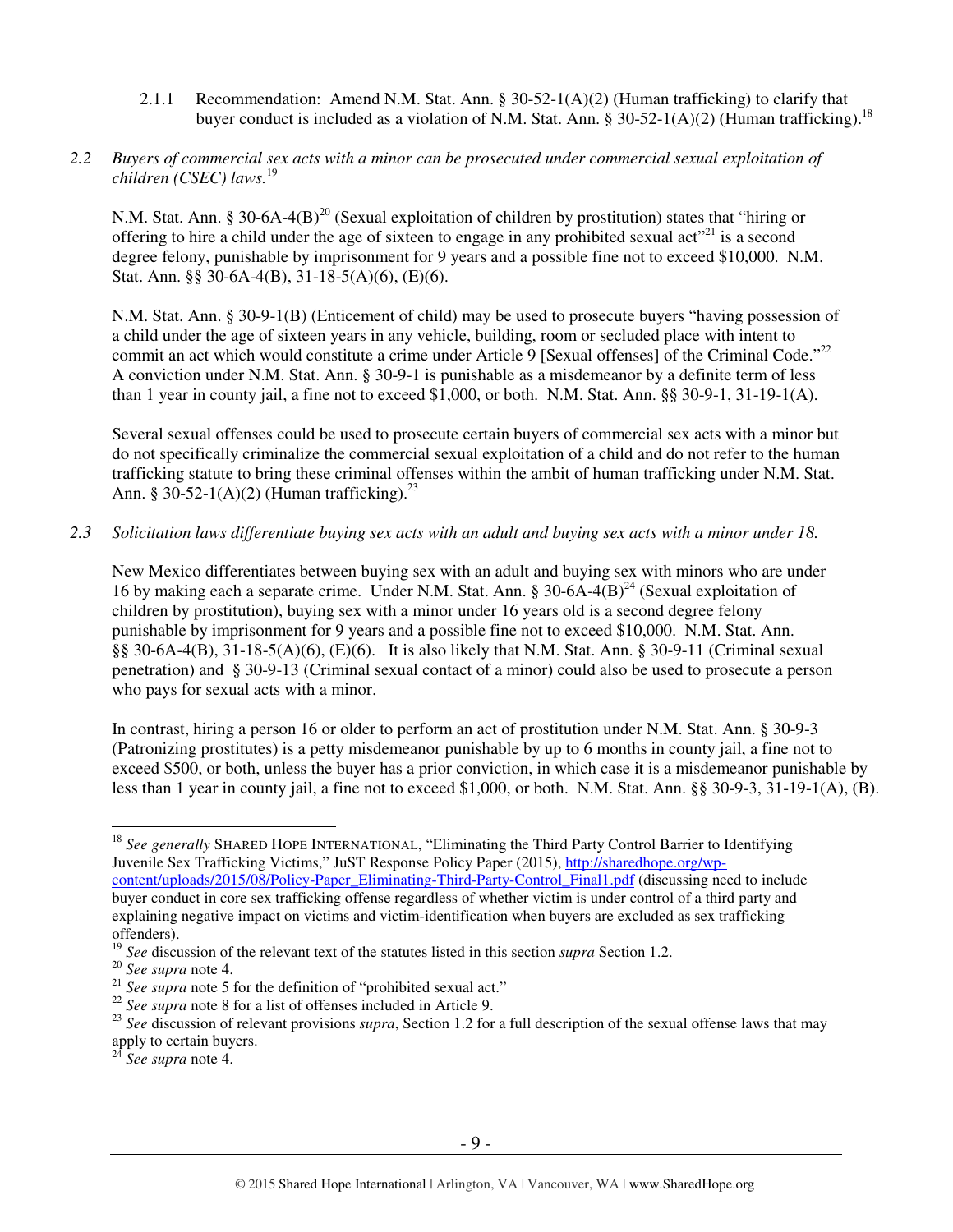2.1.1 Recommendation: Amend N.M. Stat. Ann. § 30-52-1(A)(2) (Human trafficking) to clarify that buyer conduct is included as a violation of N.M. Stat. Ann. § 30-52-1(A)(2) (Human trafficking).<sup>18</sup>

## *2.2 Buyers of commercial sex acts with a minor can be prosecuted under commercial sexual exploitation of children (CSEC) laws.*<sup>19</sup>

N.M. Stat. Ann. § 30-6A-4(B)<sup>20</sup> (Sexual exploitation of children by prostitution) states that "hiring or offering to hire a child under the age of sixteen to engage in any prohibited sexual act<sup> $21$ </sup> is a second degree felony, punishable by imprisonment for 9 years and a possible fine not to exceed \$10,000. N.M. Stat. Ann. §§ 30-6A-4(B), 31-18-5(A)(6), (E)(6).

N.M. Stat. Ann. § 30-9-1(B) (Enticement of child) may be used to prosecute buyers "having possession of a child under the age of sixteen years in any vehicle, building, room or secluded place with intent to commit an act which would constitute a crime under Article 9 [Sexual offenses] of the Criminal Code."<sup>22</sup> A conviction under N.M. Stat. Ann. § 30-9-1 is punishable as a misdemeanor by a definite term of less than 1 year in county jail, a fine not to exceed \$1,000, or both. N.M. Stat. Ann. §§ 30-9-1, 31-19-1(A).

Several sexual offenses could be used to prosecute certain buyers of commercial sex acts with a minor but do not specifically criminalize the commercial sexual exploitation of a child and do not refer to the human trafficking statute to bring these criminal offenses within the ambit of human trafficking under N.M. Stat. Ann. § 30-52-1(A)(2) (Human trafficking). $^{23}$ 

*2.3 Solicitation laws differentiate buying sex acts with an adult and buying sex acts with a minor under 18.* 

New Mexico differentiates between buying sex with an adult and buying sex with minors who are under 16 by making each a separate crime. Under N.M. Stat. Ann. § 30-6A-4 $(B)^{24}$  (Sexual exploitation of children by prostitution), buying sex with a minor under 16 years old is a second degree felony punishable by imprisonment for 9 years and a possible fine not to exceed \$10,000. N.M. Stat. Ann. §§ 30-6A-4(B), 31-18-5(A)(6), (E)(6). It is also likely that N.M. Stat. Ann. § 30-9-11 (Criminal sexual penetration) and § 30-9-13 (Criminal sexual contact of a minor) could also be used to prosecute a person who pays for sexual acts with a minor.

In contrast, hiring a person 16 or older to perform an act of prostitution under N.M. Stat. Ann. § 30-9-3 (Patronizing prostitutes) is a petty misdemeanor punishable by up to 6 months in county jail, a fine not to exceed \$500, or both, unless the buyer has a prior conviction, in which case it is a misdemeanor punishable by less than 1 year in county jail, a fine not to exceed \$1,000, or both. N.M. Stat. Ann. §§ 30-9-3, 31-19-1(A), (B).

 $\overline{a}$ <sup>18</sup> See generally SHARED HOPE INTERNATIONAL, "Eliminating the Third Party Control Barrier to Identifying Juvenile Sex Trafficking Victims," JuST Response Policy Paper (2015), http://sharedhope.org/wpcontent/uploads/2015/08/Policy-Paper\_Eliminating-Third-Party-Control\_Final1.pdf (discussing need to include buyer conduct in core sex trafficking offense regardless of whether victim is under control of a third party and explaining negative impact on victims and victim-identification when buyers are excluded as sex trafficking offenders).

<sup>19</sup> *See* discussion of the relevant text of the statutes listed in this section *supra* Section 1.2.

<sup>20</sup> *See supra* note 4.

<sup>&</sup>lt;sup>21</sup> *See supra* note 5 for the definition of "prohibited sexual act."

<sup>&</sup>lt;sup>22</sup> See supra note 8 for a list of offenses included in Article 9.

<sup>&</sup>lt;sup>23</sup> See discussion of relevant provisions *supra*, Section 1.2 for a full description of the sexual offense laws that may apply to certain buyers.

<sup>24</sup> *See supra* note 4.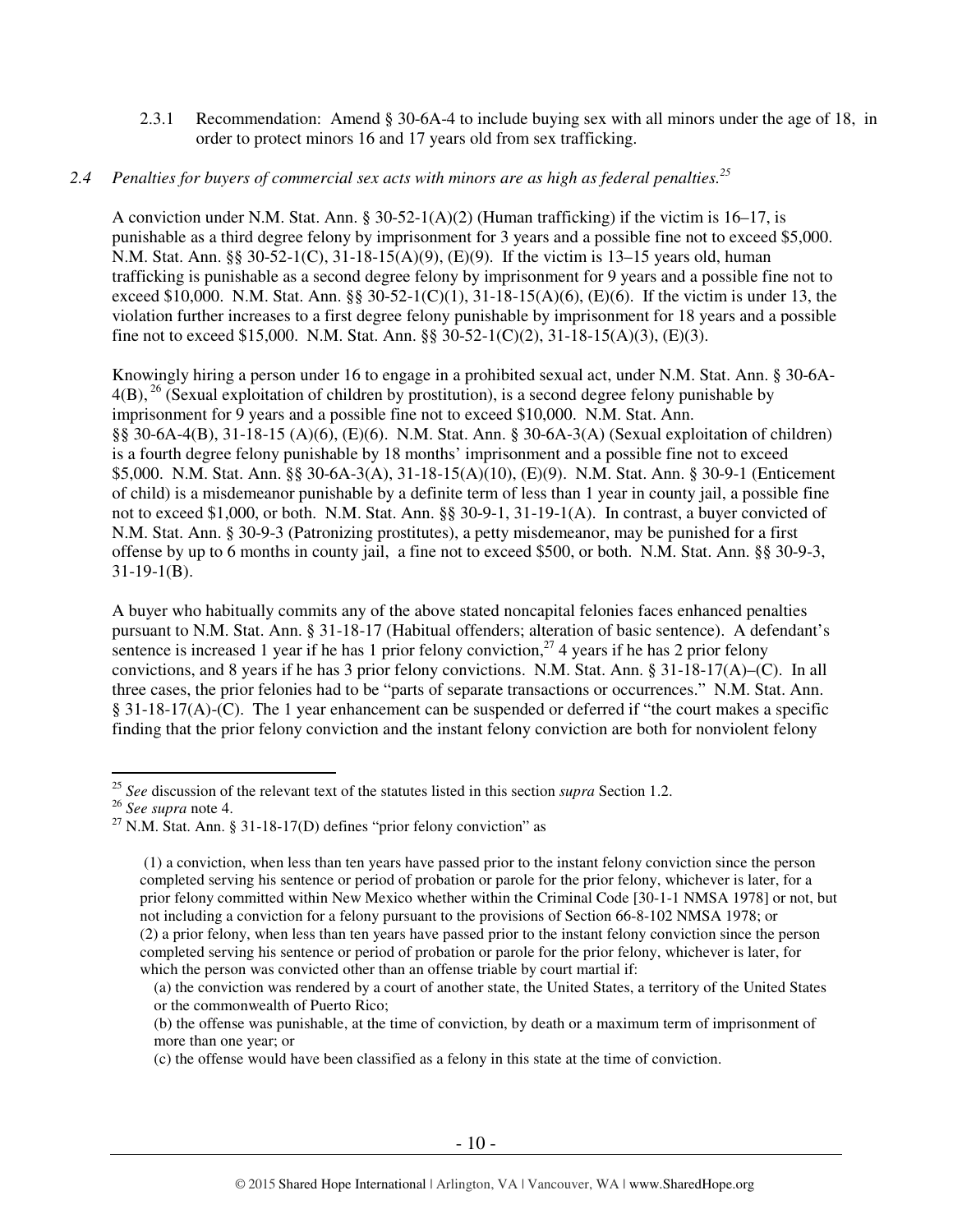2.3.1 Recommendation: Amend § 30-6A-4 to include buying sex with all minors under the age of 18, in order to protect minors 16 and 17 years old from sex trafficking.

## *2.4 Penalties for buyers of commercial sex acts with minors are as high as federal penalties.<sup>25</sup>*

A conviction under N.M. Stat. Ann. § 30-52-1(A)(2) (Human trafficking) if the victim is 16–17, is punishable as a third degree felony by imprisonment for 3 years and a possible fine not to exceed \$5,000. N.M. Stat. Ann. §§ 30-52-1(C), 31-18-15(A)(9), (E)(9). If the victim is 13–15 years old, human trafficking is punishable as a second degree felony by imprisonment for 9 years and a possible fine not to exceed \$10,000. N.M. Stat. Ann. §§ 30-52-1(C)(1), 31-18-15(A)(6), (E)(6). If the victim is under 13, the violation further increases to a first degree felony punishable by imprisonment for 18 years and a possible fine not to exceed \$15,000. N.M. Stat. Ann. §§ 30-52-1(C)(2), 31-18-15(A)(3), (E)(3).

Knowingly hiring a person under 16 to engage in a prohibited sexual act, under N.M. Stat. Ann. § 30-6A- $4(B)$ , <sup>26</sup> (Sexual exploitation of children by prostitution), is a second degree felony punishable by imprisonment for 9 years and a possible fine not to exceed \$10,000. N.M. Stat. Ann. §§ 30-6A-4(B), 31-18-15 (A)(6), (E)(6). N.M. Stat. Ann. § 30-6A-3(A) (Sexual exploitation of children) is a fourth degree felony punishable by 18 months' imprisonment and a possible fine not to exceed \$5,000. N.M. Stat. Ann. §§ 30-6A-3(A), 31-18-15(A)(10), (E)(9). N.M. Stat. Ann. § 30-9-1 (Enticement of child) is a misdemeanor punishable by a definite term of less than 1 year in county jail, a possible fine not to exceed \$1,000, or both. N.M. Stat. Ann. §§ 30-9-1, 31-19-1(A). In contrast, a buyer convicted of N.M. Stat. Ann. § 30-9-3 (Patronizing prostitutes), a petty misdemeanor, may be punished for a first offense by up to 6 months in county jail, a fine not to exceed \$500, or both. N.M. Stat. Ann. §§ 30-9-3, 31-19-1(B).

A buyer who habitually commits any of the above stated noncapital felonies faces enhanced penalties pursuant to N.M. Stat. Ann. § 31-18-17 (Habitual offenders; alteration of basic sentence). A defendant's sentence is increased 1 year if he has 1 prior felony conviction,<sup>27</sup> 4 years if he has 2 prior felony convictions, and 8 years if he has 3 prior felony convictions. N.M. Stat. Ann. § 31-18-17(A)–(C). In all three cases, the prior felonies had to be "parts of separate transactions or occurrences." N.M. Stat. Ann. § 31-18-17(A)-(C). The 1 year enhancement can be suspended or deferred if "the court makes a specific finding that the prior felony conviction and the instant felony conviction are both for nonviolent felony

 $\overline{a}$ <sup>25</sup> *See* discussion of the relevant text of the statutes listed in this section *supra* Section 1.2.

<sup>26</sup> *See supra* note 4.

<sup>&</sup>lt;sup>27</sup> N.M. Stat. Ann. § 31-18-17(D) defines "prior felony conviction" as

 <sup>(1)</sup> a conviction, when less than ten years have passed prior to the instant felony conviction since the person completed serving his sentence or period of probation or parole for the prior felony, whichever is later, for a prior felony committed within New Mexico whether within the Criminal Code [30-1-1 NMSA 1978] or not, but not including a conviction for a felony pursuant to the provisions of Section 66-8-102 NMSA 1978; or (2) a prior felony, when less than ten years have passed prior to the instant felony conviction since the person completed serving his sentence or period of probation or parole for the prior felony, whichever is later, for which the person was convicted other than an offense triable by court martial if:

<sup>(</sup>a) the conviction was rendered by a court of another state, the United States, a territory of the United States or the commonwealth of Puerto Rico;

<sup>(</sup>b) the offense was punishable, at the time of conviction, by death or a maximum term of imprisonment of more than one year; or

<sup>(</sup>c) the offense would have been classified as a felony in this state at the time of conviction.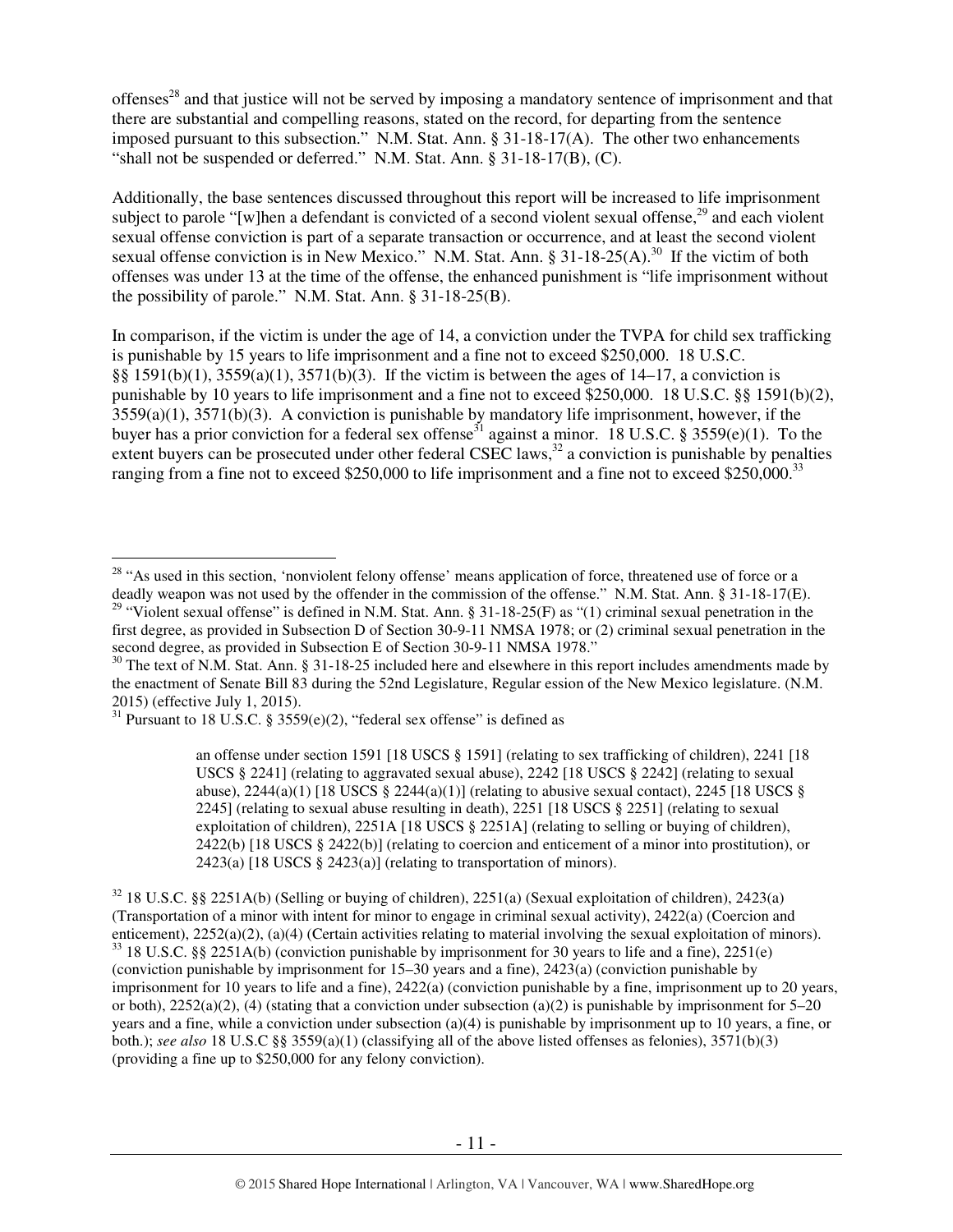offenses<sup>28</sup> and that justice will not be served by imposing a mandatory sentence of imprisonment and that there are substantial and compelling reasons, stated on the record, for departing from the sentence imposed pursuant to this subsection." N.M. Stat. Ann. § 31-18-17(A). The other two enhancements "shall not be suspended or deferred." N.M. Stat. Ann. § 31-18-17(B), (C).

Additionally, the base sentences discussed throughout this report will be increased to life imprisonment subject to parole "[w]hen a defendant is convicted of a second violent sexual offense,<sup>29</sup> and each violent sexual offense conviction is part of a separate transaction or occurrence, and at least the second violent sexual offense conviction is in New Mexico." N.M. Stat. Ann.  $\S 31-18-25(A)$ .<sup>30</sup> If the victim of both offenses was under 13 at the time of the offense, the enhanced punishment is "life imprisonment without the possibility of parole." N.M. Stat. Ann. § 31-18-25(B).

In comparison, if the victim is under the age of 14, a conviction under the TVPA for child sex trafficking is punishable by 15 years to life imprisonment and a fine not to exceed \$250,000. 18 U.S.C. §§ 1591(b)(1), 3559(a)(1), 3571(b)(3). If the victim is between the ages of 14–17, a conviction is punishable by 10 years to life imprisonment and a fine not to exceed \$250,000. 18 U.S.C. §§ 1591(b)(2),  $3559(a)(1)$ ,  $3571(b)(3)$ . A conviction is punishable by mandatory life imprisonment, however, if the buyer has a prior conviction for a federal sex offense<sup>31</sup> against a minor. 18 U.S.C. § 3559(e)(1). To the extent buyers can be prosecuted under other federal CSEC laws,<sup>32</sup> a conviction is punishable by penalties ranging from a fine not to exceed \$250,000 to life imprisonment and a fine not to exceed \$250,000.<sup>33</sup>

 $\overline{a}$ 

an offense under section 1591 [18 USCS § 1591] (relating to sex trafficking of children), 2241 [18 USCS § 2241] (relating to aggravated sexual abuse), 2242 [18 USCS § 2242] (relating to sexual abuse),  $2244(a)(1)$  [18 USCS §  $2244(a)(1)$ ] (relating to abusive sexual contact),  $2245$  [18 USCS § 2245] (relating to sexual abuse resulting in death), 2251 [18 USCS § 2251] (relating to sexual exploitation of children), 2251A [18 USCS § 2251A] (relating to selling or buying of children), 2422(b) [18 USCS § 2422(b)] (relating to coercion and enticement of a minor into prostitution), or 2423(a) [18 USCS § 2423(a)] (relating to transportation of minors).

<sup>32</sup> 18 U.S.C. §§ 2251A(b) (Selling or buying of children), 2251(a) (Sexual exploitation of children), 2423(a) (Transportation of a minor with intent for minor to engage in criminal sexual activity), 2422(a) (Coercion and enticement), 2252(a)(2), (a)(4) (Certain activities relating to material involving the sexual exploitation of minors). <sup>33</sup> 18 U.S.C. §§ 2251A(b) (conviction punishable by imprisonment for 30 years to life and a fine), 2251(e) (conviction punishable by imprisonment for 15–30 years and a fine), 2423(a) (conviction punishable by imprisonment for 10 years to life and a fine), 2422(a) (conviction punishable by a fine, imprisonment up to 20 years, or both),  $2252(a)(2)$ , (4) (stating that a conviction under subsection (a)(2) is punishable by imprisonment for 5–20 years and a fine, while a conviction under subsection (a)(4) is punishable by imprisonment up to 10 years, a fine, or both.); *see also* 18 U.S.C §§ 3559(a)(1) (classifying all of the above listed offenses as felonies), 3571(b)(3) (providing a fine up to \$250,000 for any felony conviction).

<sup>&</sup>lt;sup>28</sup> "As used in this section, 'nonviolent felony offense' means application of force, threatened use of force or a deadly weapon was not used by the offender in the commission of the offense." N.M. Stat. Ann. § 31-18-17(E). <sup>29</sup> "Violent sexual offense" is defined in N.M. Stat. Ann. § 31-18-25(F) as "(1) criminal sexual penetration in the first degree, as provided in Subsection D of Section 30-9-11 NMSA 1978; or (2) criminal sexual penetration in the second degree, as provided in Subsection E of Section 30-9-11 NMSA 1978."

 $30$  The text of N.M. Stat. Ann. § 31-18-25 included here and elsewhere in this report includes amendments made by the enactment of Senate Bill 83 during the 52nd Legislature, Regular ession of the New Mexico legislature. (N.M. 2015) (effective July 1, 2015).

 $31$  Pursuant to 18 U.S.C. § 3559(e)(2), "federal sex offense" is defined as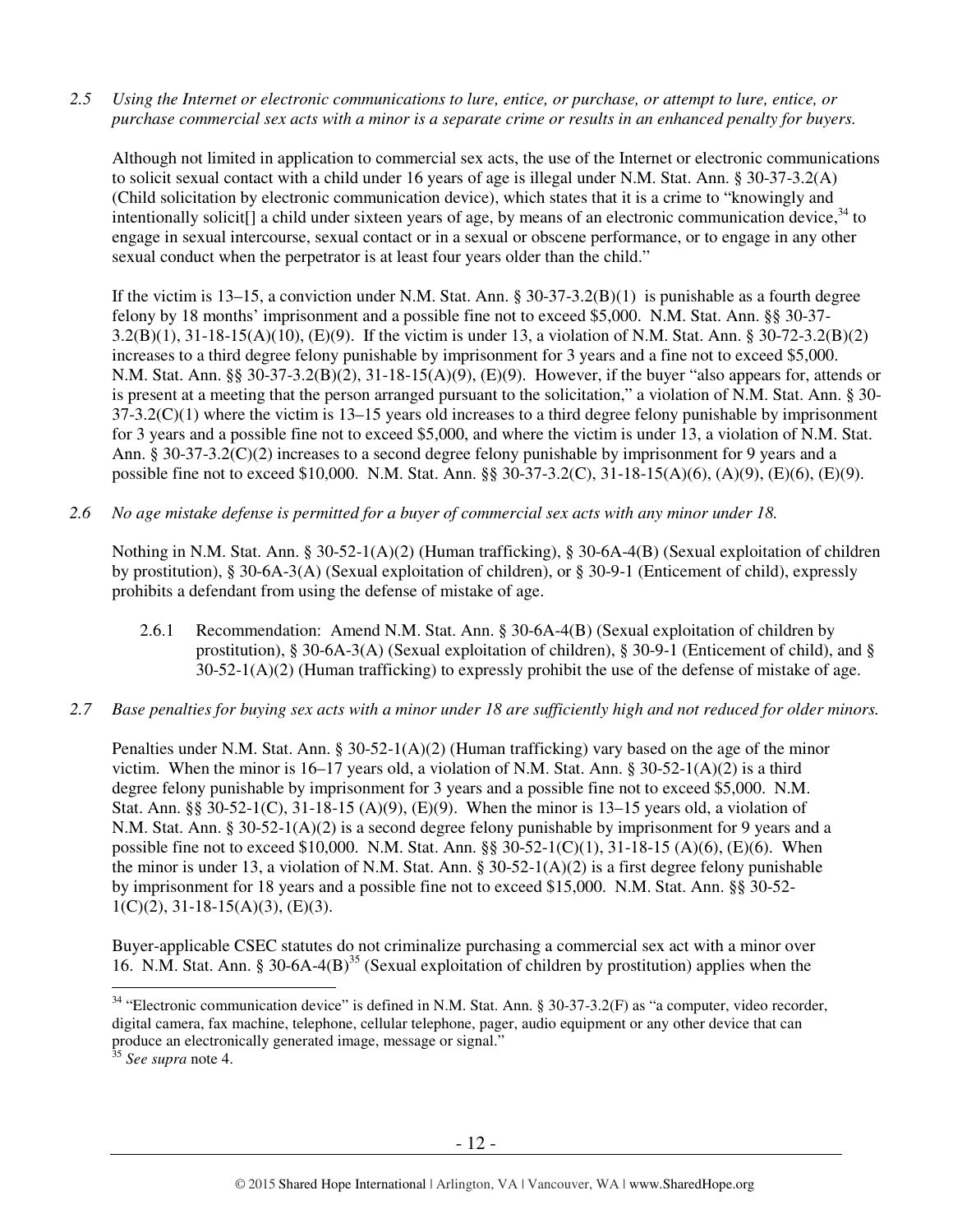*2.5 Using the Internet or electronic communications to lure, entice, or purchase, or attempt to lure, entice, or purchase commercial sex acts with a minor is a separate crime or results in an enhanced penalty for buyers.* 

Although not limited in application to commercial sex acts, the use of the Internet or electronic communications to solicit sexual contact with a child under 16 years of age is illegal under N.M. Stat. Ann. § 30-37-3.2(A) (Child solicitation by electronic communication device), which states that it is a crime to "knowingly and intentionally solicit[] a child under sixteen years of age, by means of an electronic communication device.<sup>34</sup> to engage in sexual intercourse, sexual contact or in a sexual or obscene performance, or to engage in any other sexual conduct when the perpetrator is at least four years older than the child."

If the victim is  $13-15$ , a conviction under N.M. Stat. Ann. §  $30-37-3.2(B)(1)$  is punishable as a fourth degree felony by 18 months' imprisonment and a possible fine not to exceed \$5,000. N.M. Stat. Ann. §§ 30-37- 3.2(B)(1), 31-18-15(A)(10), (E)(9). If the victim is under 13, a violation of N.M. Stat. Ann. § 30-72-3.2(B)(2) increases to a third degree felony punishable by imprisonment for 3 years and a fine not to exceed \$5,000. N.M. Stat. Ann. §§ 30-37-3.2(B)(2), 31-18-15(A)(9), (E)(9). However, if the buyer "also appears for, attends or is present at a meeting that the person arranged pursuant to the solicitation," a violation of N.M. Stat. Ann. § 30-  $37-3.2(C)(1)$  where the victim is  $13-15$  years old increases to a third degree felony punishable by imprisonment for 3 years and a possible fine not to exceed \$5,000, and where the victim is under 13, a violation of N.M. Stat. Ann. § 30-37-3.2(C)(2) increases to a second degree felony punishable by imprisonment for 9 years and a possible fine not to exceed \$10,000. N.M. Stat. Ann. §§ 30-37-3.2(C), 31-18-15(A)(6), (A)(9), (E)(6), (E)(9).

*2.6 No age mistake defense is permitted for a buyer of commercial sex acts with any minor under 18.* 

Nothing in N.M. Stat. Ann. § 30-52-1(A)(2) (Human trafficking), § 30-6A-4(B) (Sexual exploitation of children by prostitution), § 30-6A-3(A) (Sexual exploitation of children), or § 30-9-1 (Enticement of child), expressly prohibits a defendant from using the defense of mistake of age.

- 2.6.1 Recommendation: Amend N.M. Stat. Ann. § 30-6A-4(B) (Sexual exploitation of children by prostitution), § 30-6A-3(A) (Sexual exploitation of children), § 30-9-1 (Enticement of child), and § 30-52-1(A)(2) (Human trafficking) to expressly prohibit the use of the defense of mistake of age.
- *2.7 Base penalties for buying sex acts with a minor under 18 are sufficiently high and not reduced for older minors.*

Penalties under N.M. Stat. Ann. § 30-52-1(A)(2) (Human trafficking) vary based on the age of the minor victim. When the minor is  $16-17$  years old, a violation of N.M. Stat. Ann. §  $30-52-1(A)(2)$  is a third degree felony punishable by imprisonment for 3 years and a possible fine not to exceed \$5,000. N.M. Stat. Ann. §§ 30-52-1(C), 31-18-15 (A)(9), (E)(9). When the minor is 13–15 years old, a violation of N.M. Stat. Ann. § 30-52-1(A)(2) is a second degree felony punishable by imprisonment for 9 years and a possible fine not to exceed \$10,000. N.M. Stat. Ann. §§ 30-52-1(C)(1), 31-18-15 (A)(6), (E)(6). When the minor is under 13, a violation of N.M. Stat. Ann.  $\S 30-52-1(A)(2)$  is a first degree felony punishable by imprisonment for 18 years and a possible fine not to exceed \$15,000. N.M. Stat. Ann. §§ 30-52-  $1(C)(2)$ ,  $31-18-15(A)(3)$ ,  $(E)(3)$ .

Buyer-applicable CSEC statutes do not criminalize purchasing a commercial sex act with a minor over 16. N.M. Stat. Ann. § 30-6A-4(B)<sup>35</sup> (Sexual exploitation of children by prostitution) applies when the

 $\overline{a}$ <sup>34</sup> "Electronic communication device" is defined in N.M. Stat. Ann. § 30-37-3.2(F) as "a computer, video recorder, digital camera, fax machine, telephone, cellular telephone, pager, audio equipment or any other device that can produce an electronically generated image, message or signal."

<sup>35</sup> *See supra* note 4.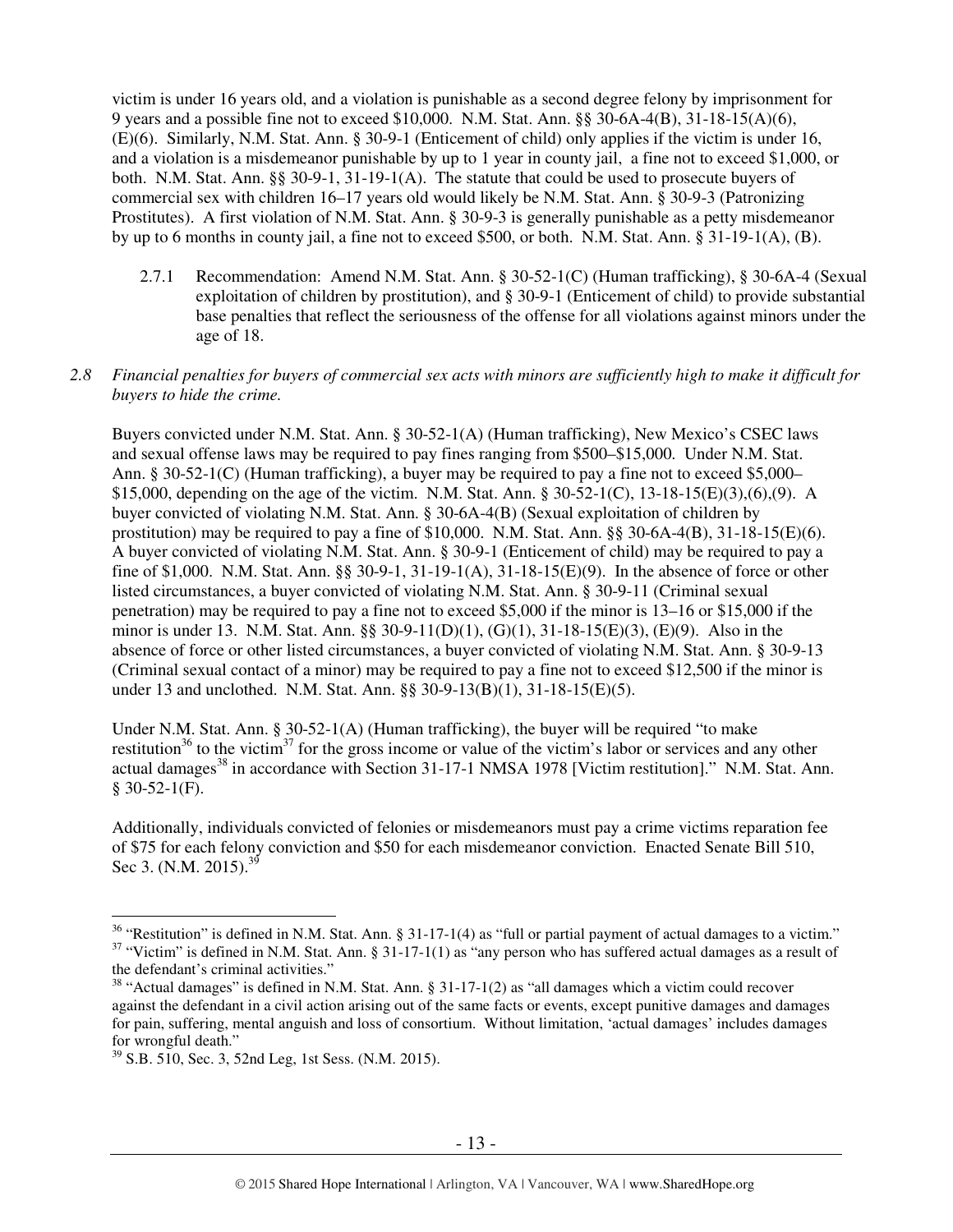victim is under 16 years old, and a violation is punishable as a second degree felony by imprisonment for 9 years and a possible fine not to exceed \$10,000. N.M. Stat. Ann. §§ 30-6A-4(B), 31-18-15(A)(6), (E)(6). Similarly, N.M. Stat. Ann. § 30-9-1 (Enticement of child) only applies if the victim is under 16, and a violation is a misdemeanor punishable by up to 1 year in county jail, a fine not to exceed \$1,000, or both. N.M. Stat. Ann.  $\S$ § 30-9-1, 31-19-1(A). The statute that could be used to prosecute buyers of commercial sex with children 16–17 years old would likely be N.M. Stat. Ann. § 30-9-3 (Patronizing Prostitutes). A first violation of N.M. Stat. Ann. § 30-9-3 is generally punishable as a petty misdemeanor by up to 6 months in county jail, a fine not to exceed \$500, or both. N.M. Stat. Ann. § 31-19-1(A), (B).

2.7.1 Recommendation: Amend N.M. Stat. Ann. § 30-52-1(C) (Human trafficking), § 30-6A-4 (Sexual exploitation of children by prostitution), and § 30-9-1 (Enticement of child) to provide substantial base penalties that reflect the seriousness of the offense for all violations against minors under the age of 18.

#### *2.8 Financial penalties for buyers of commercial sex acts with minors are sufficiently high to make it difficult for buyers to hide the crime.*

Buyers convicted under N.M. Stat. Ann. § 30-52-1(A) (Human trafficking), New Mexico's CSEC laws and sexual offense laws may be required to pay fines ranging from \$500–\$15,000. Under N.M. Stat. Ann. § 30-52-1(C) (Human trafficking), a buyer may be required to pay a fine not to exceed \$5,000– \$15,000, depending on the age of the victim. N.M. Stat. Ann. § 30-52-1(C), 13-18-15(E)(3),(6),(9). A buyer convicted of violating N.M. Stat. Ann. § 30-6A-4(B) (Sexual exploitation of children by prostitution) may be required to pay a fine of  $$10,000$ . N.M. Stat. Ann. §§ 30-6A-4(B), 31-18-15(E)(6). A buyer convicted of violating N.M. Stat. Ann. § 30-9-1 (Enticement of child) may be required to pay a fine of \$1,000. N.M. Stat. Ann. §§ 30-9-1, 31-19-1(A), 31-18-15(E)(9). In the absence of force or other listed circumstances, a buyer convicted of violating N.M. Stat. Ann. § 30-9-11 (Criminal sexual penetration) may be required to pay a fine not to exceed \$5,000 if the minor is 13–16 or \$15,000 if the minor is under 13. N.M. Stat. Ann. §§ 30-9-11(D)(1), (G)(1), 31-18-15(E)(3), (E)(9). Also in the absence of force or other listed circumstances, a buyer convicted of violating N.M. Stat. Ann. § 30-9-13 (Criminal sexual contact of a minor) may be required to pay a fine not to exceed \$12,500 if the minor is under 13 and unclothed. N.M. Stat. Ann. §§ 30-9-13(B)(1), 31-18-15(E)(5).

Under N.M. Stat. Ann. § 30-52-1(A) (Human trafficking), the buyer will be required "to make restitution<sup>36</sup> to the victim<sup>37</sup> for the gross income or value of the victim's labor or services and any other actual damages<sup>38</sup> in accordance with Section 31-17-1 NMSA 1978 [Victim restitution]." N.M. Stat. Ann.  $§$  30-52-1(F).

Additionally, individuals convicted of felonies or misdemeanors must pay a crime victims reparation fee of \$75 for each felony conviction and \$50 for each misdemeanor conviction. Enacted Senate Bill 510, Sec 3. (N.M. 2015).<sup>39</sup>

<sup>&</sup>lt;sup>36</sup> "Restitution" is defined in N.M. Stat. Ann. § 31-17-1(4) as "full or partial payment of actual damages to a victim."

 $37$  "Victim" is defined in N.M. Stat. Ann. § 31-17-1(1) as "any person who has suffered actual damages as a result of the defendant's criminal activities."

<sup>&</sup>lt;sup>38</sup> "Actual damages" is defined in N.M. Stat. Ann.  $\S 31$ -17-1(2) as "all damages which a victim could recover against the defendant in a civil action arising out of the same facts or events, except punitive damages and damages for pain, suffering, mental anguish and loss of consortium. Without limitation, 'actual damages' includes damages for wrongful death."

<sup>39</sup> S.B. 510, Sec. 3, 52nd Leg, 1st Sess. (N.M. 2015).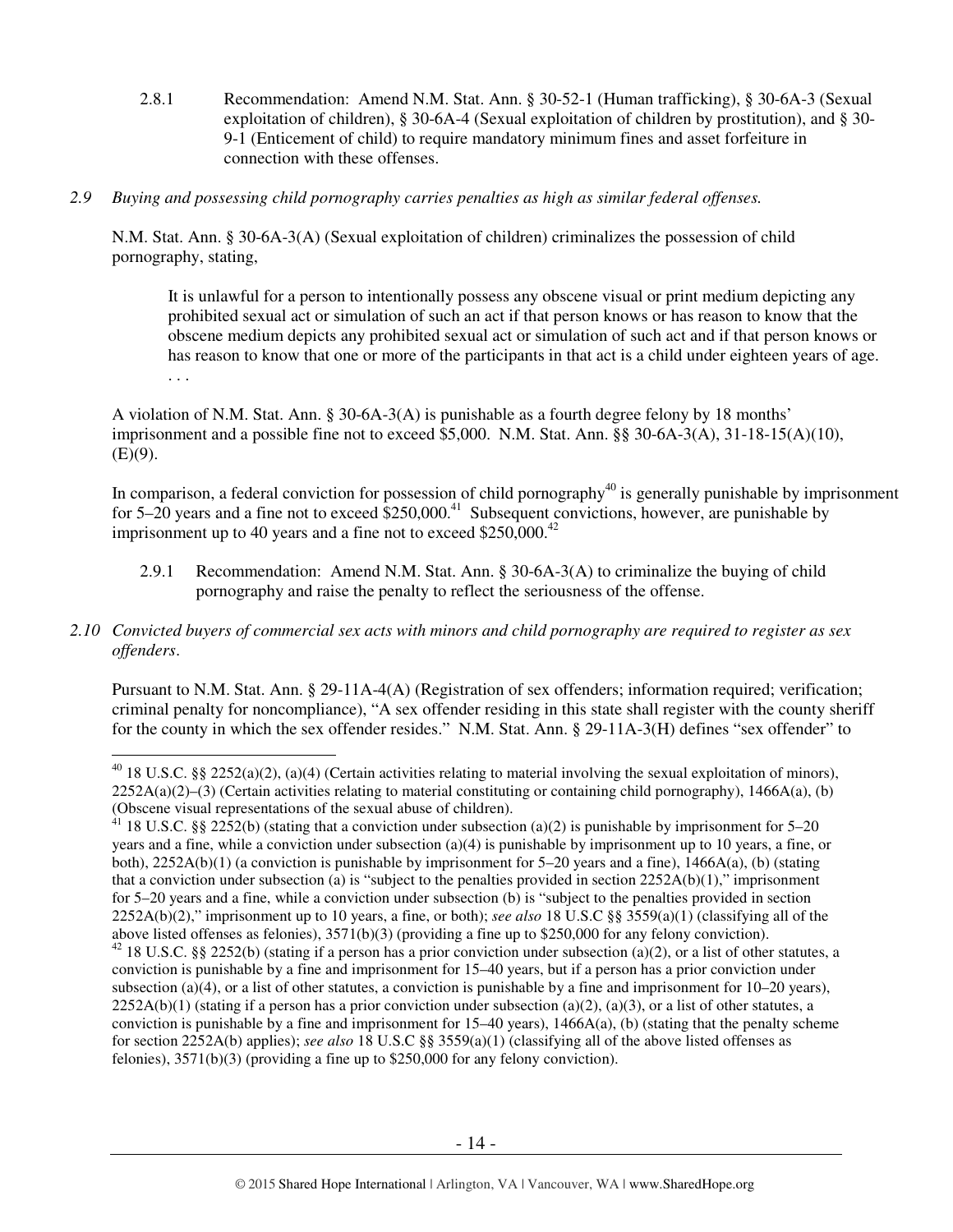- 2.8.1 Recommendation: Amend N.M. Stat. Ann. § 30-52-1 (Human trafficking), § 30-6A-3 (Sexual exploitation of children), § 30-6A-4 (Sexual exploitation of children by prostitution), and § 30- 9-1 (Enticement of child) to require mandatory minimum fines and asset forfeiture in connection with these offenses.
- *2.9 Buying and possessing child pornography carries penalties as high as similar federal offenses.*

N.M. Stat. Ann. § 30-6A-3(A) (Sexual exploitation of children) criminalizes the possession of child pornography, stating,

It is unlawful for a person to intentionally possess any obscene visual or print medium depicting any prohibited sexual act or simulation of such an act if that person knows or has reason to know that the obscene medium depicts any prohibited sexual act or simulation of such act and if that person knows or has reason to know that one or more of the participants in that act is a child under eighteen years of age. . . .

A violation of N.M. Stat. Ann. § 30-6A-3(A) is punishable as a fourth degree felony by 18 months' imprisonment and a possible fine not to exceed \$5,000. N.M. Stat. Ann. §§ 30-6A-3(A), 31-18-15(A)(10),  $(E)(9)$ .

In comparison, a federal conviction for possession of child pornography<sup>40</sup> is generally punishable by imprisonment for  $5-20$  years and a fine not to exceed  $$250,000.<sup>41</sup>$  Subsequent convictions, however, are punishable by imprisonment up to 40 years and a fine not to exceed  $$250,000.<sup>42</sup>$ 

- 2.9.1 Recommendation: Amend N.M. Stat. Ann. § 30-6A-3(A) to criminalize the buying of child pornography and raise the penalty to reflect the seriousness of the offense.
- *2.10 Convicted buyers of commercial sex acts with minors and child pornography are required to register as sex offenders*.

 $\overline{a}$ 

Pursuant to N.M. Stat. Ann. § 29-11A-4(A) (Registration of sex offenders; information required; verification; criminal penalty for noncompliance), "A sex offender residing in this state shall register with the county sheriff for the county in which the sex offender resides." N.M. Stat. Ann. § 29-11A-3(H) defines "sex offender" to

<sup>&</sup>lt;sup>40</sup> 18 U.S.C. §§ 2252(a)(2), (a)(4) (Certain activities relating to material involving the sexual exploitation of minors),  $2252A(a)(2)$ –(3) (Certain activities relating to material constituting or containing child pornography), 1466A(a), (b) (Obscene visual representations of the sexual abuse of children).

<sup>&</sup>lt;sup>41</sup> 18 U.S.C. §§ 2252(b) (stating that a conviction under subsection (a)(2) is punishable by imprisonment for 5–20 years and a fine, while a conviction under subsection (a)(4) is punishable by imprisonment up to 10 years, a fine, or both), 2252A(b)(1) (a conviction is punishable by imprisonment for 5–20 years and a fine), 1466A(a), (b) (stating that a conviction under subsection (a) is "subject to the penalties provided in section  $2252A(b)(1)$ ," imprisonment for 5–20 years and a fine, while a conviction under subsection (b) is "subject to the penalties provided in section 2252A(b)(2)," imprisonment up to 10 years, a fine, or both); *see also* 18 U.S.C §§ 3559(a)(1) (classifying all of the above listed offenses as felonies), 3571(b)(3) (providing a fine up to \$250,000 for any felony conviction).

 $42$  18 U.S.C. §§ 2252(b) (stating if a person has a prior conviction under subsection (a)(2), or a list of other statutes, a conviction is punishable by a fine and imprisonment for 15–40 years, but if a person has a prior conviction under subsection (a)(4), or a list of other statutes, a conviction is punishable by a fine and imprisonment for  $10-20$  years),  $2252A(b)(1)$  (stating if a person has a prior conviction under subsection (a)(2), (a)(3), or a list of other statutes, a conviction is punishable by a fine and imprisonment for  $15-40$  years),  $1466A(a)$ , (b) (stating that the penalty scheme for section 2252A(b) applies); *see also* 18 U.S.C §§ 3559(a)(1) (classifying all of the above listed offenses as felonies), 3571(b)(3) (providing a fine up to \$250,000 for any felony conviction).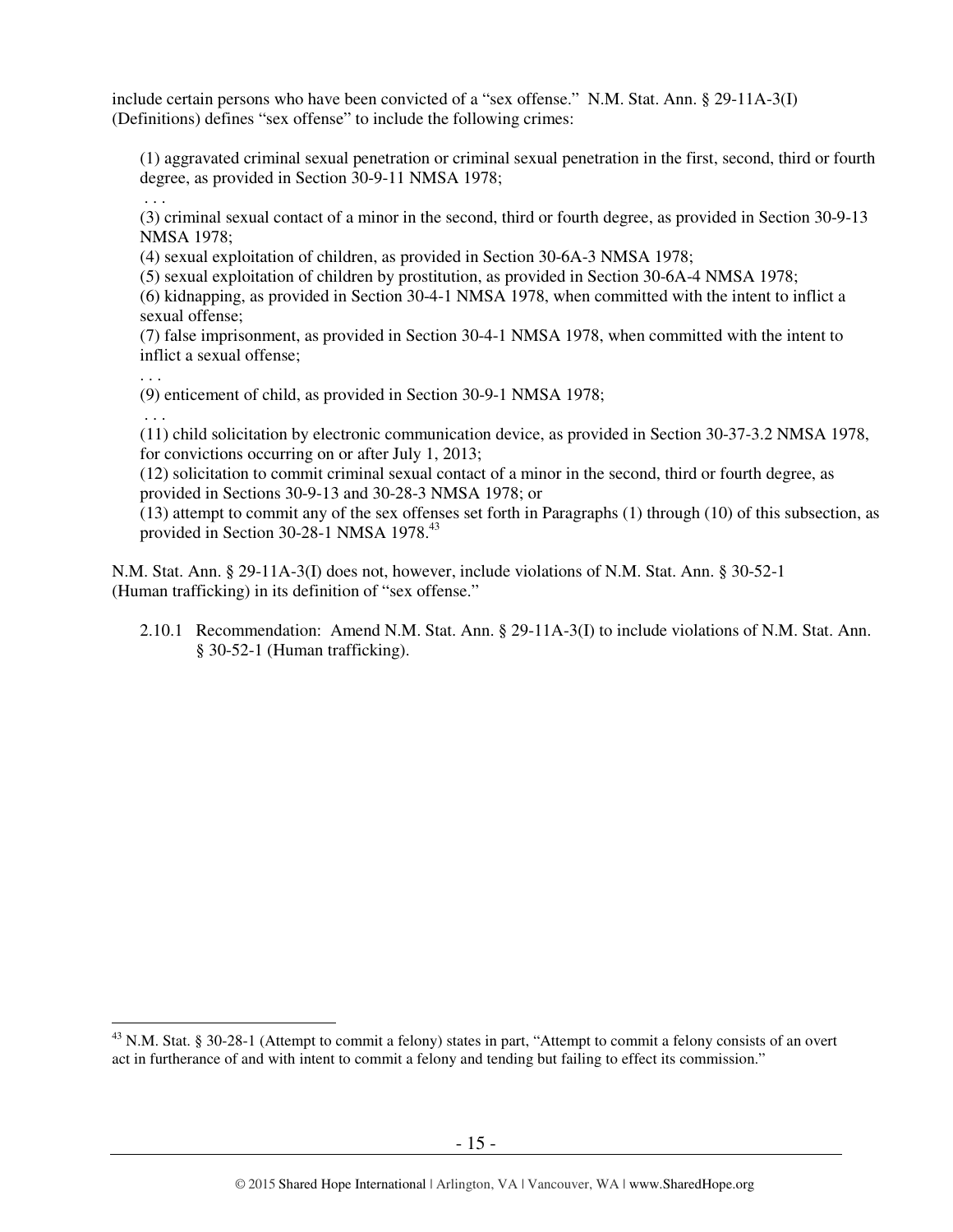include certain persons who have been convicted of a "sex offense." N.M. Stat. Ann. § 29-11A-3(I) (Definitions) defines "sex offense" to include the following crimes:

(1) aggravated criminal sexual penetration or criminal sexual penetration in the first, second, third or fourth degree, as provided in Section 30-9-11 NMSA 1978;

(3) criminal sexual contact of a minor in the second, third or fourth degree, as provided in Section 30-9-13 NMSA 1978;

(4) sexual exploitation of children, as provided in Section 30-6A-3 NMSA 1978;

(5) sexual exploitation of children by prostitution, as provided in Section 30-6A-4 NMSA 1978;

(6) kidnapping, as provided in Section 30-4-1 NMSA 1978, when committed with the intent to inflict a sexual offense;

(7) false imprisonment, as provided in Section 30-4-1 NMSA 1978, when committed with the intent to inflict a sexual offense;

. . .

. . .

(9) enticement of child, as provided in Section 30-9-1 NMSA 1978;

. . .

l

(11) child solicitation by electronic communication device, as provided in Section 30-37-3.2 NMSA 1978, for convictions occurring on or after July 1, 2013;

(12) solicitation to commit criminal sexual contact of a minor in the second, third or fourth degree, as provided in Sections 30-9-13 and 30-28-3 NMSA 1978; or

(13) attempt to commit any of the sex offenses set forth in Paragraphs (1) through (10) of this subsection, as provided in Section 30-28-1 NMSA 1978.<sup>43</sup>

N.M. Stat. Ann. § 29-11A-3(I) does not, however, include violations of N.M. Stat. Ann. § 30-52-1 (Human trafficking) in its definition of "sex offense."

2.10.1 Recommendation: Amend N.M. Stat. Ann. § 29-11A-3(I) to include violations of N.M. Stat. Ann. § 30-52-1 (Human trafficking).

 $^{43}$  N.M. Stat. § 30-28-1 (Attempt to commit a felony) states in part, "Attempt to commit a felony consists of an overt act in furtherance of and with intent to commit a felony and tending but failing to effect its commission."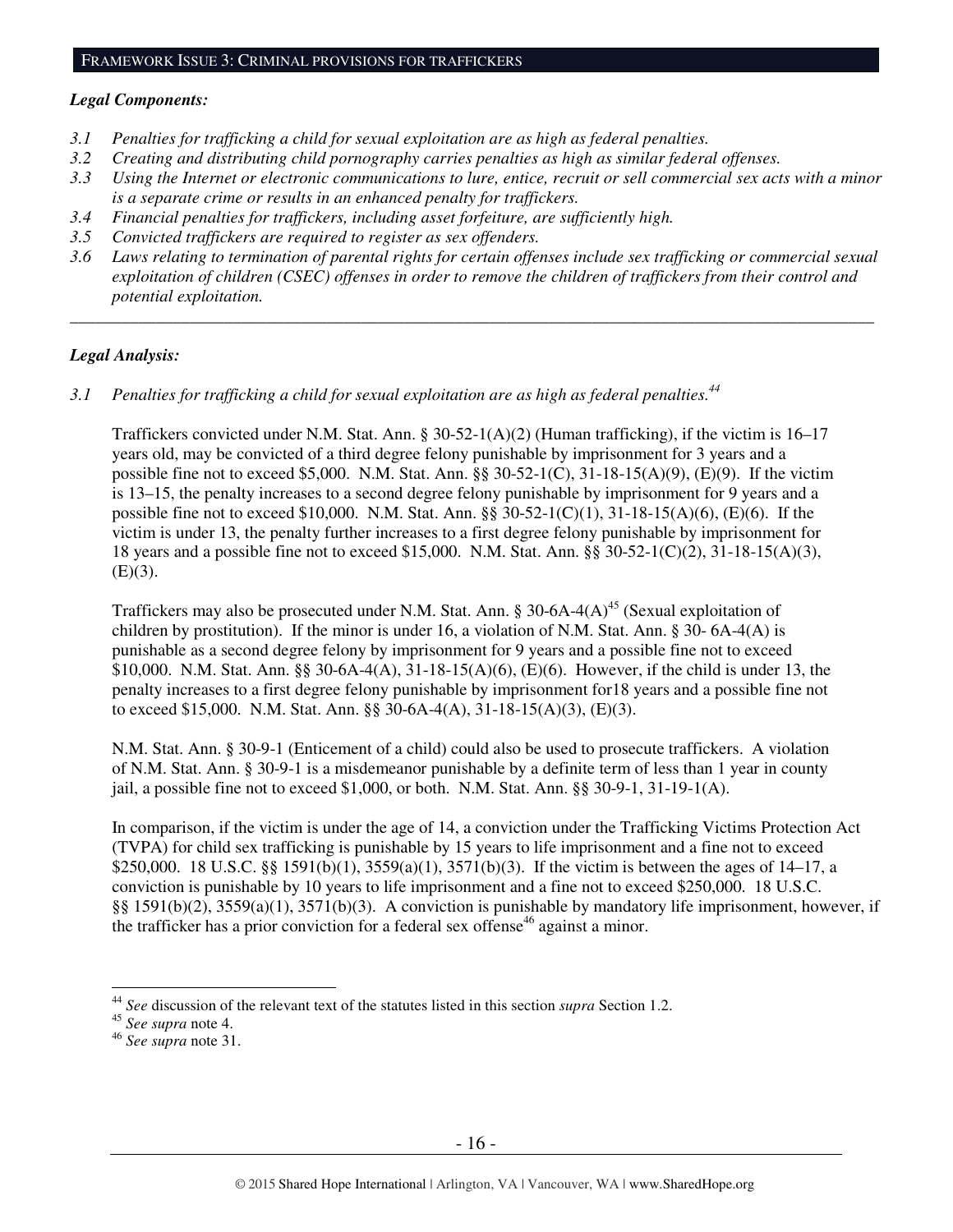#### FRAMEWORK ISSUE 3: CRIMINAL PROVISIONS FOR TRAFFICKERS

#### *Legal Components:*

- *3.1 Penalties for trafficking a child for sexual exploitation are as high as federal penalties.*
- *3.2 Creating and distributing child pornography carries penalties as high as similar federal offenses.*
- *3.3 Using the Internet or electronic communications to lure, entice, recruit or sell commercial sex acts with a minor is a separate crime or results in an enhanced penalty for traffickers.*
- *3.4 Financial penalties for traffickers, including asset forfeiture, are sufficiently high.*
- *3.5 Convicted traffickers are required to register as sex offenders.*
- *3.6 Laws relating to termination of parental rights for certain offenses include sex trafficking or commercial sexual exploitation of children (CSEC) offenses in order to remove the children of traffickers from their control and potential exploitation.*

*\_\_\_\_\_\_\_\_\_\_\_\_\_\_\_\_\_\_\_\_\_\_\_\_\_\_\_\_\_\_\_\_\_\_\_\_\_\_\_\_\_\_\_\_\_\_\_\_\_\_\_\_\_\_\_\_\_\_\_\_\_\_\_\_\_\_\_\_\_\_\_\_\_\_\_\_\_\_\_\_\_\_\_\_\_\_\_\_\_\_\_\_\_\_* 

#### *Legal Analysis:*

*3.1 Penalties for trafficking a child for sexual exploitation are as high as federal penalties.<sup>44</sup>* 

Traffickers convicted under N.M. Stat. Ann. § 30-52-1(A)(2) (Human trafficking), if the victim is 16–17 years old, may be convicted of a third degree felony punishable by imprisonment for 3 years and a possible fine not to exceed \$5,000. N.M. Stat. Ann. §§ 30-52-1(C), 31-18-15(A)(9), (E)(9). If the victim is 13–15, the penalty increases to a second degree felony punishable by imprisonment for 9 years and a possible fine not to exceed \$10,000. N.M. Stat. Ann. §§ 30-52-1(C)(1), 31-18-15(A)(6), (E)(6). If the victim is under 13, the penalty further increases to a first degree felony punishable by imprisonment for 18 years and a possible fine not to exceed \$15,000. N.M. Stat. Ann. §§ 30-52-1(C)(2), 31-18-15(A)(3),  $(E)(3)$ .

Traffickers may also be prosecuted under N.M. Stat. Ann. § 30-6A-4(A)<sup>45</sup> (Sexual exploitation of children by prostitution). If the minor is under 16, a violation of N.M. Stat. Ann. § 30- 6A-4(A) is punishable as a second degree felony by imprisonment for 9 years and a possible fine not to exceed \$10,000. N.M. Stat. Ann. §§ 30-6A-4(A), 31-18-15(A)(6), (E)(6). However, if the child is under 13, the penalty increases to a first degree felony punishable by imprisonment for18 years and a possible fine not to exceed \$15,000. N.M. Stat. Ann. §§ 30-6A-4(A), 31-18-15(A)(3), (E)(3).

N.M. Stat. Ann. § 30-9-1 (Enticement of a child) could also be used to prosecute traffickers. A violation of N.M. Stat. Ann. § 30-9-1 is a misdemeanor punishable by a definite term of less than 1 year in county jail, a possible fine not to exceed \$1,000, or both. N.M. Stat. Ann. §§ 30-9-1, 31-19-1(A).

In comparison, if the victim is under the age of 14, a conviction under the Trafficking Victims Protection Act (TVPA) for child sex trafficking is punishable by 15 years to life imprisonment and a fine not to exceed \$250,000. 18 U.S.C. §§ 1591(b)(1),  $3559(a)(1)$ ,  $3571(b)(3)$ . If the victim is between the ages of 14–17, a conviction is punishable by 10 years to life imprisonment and a fine not to exceed \$250,000. 18 U.S.C. §§ 1591(b)(2), 3559(a)(1), 3571(b)(3). A conviction is punishable by mandatory life imprisonment, however, if the trafficker has a prior conviction for a federal sex offense<sup>46</sup> against a minor.

 $\overline{a}$ <sup>44</sup> *See* discussion of the relevant text of the statutes listed in this section *supra* Section 1.2.

<sup>45</sup> *See supra* note 4.

<sup>46</sup> *See supra* note 31.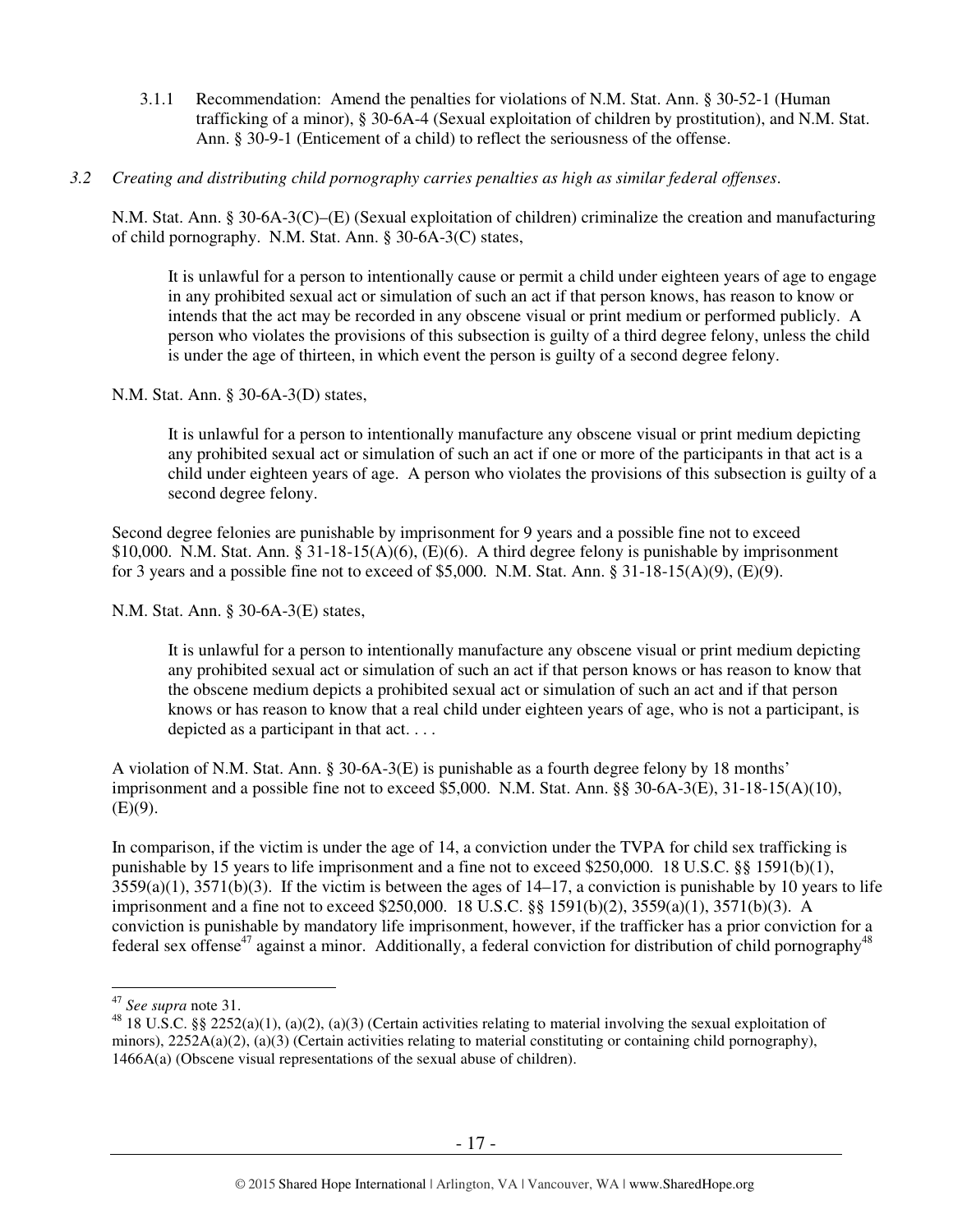- 3.1.1 Recommendation: Amend the penalties for violations of N.M. Stat. Ann. § 30-52-1 (Human trafficking of a minor), § 30-6A-4 (Sexual exploitation of children by prostitution), and N.M. Stat. Ann. § 30-9-1 (Enticement of a child) to reflect the seriousness of the offense.
- *3.2 Creating and distributing child pornography carries penalties as high as similar federal offenses*.

N.M. Stat. Ann. § 30-6A-3(C)–(E) (Sexual exploitation of children) criminalize the creation and manufacturing of child pornography. N.M. Stat. Ann. § 30-6A-3(C) states,

It is unlawful for a person to intentionally cause or permit a child under eighteen years of age to engage in any prohibited sexual act or simulation of such an act if that person knows, has reason to know or intends that the act may be recorded in any obscene visual or print medium or performed publicly. A person who violates the provisions of this subsection is guilty of a third degree felony, unless the child is under the age of thirteen, in which event the person is guilty of a second degree felony.

N.M. Stat. Ann. § 30-6A-3(D) states,

It is unlawful for a person to intentionally manufacture any obscene visual or print medium depicting any prohibited sexual act or simulation of such an act if one or more of the participants in that act is a child under eighteen years of age. A person who violates the provisions of this subsection is guilty of a second degree felony.

Second degree felonies are punishable by imprisonment for 9 years and a possible fine not to exceed \$10,000. N.M. Stat. Ann. § 31-18-15(A)(6), (E)(6). A third degree felony is punishable by imprisonment for 3 years and a possible fine not to exceed of \$5,000. N.M. Stat. Ann. §  $31-18-15(A)(9)$ , (E)(9).

N.M. Stat. Ann. § 30-6A-3(E) states,

It is unlawful for a person to intentionally manufacture any obscene visual or print medium depicting any prohibited sexual act or simulation of such an act if that person knows or has reason to know that the obscene medium depicts a prohibited sexual act or simulation of such an act and if that person knows or has reason to know that a real child under eighteen years of age, who is not a participant, is depicted as a participant in that act. . . .

A violation of N.M. Stat. Ann. § 30-6A-3(E) is punishable as a fourth degree felony by 18 months' imprisonment and a possible fine not to exceed \$5,000. N.M. Stat. Ann. §§ 30-6A-3(E), 31-18-15(A)(10),  $(E)(9)$ .

In comparison, if the victim is under the age of 14, a conviction under the TVPA for child sex trafficking is punishable by 15 years to life imprisonment and a fine not to exceed \$250,000. 18 U.S.C. §§ 1591(b)(1),  $3559(a)(1)$ ,  $3571(b)(3)$ . If the victim is between the ages of  $14-17$ , a conviction is punishable by 10 years to life imprisonment and a fine not to exceed \$250,000. 18 U.S.C. §§ 1591(b)(2), 3559(a)(1), 3571(b)(3). A conviction is punishable by mandatory life imprisonment, however, if the trafficker has a prior conviction for a federal sex offense<sup>47</sup> against a minor. Additionally, a federal conviction for distribution of child pornography<sup>48</sup>

 $\overline{a}$ <sup>47</sup> *See supra* note 31.

<sup>&</sup>lt;sup>48</sup> 18 U.S.C. §§ 2252(a)(1), (a)(2), (a)(3) (Certain activities relating to material involving the sexual exploitation of minors),  $2252A(a)(2)$ ,  $(a)(3)$  (Certain activities relating to material constituting or containing child pornography), 1466A(a) (Obscene visual representations of the sexual abuse of children).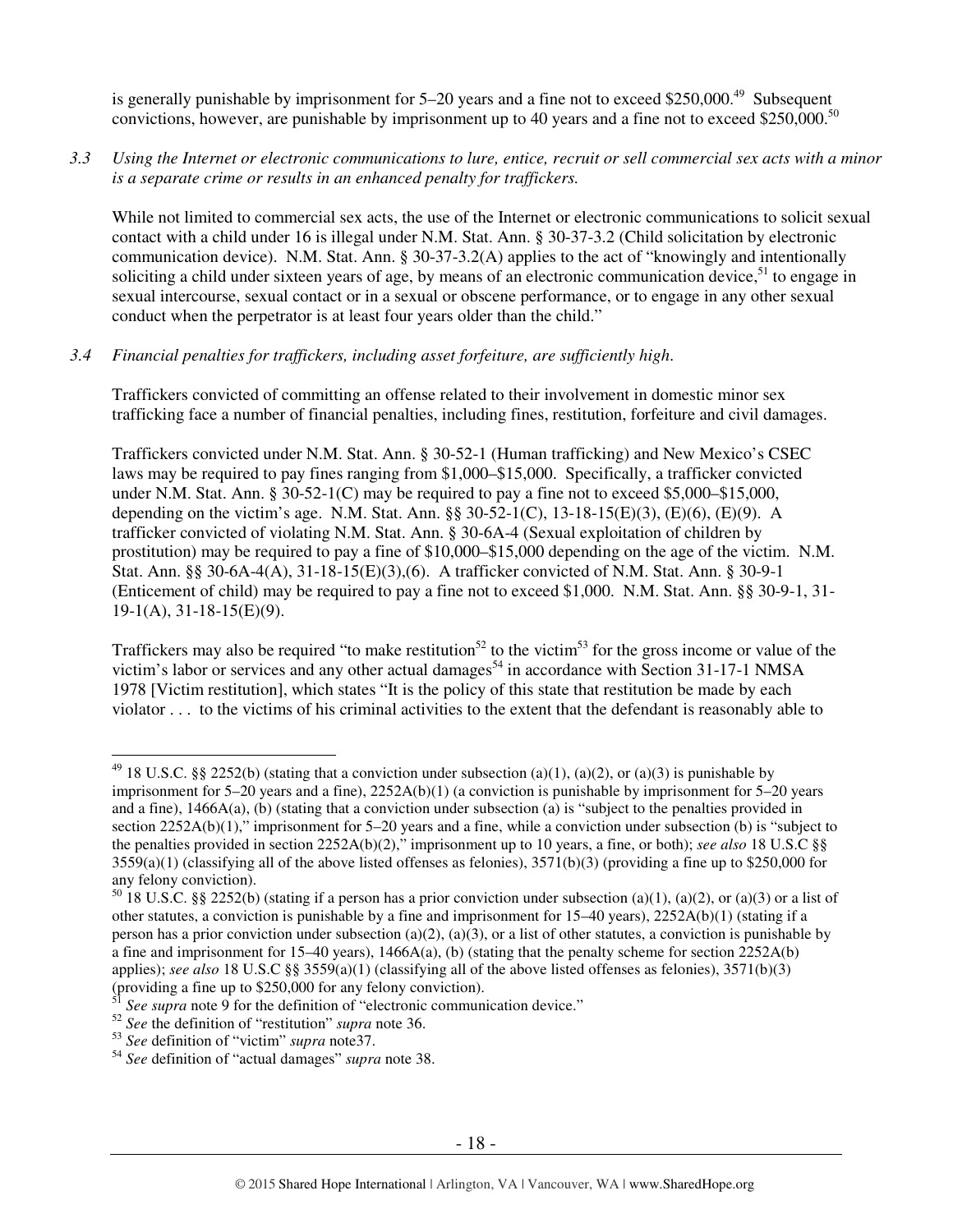is generally punishable by imprisonment for  $5-20$  years and a fine not to exceed \$250,000.<sup>49</sup> Subsequent convictions, however, are punishable by imprisonment up to 40 years and a fine not to exceed \$250,000.<sup>50</sup>

*3.3 Using the Internet or electronic communications to lure, entice, recruit or sell commercial sex acts with a minor is a separate crime or results in an enhanced penalty for traffickers.* 

While not limited to commercial sex acts, the use of the Internet or electronic communications to solicit sexual contact with a child under 16 is illegal under N.M. Stat. Ann. § 30-37-3.2 (Child solicitation by electronic communication device). N.M. Stat. Ann. § 30-37-3.2(A) applies to the act of "knowingly and intentionally soliciting a child under sixteen years of age, by means of an electronic communication device,  $51$  to engage in sexual intercourse, sexual contact or in a sexual or obscene performance, or to engage in any other sexual conduct when the perpetrator is at least four years older than the child."

## *3.4 Financial penalties for traffickers, including asset forfeiture, are sufficiently high*.

Traffickers convicted of committing an offense related to their involvement in domestic minor sex trafficking face a number of financial penalties, including fines, restitution, forfeiture and civil damages.

Traffickers convicted under N.M. Stat. Ann. § 30-52-1 (Human trafficking) and New Mexico's CSEC laws may be required to pay fines ranging from \$1,000–\$15,000. Specifically, a trafficker convicted under N.M. Stat. Ann.  $\S 30-52-1(C)$  may be required to pay a fine not to exceed \$5,000–\$15,000, depending on the victim's age. N.M. Stat. Ann. §§ 30-52-1(C), 13-18-15(E)(3), (E)(6), (E)(9). A trafficker convicted of violating N.M. Stat. Ann. § 30-6A-4 (Sexual exploitation of children by prostitution) may be required to pay a fine of \$10,000–\$15,000 depending on the age of the victim. N.M. Stat. Ann. §§ 30-6A-4(A), 31-18-15(E)(3),(6). A trafficker convicted of N.M. Stat. Ann. § 30-9-1 (Enticement of child) may be required to pay a fine not to exceed \$1,000. N.M. Stat. Ann. §§ 30-9-1, 31-  $19-1(A), 31-18-15(E)(9).$ 

Traffickers may also be required "to make restitution<sup>52</sup> to the victim<sup>53</sup> for the gross income or value of the victim's labor or services and any other actual damages<sup>54</sup> in accordance with Section 31-17-1 NMSA 1978 [Victim restitution], which states "It is the policy of this state that restitution be made by each violator . . . to the victims of his criminal activities to the extent that the defendant is reasonably able to

<sup>&</sup>lt;sup>49</sup> 18 U.S.C. §§ 2252(b) (stating that a conviction under subsection (a)(1), (a)(2), or (a)(3) is punishable by imprisonment for 5–20 years and a fine), 2252A(b)(1) (a conviction is punishable by imprisonment for 5–20 years and a fine), 1466A(a), (b) (stating that a conviction under subsection (a) is "subject to the penalties provided in section 2252A(b)(1)," imprisonment for 5–20 years and a fine, while a conviction under subsection (b) is "subject to the penalties provided in section 2252A(b)(2)," imprisonment up to 10 years, a fine, or both); *see also* 18 U.S.C §§  $3559(a)(1)$  (classifying all of the above listed offenses as felonies),  $3571(b)(3)$  (providing a fine up to \$250,000 for any felony conviction).

 $50$  18 U.S.C. §§ 2252(b) (stating if a person has a prior conviction under subsection (a)(1), (a)(2), or (a)(3) or a list of other statutes, a conviction is punishable by a fine and imprisonment for  $15-40$  years),  $2252A(b)(1)$  (stating if a person has a prior conviction under subsection (a)(2), (a)(3), or a list of other statutes, a conviction is punishable by a fine and imprisonment for 15–40 years),  $1466A(a)$ , (b) (stating that the penalty scheme for section 2252A(b) applies); *see also* 18 U.S.C §§ 3559(a)(1) (classifying all of the above listed offenses as felonies), 3571(b)(3) (providing a fine up to \$250,000 for any felony conviction).

See supra note 9 for the definition of "electronic communication device."

<sup>52</sup> *See* the definition of "restitution" *supra* note 36.

<sup>53</sup> *See* definition of "victim" *supra* note37.

<sup>54</sup> *See* definition of "actual damages" *supra* note 38.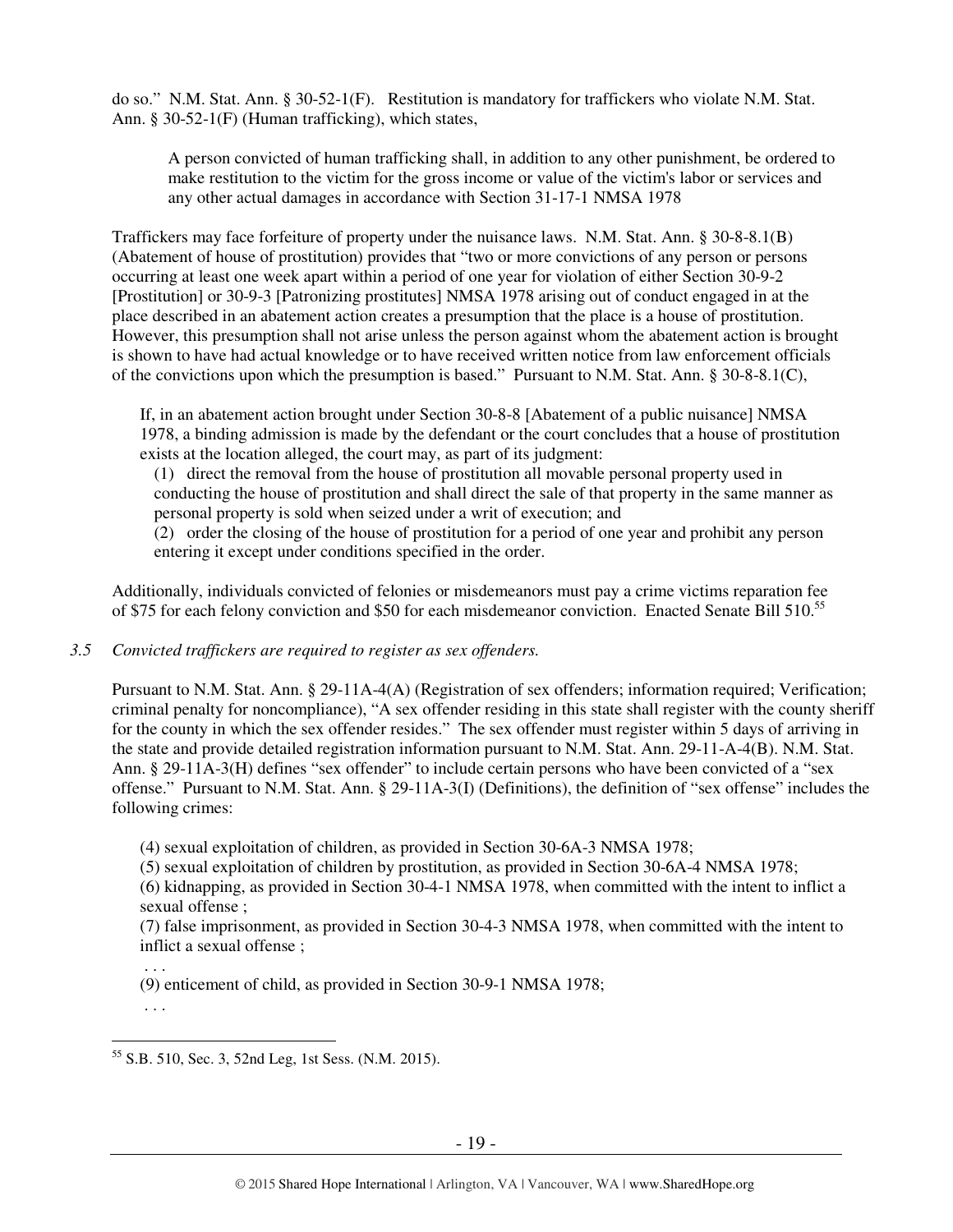do so." N.M. Stat. Ann. § 30-52-1(F). Restitution is mandatory for traffickers who violate N.M. Stat. Ann. § 30-52-1(F) (Human trafficking), which states,

A person convicted of human trafficking shall, in addition to any other punishment, be ordered to make restitution to the victim for the gross income or value of the victim's labor or services and any other actual damages in accordance with Section 31-17-1 NMSA 1978

Traffickers may face forfeiture of property under the nuisance laws. N.M. Stat. Ann. § 30-8-8.1(B) (Abatement of house of prostitution) provides that "two or more convictions of any person or persons occurring at least one week apart within a period of one year for violation of either Section 30-9-2 [Prostitution] or 30-9-3 [Patronizing prostitutes] NMSA 1978 arising out of conduct engaged in at the place described in an abatement action creates a presumption that the place is a house of prostitution. However, this presumption shall not arise unless the person against whom the abatement action is brought is shown to have had actual knowledge or to have received written notice from law enforcement officials of the convictions upon which the presumption is based." Pursuant to N.M. Stat. Ann.  $\S 30-8-8.1(C)$ ,

If, in an abatement action brought under Section 30-8-8 [Abatement of a public nuisance] NMSA 1978, a binding admission is made by the defendant or the court concludes that a house of prostitution exists at the location alleged, the court may, as part of its judgment:

(1) direct the removal from the house of prostitution all movable personal property used in conducting the house of prostitution and shall direct the sale of that property in the same manner as personal property is sold when seized under a writ of execution; and

(2) order the closing of the house of prostitution for a period of one year and prohibit any person entering it except under conditions specified in the order.

Additionally, individuals convicted of felonies or misdemeanors must pay a crime victims reparation fee of \$75 for each felony conviction and \$50 for each misdemeanor conviction. Enacted Senate Bill 510.<sup>55</sup>

*3.5 Convicted traffickers are required to register as sex offenders.*

Pursuant to N.M. Stat. Ann. § 29-11A-4(A) (Registration of sex offenders; information required; Verification; criminal penalty for noncompliance), "A sex offender residing in this state shall register with the county sheriff for the county in which the sex offender resides." The sex offender must register within 5 days of arriving in the state and provide detailed registration information pursuant to N.M. Stat. Ann. 29-11-A-4(B). N.M. Stat. Ann. § 29-11A-3(H) defines "sex offender" to include certain persons who have been convicted of a "sex offense." Pursuant to N.M. Stat. Ann. § 29-11A-3(I) (Definitions), the definition of "sex offense" includes the following crimes:

(4) sexual exploitation of children, as provided in Section 30-6A-3 NMSA 1978;

(5) sexual exploitation of children by prostitution, as provided in Section 30-6A-4 NMSA 1978;

(6) kidnapping, as provided in Section 30-4-1 NMSA 1978, when committed with the intent to inflict a sexual offense ;

(7) false imprisonment, as provided in Section 30-4-3 NMSA 1978, when committed with the intent to inflict a sexual offense ;

(9) enticement of child, as provided in Section 30-9-1 NMSA 1978;

. . .

. . .

 $\overline{a}$ <sup>55</sup> S.B. 510, Sec. 3, 52nd Leg, 1st Sess. (N.M. 2015).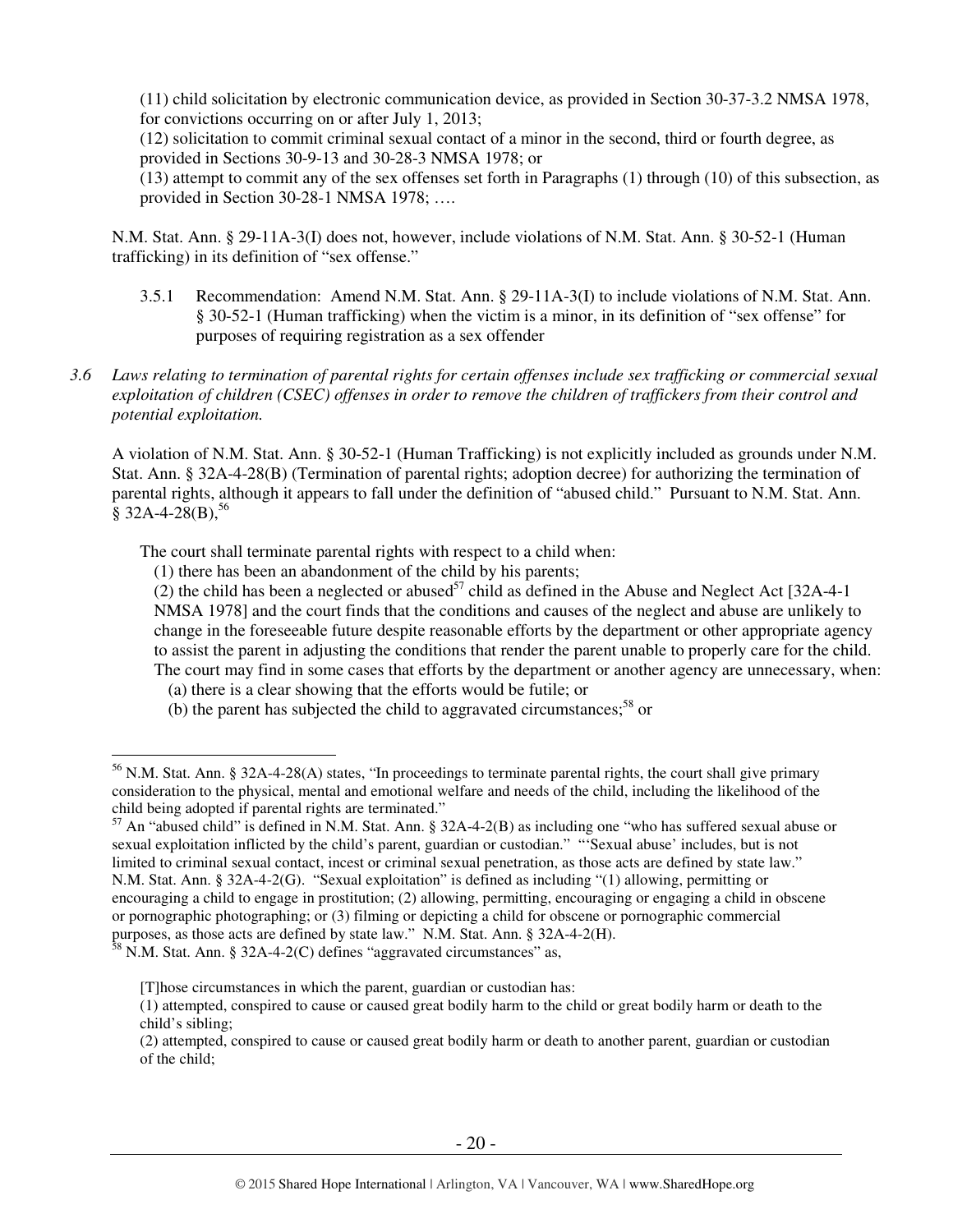(11) child solicitation by electronic communication device, as provided in Section 30-37-3.2 NMSA 1978, for convictions occurring on or after July 1, 2013;

(12) solicitation to commit criminal sexual contact of a minor in the second, third or fourth degree, as provided in Sections 30-9-13 and 30-28-3 NMSA 1978; or

(13) attempt to commit any of the sex offenses set forth in Paragraphs (1) through (10) of this subsection, as provided in Section 30-28-1 NMSA 1978; ….

N.M. Stat. Ann. § 29-11A-3(I) does not, however, include violations of N.M. Stat. Ann. § 30-52-1 (Human trafficking) in its definition of "sex offense."

- 3.5.1 Recommendation: Amend N.M. Stat. Ann. § 29-11A-3(I) to include violations of N.M. Stat. Ann. § 30-52-1 (Human trafficking) when the victim is a minor, in its definition of "sex offense" for purposes of requiring registration as a sex offender
- *3.6 Laws relating to termination of parental rights for certain offenses include sex trafficking or commercial sexual exploitation of children (CSEC) offenses in order to remove the children of traffickers from their control and potential exploitation.*

A violation of N.M. Stat. Ann. § 30-52-1 (Human Trafficking) is not explicitly included as grounds under N.M. Stat. Ann. § 32A-4-28(B) (Termination of parental rights; adoption decree) for authorizing the termination of parental rights, although it appears to fall under the definition of "abused child." Pursuant to N.M. Stat. Ann.  $\bar{\S}$  32A-4-28(B),<sup>56</sup>

The court shall terminate parental rights with respect to a child when:

(1) there has been an abandonment of the child by his parents;

(2) the child has been a neglected or abused<sup>57</sup> child as defined in the Abuse and Neglect Act [32A-4-1] NMSA 1978] and the court finds that the conditions and causes of the neglect and abuse are unlikely to change in the foreseeable future despite reasonable efforts by the department or other appropriate agency to assist the parent in adjusting the conditions that render the parent unable to properly care for the child. The court may find in some cases that efforts by the department or another agency are unnecessary, when:

- (a) there is a clear showing that the efforts would be futile; or
- (b) the parent has subjected the child to aggravated circumstances;<sup>58</sup> or

<sup>&</sup>lt;sup>56</sup> N.M. Stat. Ann. § 32A-4-28(A) states, "In proceedings to terminate parental rights, the court shall give primary consideration to the physical, mental and emotional welfare and needs of the child, including the likelihood of the child being adopted if parental rights are terminated."

 $57$  An "abused child" is defined in N.M. Stat. Ann. § 32A-4-2(B) as including one "who has suffered sexual abuse or sexual exploitation inflicted by the child's parent, guardian or custodian." "'Sexual abuse' includes, but is not limited to criminal sexual contact, incest or criminal sexual penetration, as those acts are defined by state law." N.M. Stat. Ann. § 32A-4-2(G). "Sexual exploitation" is defined as including "(1) allowing, permitting or encouraging a child to engage in prostitution; (2) allowing, permitting, encouraging or engaging a child in obscene or pornographic photographing; or (3) filming or depicting a child for obscene or pornographic commercial purposes, as those acts are defined by state law." N.M. Stat. Ann. § 32A-4-2(H).

 $58$  N.M. Stat. Ann. § 32A-4-2(C) defines "aggravated circumstances" as,

<sup>[</sup>T]hose circumstances in which the parent, guardian or custodian has:

<sup>(1)</sup> attempted, conspired to cause or caused great bodily harm to the child or great bodily harm or death to the child's sibling;

<sup>(2)</sup> attempted, conspired to cause or caused great bodily harm or death to another parent, guardian or custodian of the child;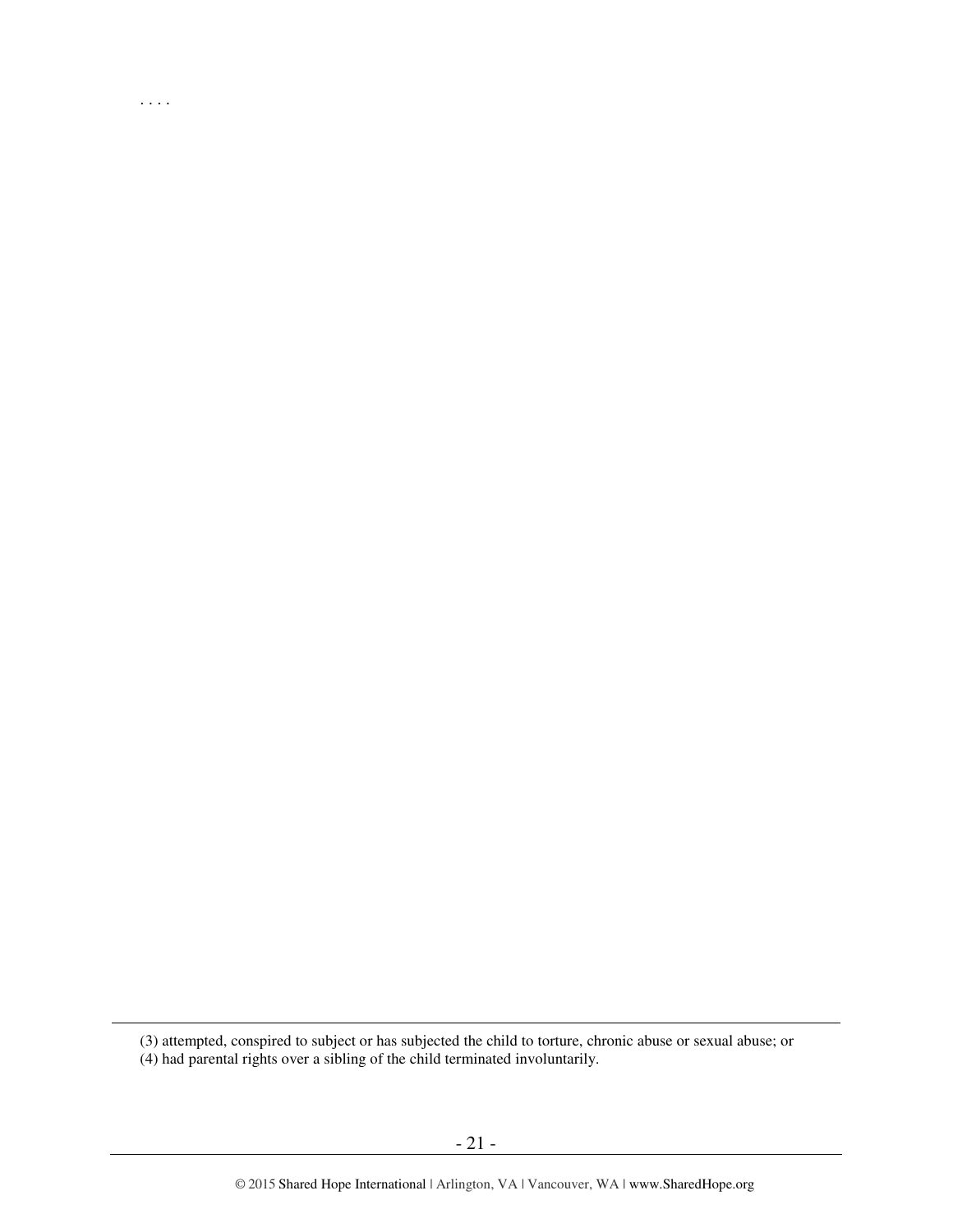(3) attempted, conspired to subject or has subjected the child to torture, chronic abuse or sexual abuse; or

(4) had parental rights over a sibling of the child terminated involuntarily.

. . . .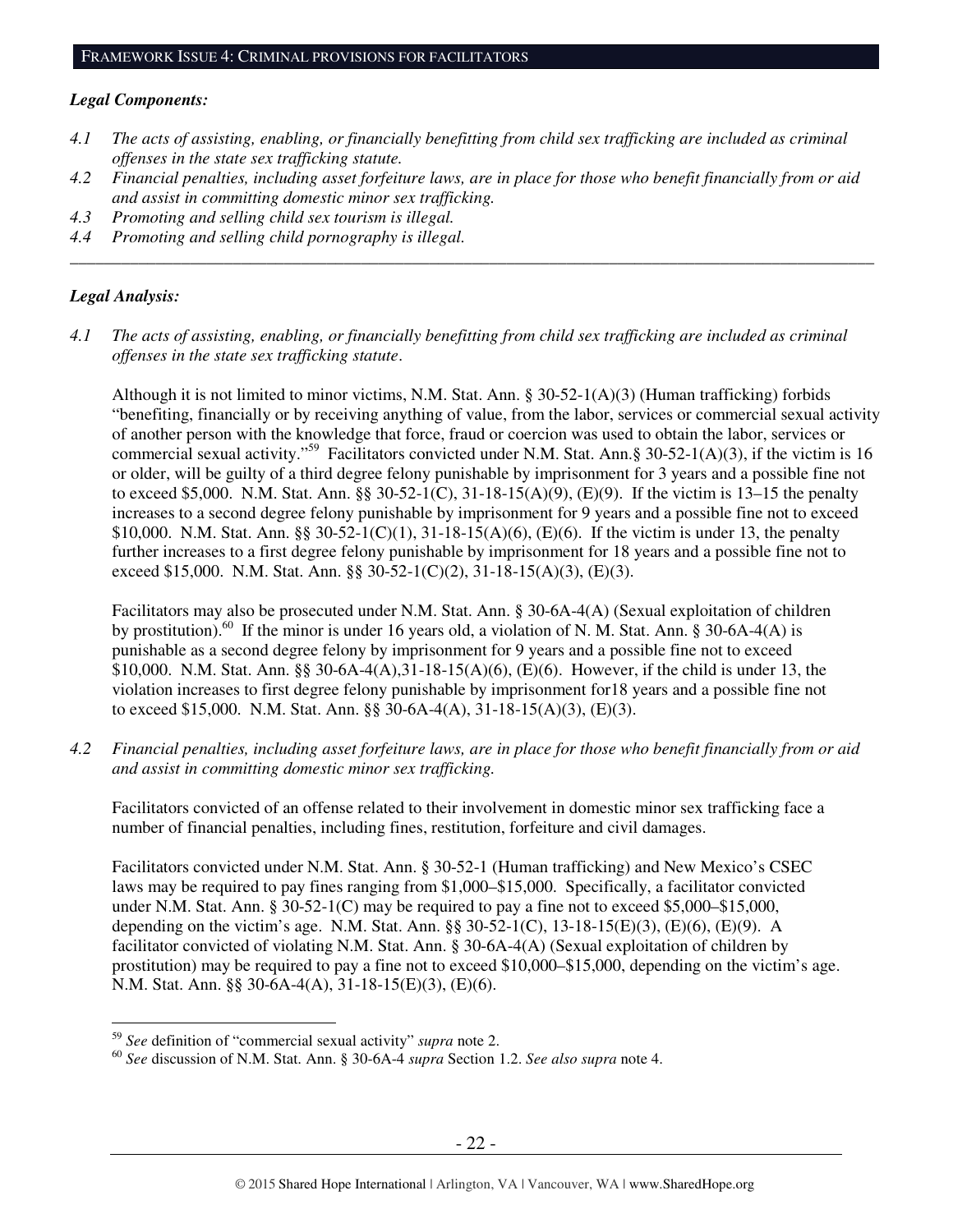#### *Legal Components:*

- *4.1 The acts of assisting, enabling, or financially benefitting from child sex trafficking are included as criminal offenses in the state sex trafficking statute.*
- *4.2 Financial penalties, including asset forfeiture laws, are in place for those who benefit financially from or aid and assist in committing domestic minor sex trafficking.*

*\_\_\_\_\_\_\_\_\_\_\_\_\_\_\_\_\_\_\_\_\_\_\_\_\_\_\_\_\_\_\_\_\_\_\_\_\_\_\_\_\_\_\_\_\_\_\_\_\_\_\_\_\_\_\_\_\_\_\_\_\_\_\_\_\_\_\_\_\_\_\_\_\_\_\_\_\_\_\_\_\_\_\_\_\_\_\_\_\_\_\_\_\_\_* 

- *4.3 Promoting and selling child sex tourism is illegal.*
- *4.4 Promoting and selling child pornography is illegal.*

## *Legal Analysis:*

 $\overline{a}$ 

*4.1 The acts of assisting, enabling, or financially benefitting from child sex trafficking are included as criminal offenses in the state sex trafficking statute*.

Although it is not limited to minor victims, N.M. Stat. Ann.  $\S 30-52-1(A)(3)$  (Human trafficking) forbids "benefiting, financially or by receiving anything of value, from the labor, services or commercial sexual activity of another person with the knowledge that force, fraud or coercion was used to obtain the labor, services or commercial sexual activity."<sup>59</sup> Facilitators convicted under N.M. Stat. Ann.§ 30-52-1(A)(3), if the victim is 16 or older, will be guilty of a third degree felony punishable by imprisonment for 3 years and a possible fine not to exceed \$5,000. N.M. Stat. Ann. §§ 30-52-1(C), 31-18-15(A)(9), (E)(9). If the victim is 13–15 the penalty increases to a second degree felony punishable by imprisonment for 9 years and a possible fine not to exceed \$10,000. N.M. Stat. Ann. §§ 30-52-1(C)(1), 31-18-15(A)(6), (E)(6). If the victim is under 13, the penalty further increases to a first degree felony punishable by imprisonment for 18 years and a possible fine not to exceed \$15,000. N.M. Stat. Ann. §§ 30-52-1(C)(2), 31-18-15(A)(3), (E)(3).

Facilitators may also be prosecuted under N.M. Stat. Ann. § 30-6A-4(A) (Sexual exploitation of children by prostitution).<sup>60</sup> If the minor is under 16 years old, a violation of N. M. Stat. Ann. § 30-6A-4(A) is punishable as a second degree felony by imprisonment for 9 years and a possible fine not to exceed \$10,000. N.M. Stat. Ann. §§ 30-6A-4(A),31-18-15(A)(6), (E)(6). However, if the child is under 13, the violation increases to first degree felony punishable by imprisonment for18 years and a possible fine not to exceed \$15,000. N.M. Stat. Ann. §§ 30-6A-4(A), 31-18-15(A)(3), (E)(3).

*4.2 Financial penalties, including asset forfeiture laws, are in place for those who benefit financially from or aid and assist in committing domestic minor sex trafficking.* 

Facilitators convicted of an offense related to their involvement in domestic minor sex trafficking face a number of financial penalties, including fines, restitution, forfeiture and civil damages.

Facilitators convicted under N.M. Stat. Ann. § 30-52-1 (Human trafficking) and New Mexico's CSEC laws may be required to pay fines ranging from \$1,000–\$15,000. Specifically, a facilitator convicted under N.M. Stat. Ann. § 30-52-1(C) may be required to pay a fine not to exceed \$5,000–\$15,000, depending on the victim's age. N.M. Stat. Ann. §§ 30-52-1(C), 13-18-15(E)(3), (E)(6), (E)(9). A facilitator convicted of violating N.M. Stat. Ann. § 30-6A-4(A) (Sexual exploitation of children by prostitution) may be required to pay a fine not to exceed \$10,000–\$15,000, depending on the victim's age. N.M. Stat. Ann. §§ 30-6A-4(A), 31-18-15(E)(3), (E)(6).

<sup>59</sup> *See* definition of "commercial sexual activity" *supra* note 2.

<sup>60</sup> *See* discussion of N.M. Stat. Ann. § 30-6A-4 *supra* Section 1.2. *See also supra* note 4.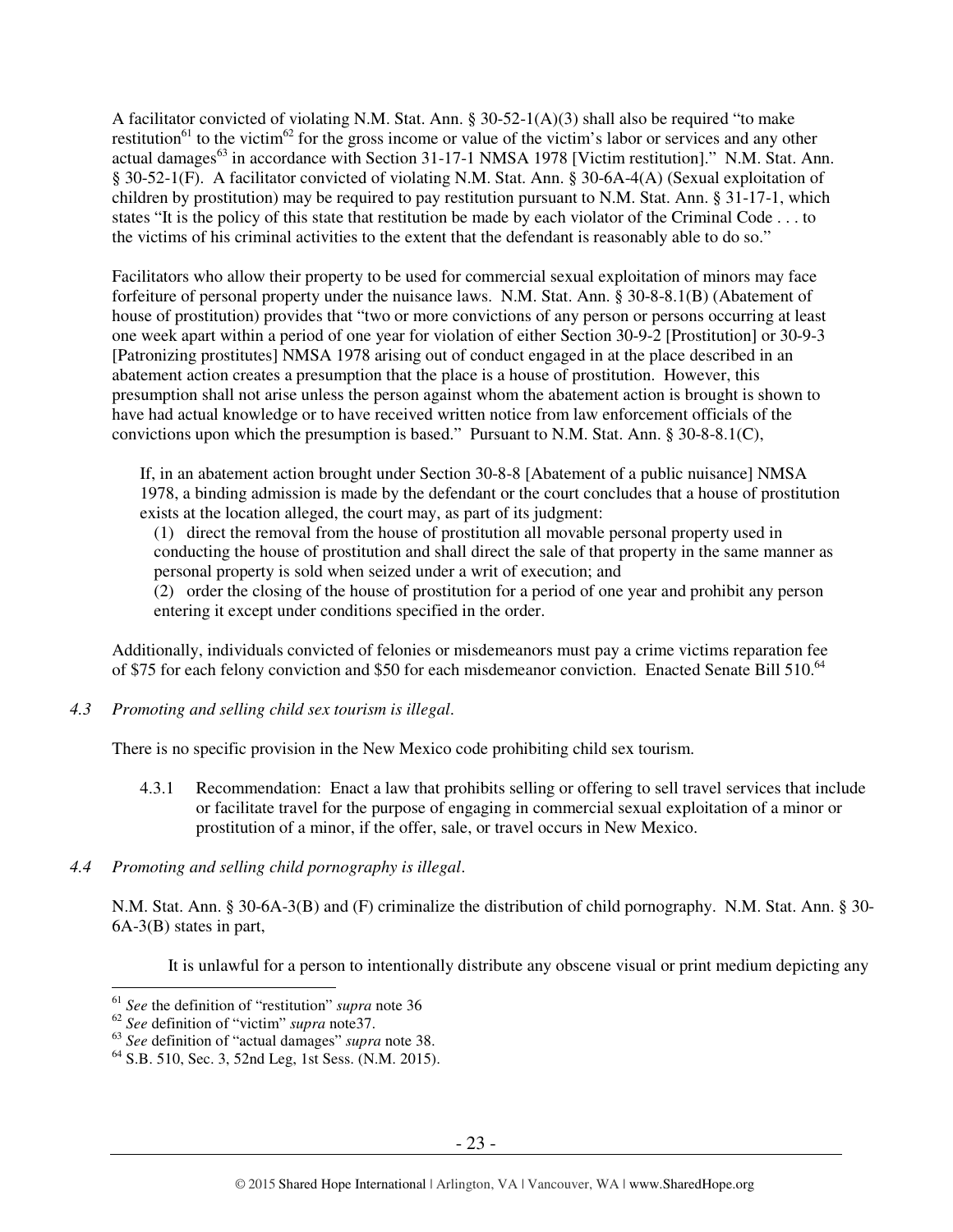A facilitator convicted of violating N.M. Stat. Ann. § 30-52-1(A)(3) shall also be required "to make restitution<sup>61</sup> to the victim<sup>62</sup> for the gross income or value of the victim's labor or services and any other actual damages<sup>63</sup> in accordance with Section 31-17-1 NMSA 1978 [Victim restitution]." N.M. Stat. Ann. § 30-52-1(F). A facilitator convicted of violating N.M. Stat. Ann. § 30-6A-4(A) (Sexual exploitation of children by prostitution) may be required to pay restitution pursuant to N.M. Stat. Ann. § 31-17-1, which states "It is the policy of this state that restitution be made by each violator of the Criminal Code . . . to the victims of his criminal activities to the extent that the defendant is reasonably able to do so."

Facilitators who allow their property to be used for commercial sexual exploitation of minors may face forfeiture of personal property under the nuisance laws. N.M. Stat. Ann. § 30-8-8.1(B) (Abatement of house of prostitution) provides that "two or more convictions of any person or persons occurring at least one week apart within a period of one year for violation of either Section 30-9-2 [Prostitution] or 30-9-3 [Patronizing prostitutes] NMSA 1978 arising out of conduct engaged in at the place described in an abatement action creates a presumption that the place is a house of prostitution. However, this presumption shall not arise unless the person against whom the abatement action is brought is shown to have had actual knowledge or to have received written notice from law enforcement officials of the convictions upon which the presumption is based." Pursuant to N.M. Stat. Ann. § 30-8-8.1(C),

If, in an abatement action brought under Section 30-8-8 [Abatement of a public nuisance] NMSA 1978, a binding admission is made by the defendant or the court concludes that a house of prostitution exists at the location alleged, the court may, as part of its judgment:

(1) direct the removal from the house of prostitution all movable personal property used in conducting the house of prostitution and shall direct the sale of that property in the same manner as personal property is sold when seized under a writ of execution; and

(2) order the closing of the house of prostitution for a period of one year and prohibit any person entering it except under conditions specified in the order.

Additionally, individuals convicted of felonies or misdemeanors must pay a crime victims reparation fee of \$75 for each felony conviction and \$50 for each misdemeanor conviction. Enacted Senate Bill 510.<sup>64</sup>

*4.3 Promoting and selling child sex tourism is illegal*.

There is no specific provision in the New Mexico code prohibiting child sex tourism.

- 4.3.1 Recommendation: Enact a law that prohibits selling or offering to sell travel services that include or facilitate travel for the purpose of engaging in commercial sexual exploitation of a minor or prostitution of a minor, if the offer, sale, or travel occurs in New Mexico.
- *4.4 Promoting and selling child pornography is illegal*.

N.M. Stat. Ann. § 30-6A-3(B) and (F) criminalize the distribution of child pornography. N.M. Stat. Ann. § 30- 6A-3(B) states in part,

It is unlawful for a person to intentionally distribute any obscene visual or print medium depicting any

<sup>61</sup> *See* the definition of "restitution" *supra* note 36

<sup>62</sup> *See* definition of "victim" *supra* note37.

<sup>63</sup> *See* definition of "actual damages" *supra* note 38.

 $64$  S.B. 510, Sec. 3, 52nd Leg, 1st Sess. (N.M. 2015).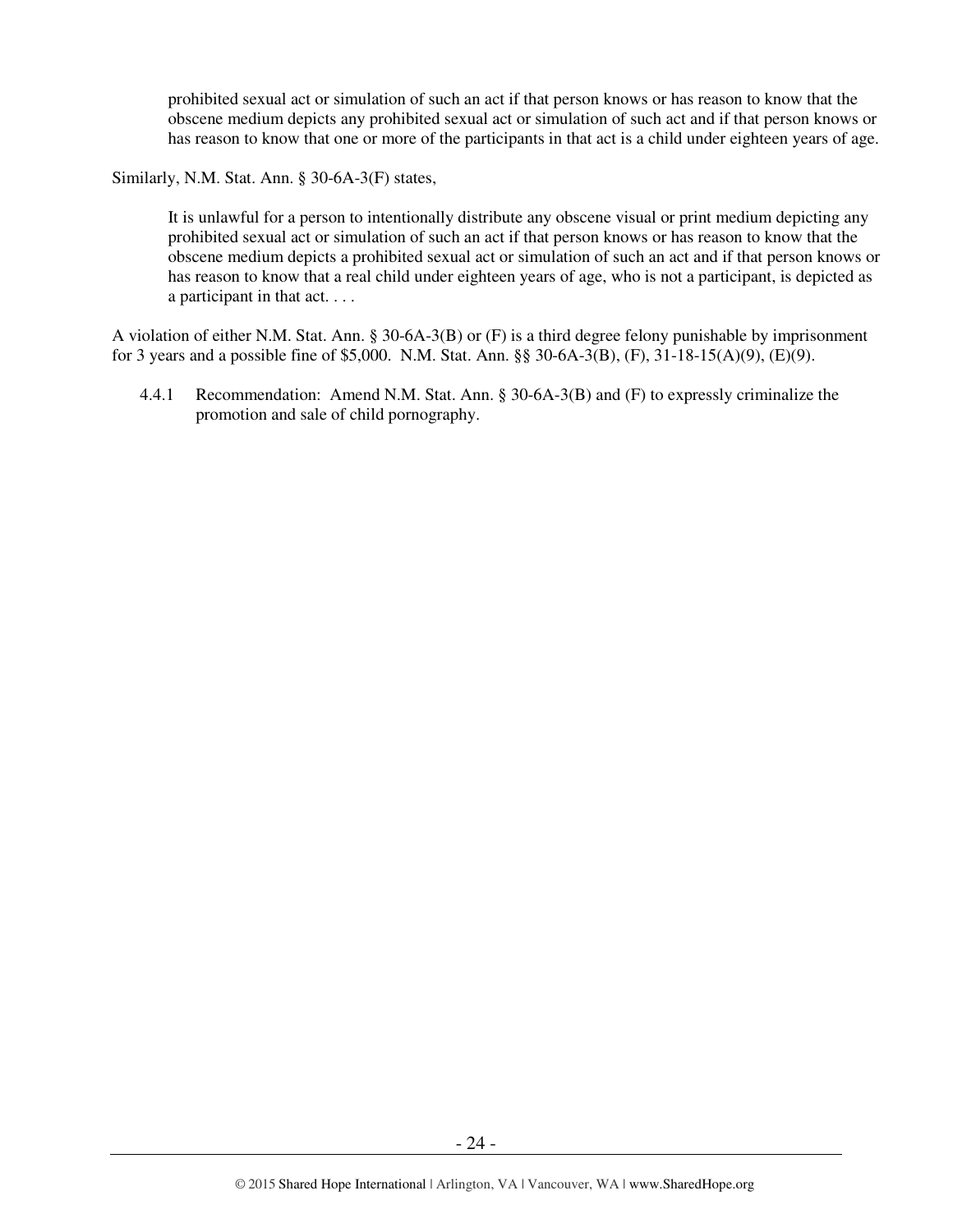prohibited sexual act or simulation of such an act if that person knows or has reason to know that the obscene medium depicts any prohibited sexual act or simulation of such act and if that person knows or has reason to know that one or more of the participants in that act is a child under eighteen years of age.

Similarly, N.M. Stat. Ann. § 30-6A-3(F) states,

It is unlawful for a person to intentionally distribute any obscene visual or print medium depicting any prohibited sexual act or simulation of such an act if that person knows or has reason to know that the obscene medium depicts a prohibited sexual act or simulation of such an act and if that person knows or has reason to know that a real child under eighteen years of age, who is not a participant, is depicted as a participant in that act. . . .

A violation of either N.M. Stat. Ann. § 30-6A-3(B) or (F) is a third degree felony punishable by imprisonment for 3 years and a possible fine of \$5,000. N.M. Stat. Ann. §§ 30-6A-3(B), (F), 31-18-15(A)(9), (E)(9).

4.4.1 Recommendation: Amend N.M. Stat. Ann. § 30-6A-3(B) and (F) to expressly criminalize the promotion and sale of child pornography.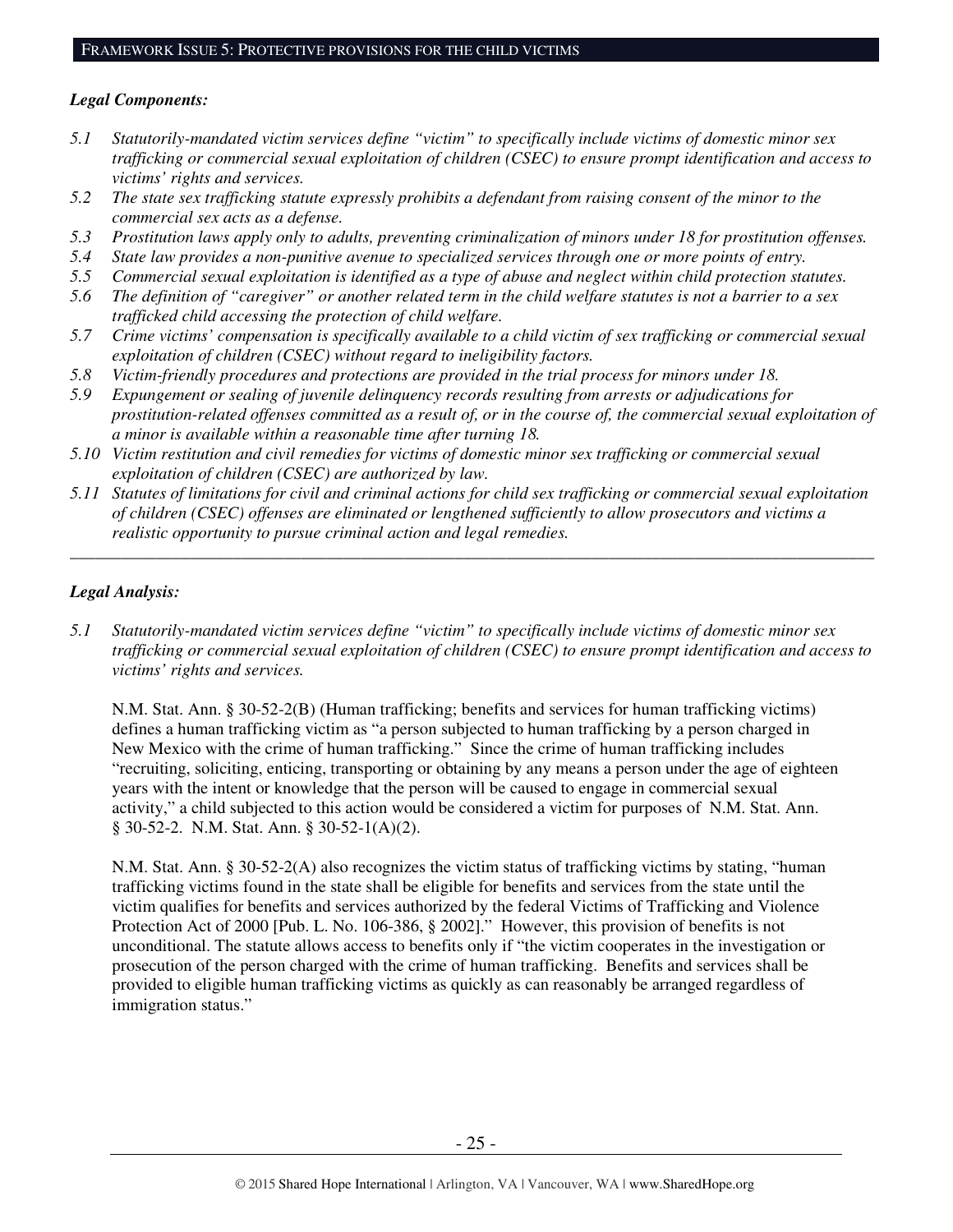## *Legal Components:*

- *5.1 Statutorily-mandated victim services define "victim" to specifically include victims of domestic minor sex trafficking or commercial sexual exploitation of children (CSEC) to ensure prompt identification and access to victims' rights and services.*
- *5.2 The state sex trafficking statute expressly prohibits a defendant from raising consent of the minor to the commercial sex acts as a defense.*
- *5.3 Prostitution laws apply only to adults, preventing criminalization of minors under 18 for prostitution offenses.*
- *5.4 State law provides a non-punitive avenue to specialized services through one or more points of entry.*
- *5.5 Commercial sexual exploitation is identified as a type of abuse and neglect within child protection statutes.*
- *5.6 The definition of "caregiver" or another related term in the child welfare statutes is not a barrier to a sex trafficked child accessing the protection of child welfare.*
- *5.7 Crime victims' compensation is specifically available to a child victim of sex trafficking or commercial sexual exploitation of children (CSEC) without regard to ineligibility factors.*
- *5.8 Victim-friendly procedures and protections are provided in the trial process for minors under 18.*
- *5.9 Expungement or sealing of juvenile delinquency records resulting from arrests or adjudications for prostitution-related offenses committed as a result of, or in the course of, the commercial sexual exploitation of a minor is available within a reasonable time after turning 18.*
- *5.10 Victim restitution and civil remedies for victims of domestic minor sex trafficking or commercial sexual exploitation of children (CSEC) are authorized by law.*
- *5.11 Statutes of limitations for civil and criminal actions for child sex trafficking or commercial sexual exploitation of children (CSEC) offenses are eliminated or lengthened sufficiently to allow prosecutors and victims a realistic opportunity to pursue criminal action and legal remedies.*

*\_\_\_\_\_\_\_\_\_\_\_\_\_\_\_\_\_\_\_\_\_\_\_\_\_\_\_\_\_\_\_\_\_\_\_\_\_\_\_\_\_\_\_\_\_\_\_\_\_\_\_\_\_\_\_\_\_\_\_\_\_\_\_\_\_\_\_\_\_\_\_\_\_\_\_\_\_\_\_\_\_\_\_\_\_\_\_\_\_\_\_\_\_\_* 

## *Legal Analysis:*

*5.1 Statutorily-mandated victim services define "victim" to specifically include victims of domestic minor sex trafficking or commercial sexual exploitation of children (CSEC) to ensure prompt identification and access to victims' rights and services.* 

N.M. Stat. Ann. § 30-52-2(B) (Human trafficking; benefits and services for human trafficking victims) defines a human trafficking victim as "a person subjected to human trafficking by a person charged in New Mexico with the crime of human trafficking." Since the crime of human trafficking includes "recruiting, soliciting, enticing, transporting or obtaining by any means a person under the age of eighteen years with the intent or knowledge that the person will be caused to engage in commercial sexual activity," a child subjected to this action would be considered a victim for purposes of N.M. Stat. Ann. § 30-52-2. N.M. Stat. Ann. § 30-52-1(A)(2).

N.M. Stat. Ann. § 30-52-2(A) also recognizes the victim status of trafficking victims by stating, "human trafficking victims found in the state shall be eligible for benefits and services from the state until the victim qualifies for benefits and services authorized by the federal Victims of Trafficking and Violence Protection Act of 2000 [Pub. L. No. 106-386, § 2002]." However, this provision of benefits is not unconditional. The statute allows access to benefits only if "the victim cooperates in the investigation or prosecution of the person charged with the crime of human trafficking. Benefits and services shall be provided to eligible human trafficking victims as quickly as can reasonably be arranged regardless of immigration status."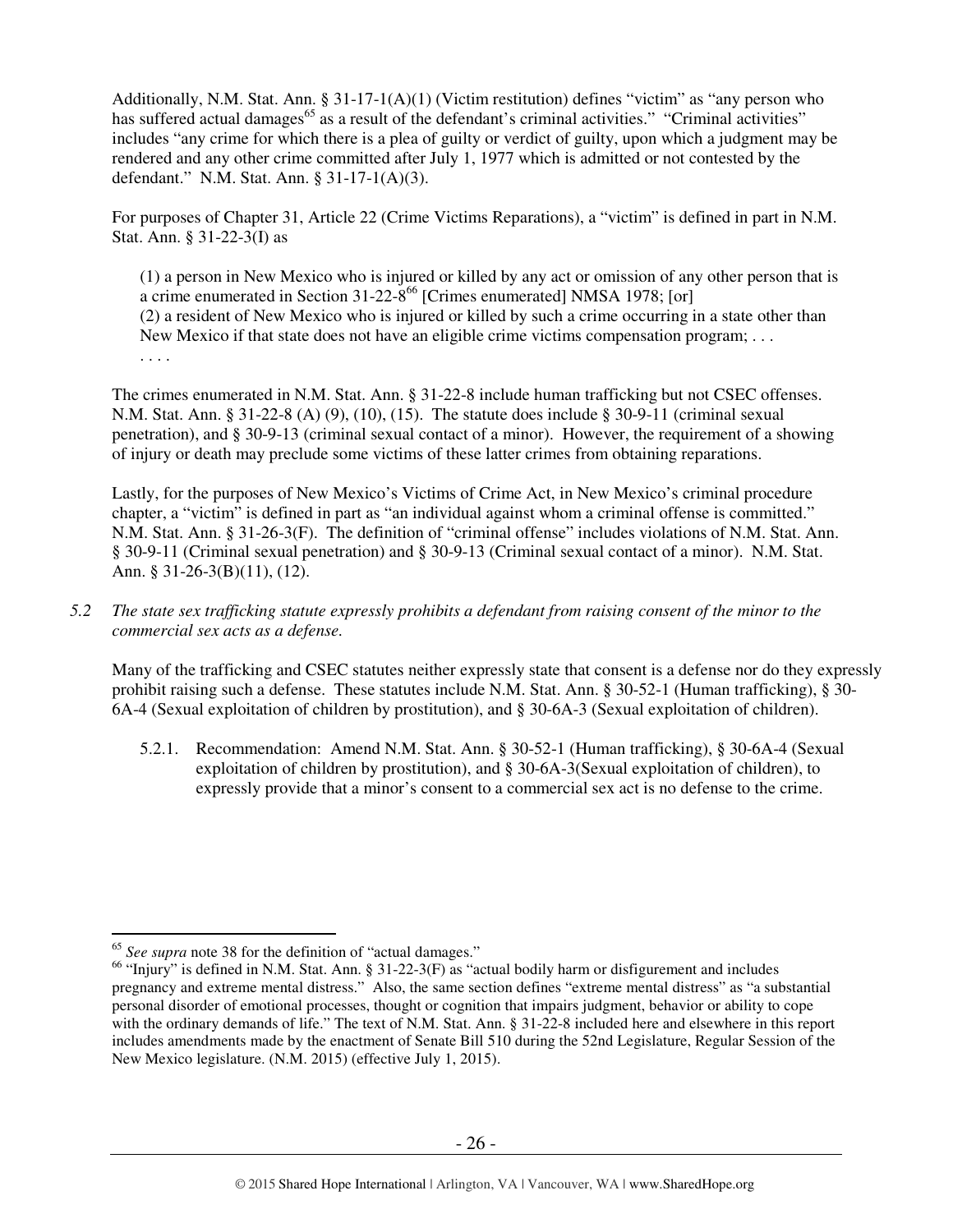Additionally, N.M. Stat. Ann. § 31-17-1(A)(1) (Victim restitution) defines "victim" as "any person who has suffered actual damages<sup>65</sup> as a result of the defendant's criminal activities." "Criminal activities" includes "any crime for which there is a plea of guilty or verdict of guilty, upon which a judgment may be rendered and any other crime committed after July 1, 1977 which is admitted or not contested by the defendant." N.M. Stat. Ann. § 31-17-1(A)(3).

For purposes of Chapter 31, Article 22 (Crime Victims Reparations), a "victim" is defined in part in N.M. Stat. Ann. § 31-22-3(I) as

(1) a person in New Mexico who is injured or killed by any act or omission of any other person that is a crime enumerated in Section 31-22-8<sup>66</sup> [Crimes enumerated] NMSA 1978; [or] (2) a resident of New Mexico who is injured or killed by such a crime occurring in a state other than New Mexico if that state does not have an eligible crime victims compensation program; . . . . . . .

The crimes enumerated in N.M. Stat. Ann. § 31-22-8 include human trafficking but not CSEC offenses. N.M. Stat. Ann. § 31-22-8 (A) (9), (10), (15). The statute does include § 30-9-11 (criminal sexual penetration), and § 30-9-13 (criminal sexual contact of a minor). However, the requirement of a showing of injury or death may preclude some victims of these latter crimes from obtaining reparations.

Lastly, for the purposes of New Mexico's Victims of Crime Act, in New Mexico's criminal procedure chapter, a "victim" is defined in part as "an individual against whom a criminal offense is committed." N.M. Stat. Ann. § 31-26-3(F). The definition of "criminal offense" includes violations of N.M. Stat. Ann. § 30-9-11 (Criminal sexual penetration) and § 30-9-13 (Criminal sexual contact of a minor). N.M. Stat. Ann. § 31-26-3(B)(11), (12).

*5.2 The state sex trafficking statute expressly prohibits a defendant from raising consent of the minor to the commercial sex acts as a defense.* 

Many of the trafficking and CSEC statutes neither expressly state that consent is a defense nor do they expressly prohibit raising such a defense. These statutes include N.M. Stat. Ann. § 30-52-1 (Human trafficking), § 30- 6A-4 (Sexual exploitation of children by prostitution), and § 30-6A-3 (Sexual exploitation of children).

5.2.1. Recommendation: Amend N.M. Stat. Ann. § 30-52-1 (Human trafficking), § 30-6A-4 (Sexual exploitation of children by prostitution), and § 30-6A-3(Sexual exploitation of children), to expressly provide that a minor's consent to a commercial sex act is no defense to the crime.

<sup>65</sup> *See supra* note 38 for the definition of "actual damages."

 $^{66}$  "Injury" is defined in N.M. Stat. Ann. § 31-22-3(F) as "actual bodily harm or disfigurement and includes pregnancy and extreme mental distress." Also, the same section defines "extreme mental distress" as "a substantial personal disorder of emotional processes, thought or cognition that impairs judgment, behavior or ability to cope with the ordinary demands of life." The text of N.M. Stat. Ann. § 31-22-8 included here and elsewhere in this report includes amendments made by the enactment of Senate Bill 510 during the 52nd Legislature, Regular Session of the New Mexico legislature. (N.M. 2015) (effective July 1, 2015).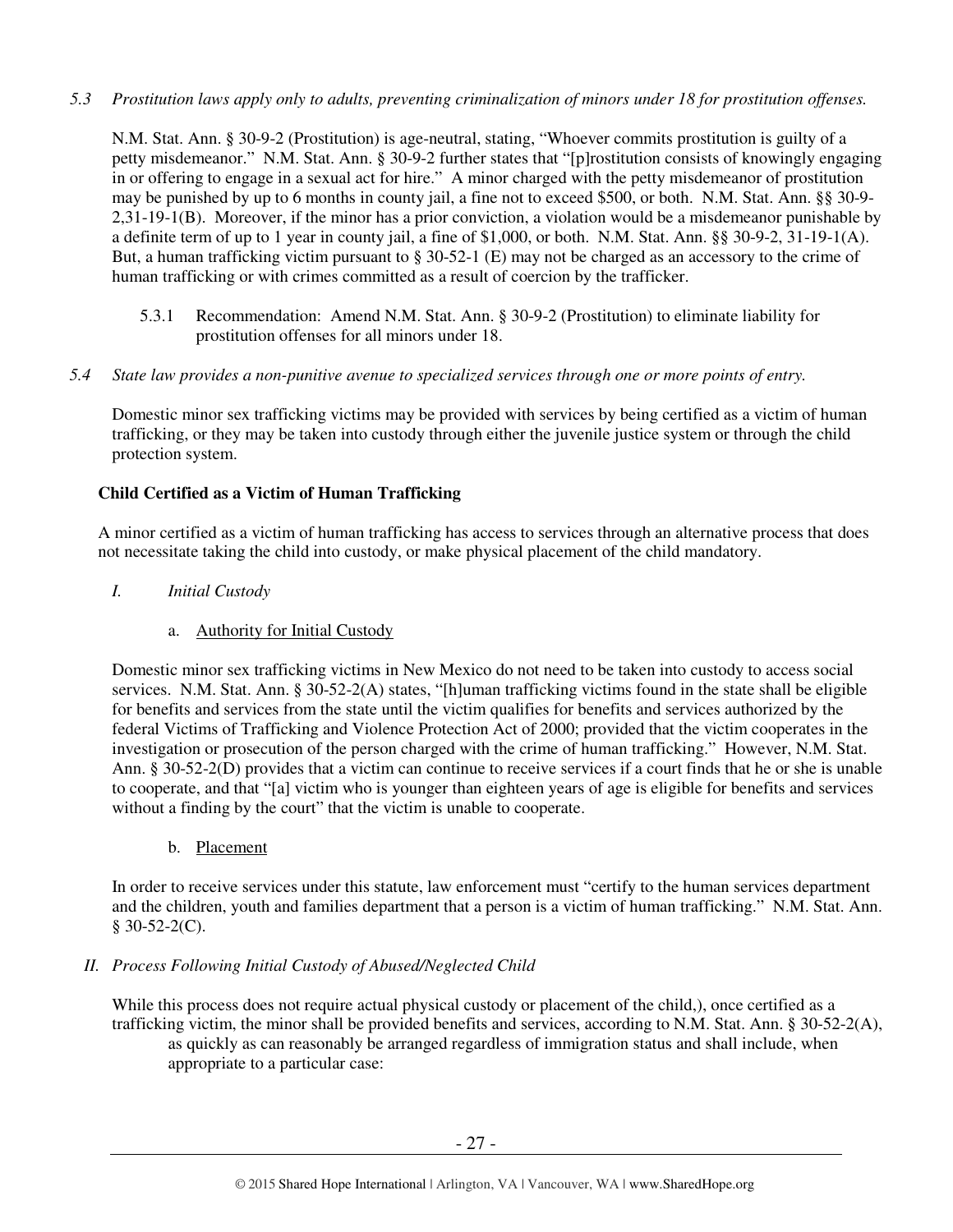## *5.3 Prostitution laws apply only to adults, preventing criminalization of minors under 18 for prostitution offenses.*

N.M. Stat. Ann. § 30-9-2 (Prostitution) is age-neutral, stating, "Whoever commits prostitution is guilty of a petty misdemeanor." N.M. Stat. Ann. § 30-9-2 further states that "[p]rostitution consists of knowingly engaging in or offering to engage in a sexual act for hire." A minor charged with the petty misdemeanor of prostitution may be punished by up to 6 months in county jail, a fine not to exceed \$500, or both. N.M. Stat. Ann. §§ 30-9- 2,31-19-1(B). Moreover, if the minor has a prior conviction, a violation would be a misdemeanor punishable by a definite term of up to 1 year in county jail, a fine of \$1,000, or both. N.M. Stat. Ann. §§ 30-9-2, 31-19-1(A). But, a human trafficking victim pursuant to § 30-52-1 (E) may not be charged as an accessory to the crime of human trafficking or with crimes committed as a result of coercion by the trafficker.

5.3.1 Recommendation: Amend N.M. Stat. Ann. § 30-9-2 (Prostitution) to eliminate liability for prostitution offenses for all minors under 18.

#### *5.4 State law provides a non-punitive avenue to specialized services through one or more points of entry.*

Domestic minor sex trafficking victims may be provided with services by being certified as a victim of human trafficking, or they may be taken into custody through either the juvenile justice system or through the child protection system.

## **Child Certified as a Victim of Human Trafficking**

A minor certified as a victim of human trafficking has access to services through an alternative process that does not necessitate taking the child into custody, or make physical placement of the child mandatory.

## *I. Initial Custody*

## a. Authority for Initial Custody

Domestic minor sex trafficking victims in New Mexico do not need to be taken into custody to access social services. N.M. Stat. Ann. § 30-52-2(A) states, "[h]uman trafficking victims found in the state shall be eligible for benefits and services from the state until the victim qualifies for benefits and services authorized by the federal Victims of Trafficking and Violence Protection Act of 2000; provided that the victim cooperates in the investigation or prosecution of the person charged with the crime of human trafficking." However, N.M. Stat. Ann. § 30-52-2(D) provides that a victim can continue to receive services if a court finds that he or she is unable to cooperate, and that "[a] victim who is younger than eighteen years of age is eligible for benefits and services without a finding by the court" that the victim is unable to cooperate.

b. Placement

In order to receive services under this statute, law enforcement must "certify to the human services department and the children, youth and families department that a person is a victim of human trafficking." N.M. Stat. Ann.  $$30-52-2(C)$ .

## *II. Process Following Initial Custody of Abused/Neglected Child*

While this process does not require actual physical custody or placement of the child,), once certified as a trafficking victim, the minor shall be provided benefits and services, according to N.M. Stat. Ann. § 30-52-2(A), as quickly as can reasonably be arranged regardless of immigration status and shall include, when appropriate to a particular case: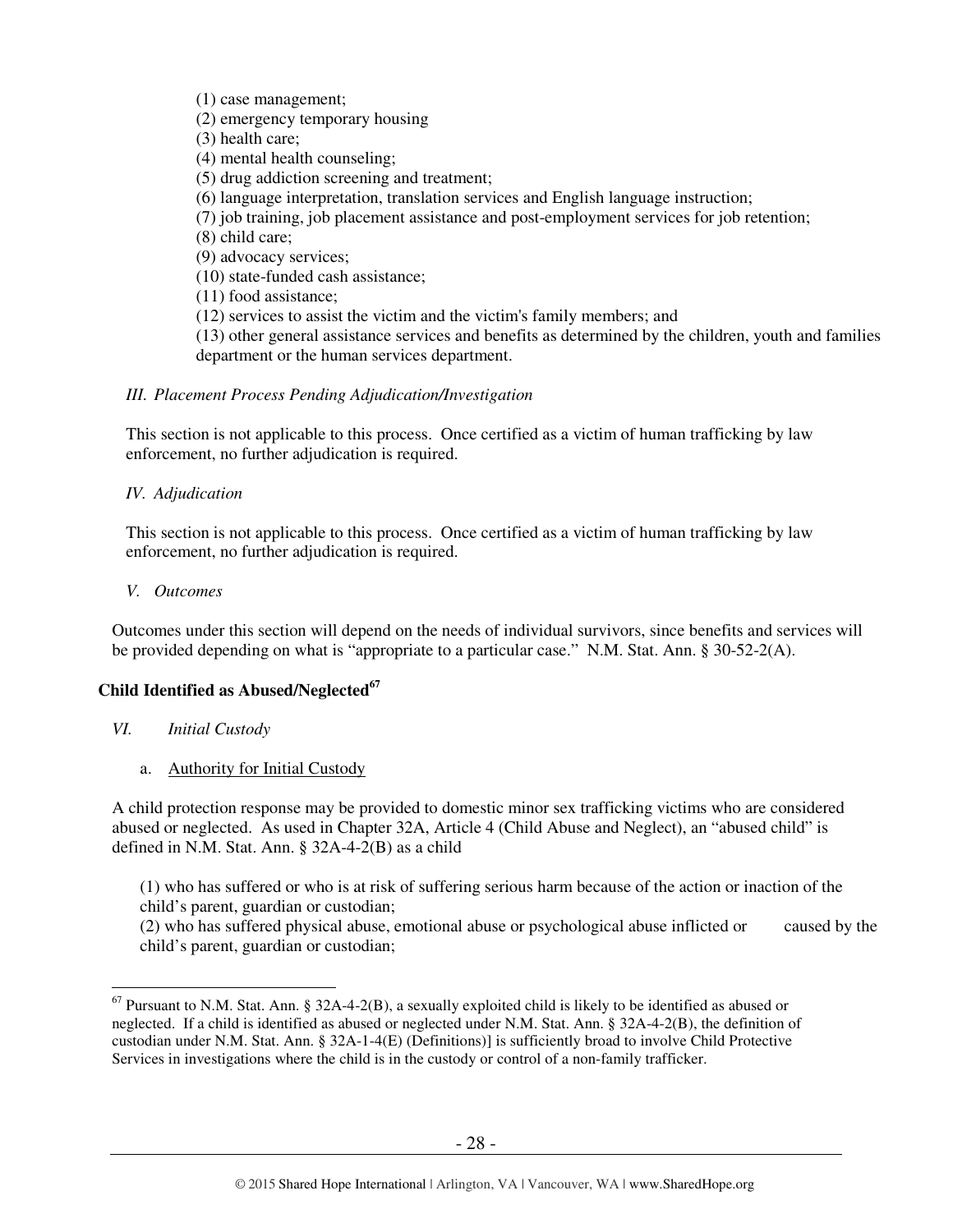(1) case management;

(2) emergency temporary housing

(3) health care;

(4) mental health counseling;

(5) drug addiction screening and treatment;

(6) language interpretation, translation services and English language instruction;

(7) job training, job placement assistance and post-employment services for job retention;

(8) child care;

(9) advocacy services;

(10) state-funded cash assistance;

(11) food assistance;

(12) services to assist the victim and the victim's family members; and

(13) other general assistance services and benefits as determined by the children, youth and families department or the human services department.

## *III. Placement Process Pending Adjudication/Investigation*

This section is not applicable to this process. Once certified as a victim of human trafficking by law enforcement, no further adjudication is required.

## *IV. Adjudication*

This section is not applicable to this process. Once certified as a victim of human trafficking by law enforcement, no further adjudication is required.

#### *V. Outcomes*

Outcomes under this section will depend on the needs of individual survivors, since benefits and services will be provided depending on what is "appropriate to a particular case." N.M. Stat. Ann. § 30-52-2(A).

#### **Child Identified as Abused/Neglected<sup>67</sup>**

*VI. Initial Custody*

 $\overline{a}$ 

a. Authority for Initial Custody

A child protection response may be provided to domestic minor sex trafficking victims who are considered abused or neglected. As used in Chapter 32A, Article 4 (Child Abuse and Neglect), an "abused child" is defined in N.M. Stat. Ann. § 32A-4-2(B) as a child

(1) who has suffered or who is at risk of suffering serious harm because of the action or inaction of the child's parent, guardian or custodian;

(2) who has suffered physical abuse, emotional abuse or psychological abuse inflicted or caused by the child's parent, guardian or custodian;

 $^{67}$  Pursuant to N.M. Stat. Ann. § 32A-4-2(B), a sexually exploited child is likely to be identified as abused or neglected. If a child is identified as abused or neglected under N.M. Stat. Ann. § 32A-4-2(B), the definition of custodian under N.M. Stat. Ann. § 32A-1-4(E) (Definitions)] is sufficiently broad to involve Child Protective Services in investigations where the child is in the custody or control of a non-family trafficker.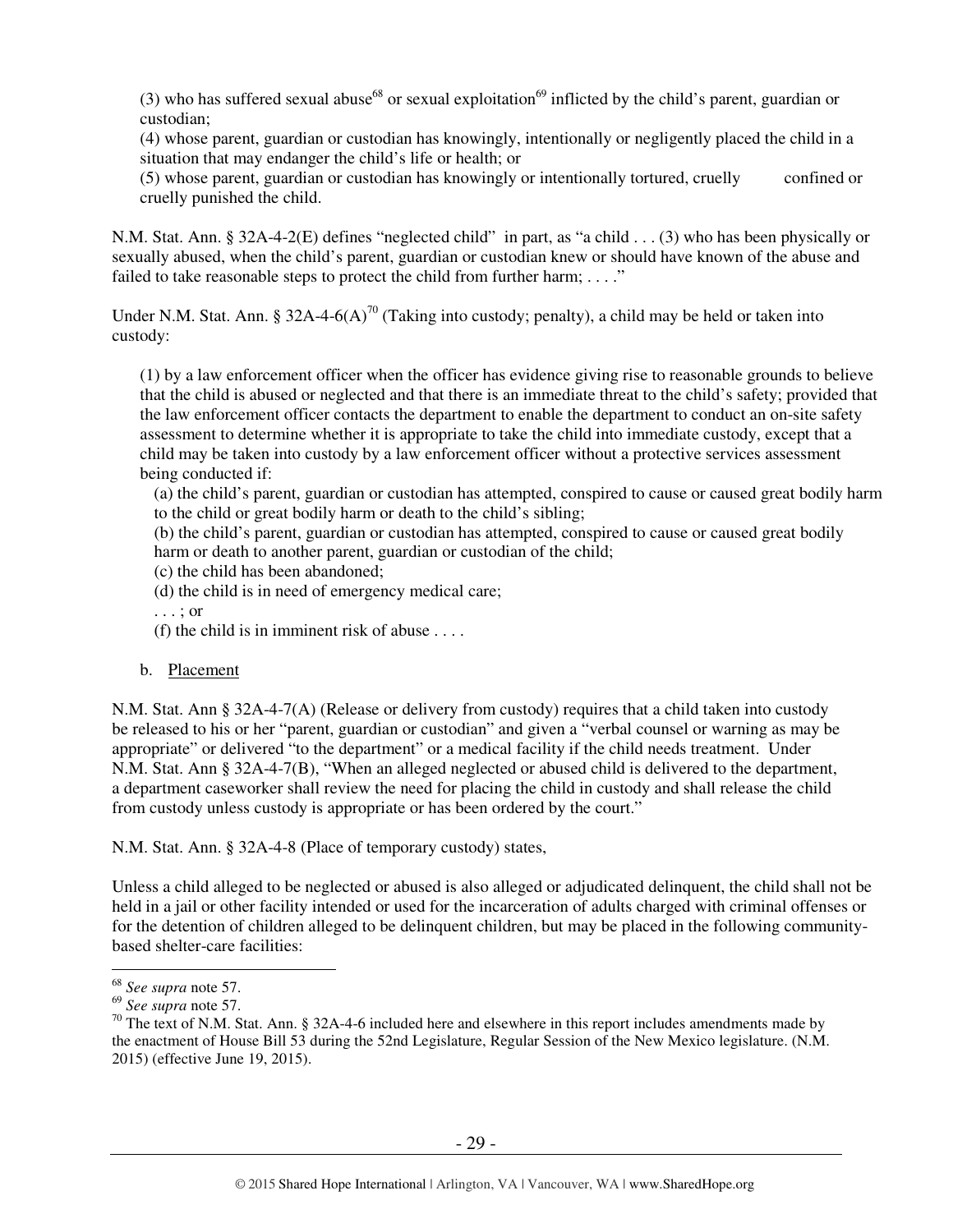(3) who has suffered sexual abuse<sup>68</sup> or sexual exploitation<sup>69</sup> inflicted by the child's parent, guardian or custodian;

(4) whose parent, guardian or custodian has knowingly, intentionally or negligently placed the child in a situation that may endanger the child's life or health; or

(5) whose parent, guardian or custodian has knowingly or intentionally tortured, cruelly confined or cruelly punished the child.

N.M. Stat. Ann. § 32A-4-2(E) defines "neglected child" in part, as "a child . . . (3) who has been physically or sexually abused, when the child's parent, guardian or custodian knew or should have known of the abuse and failed to take reasonable steps to protect the child from further harm;  $\dots$ ."

Under N.M. Stat. Ann. § 32A-4-6(A)<sup>70</sup> (Taking into custody; penalty), a child may be held or taken into custody:

(1) by a law enforcement officer when the officer has evidence giving rise to reasonable grounds to believe that the child is abused or neglected and that there is an immediate threat to the child's safety; provided that the law enforcement officer contacts the department to enable the department to conduct an on-site safety assessment to determine whether it is appropriate to take the child into immediate custody, except that a child may be taken into custody by a law enforcement officer without a protective services assessment being conducted if:

(a) the child's parent, guardian or custodian has attempted, conspired to cause or caused great bodily harm to the child or great bodily harm or death to the child's sibling;

(b) the child's parent, guardian or custodian has attempted, conspired to cause or caused great bodily harm or death to another parent, guardian or custodian of the child;

- (c) the child has been abandoned;
- (d) the child is in need of emergency medical care;
- . . . ; or
- (f) the child is in imminent risk of abuse  $\dots$ .
- b. Placement

 N.M. Stat. Ann § 32A-4-7(A) (Release or delivery from custody) requires that a child taken into custody be released to his or her "parent, guardian or custodian" and given a "verbal counsel or warning as may be appropriate" or delivered "to the department" or a medical facility if the child needs treatment. Under N.M. Stat. Ann § 32A-4-7(B), "When an alleged neglected or abused child is delivered to the department, a department caseworker shall review the need for placing the child in custody and shall release the child from custody unless custody is appropriate or has been ordered by the court."

N.M. Stat. Ann. § 32A-4-8 (Place of temporary custody) states,

Unless a child alleged to be neglected or abused is also alleged or adjudicated delinquent, the child shall not be held in a jail or other facility intended or used for the incarceration of adults charged with criminal offenses or for the detention of children alleged to be delinquent children, but may be placed in the following communitybased shelter-care facilities:

 $\overline{a}$ <sup>68</sup> *See supra* note 57.

<sup>69</sup> *See supra* note 57.

 $70$  The text of N.M. Stat. Ann. § 32A-4-6 included here and elsewhere in this report includes amendments made by the enactment of House Bill 53 during the 52nd Legislature, Regular Session of the New Mexico legislature. (N.M. 2015) (effective June 19, 2015).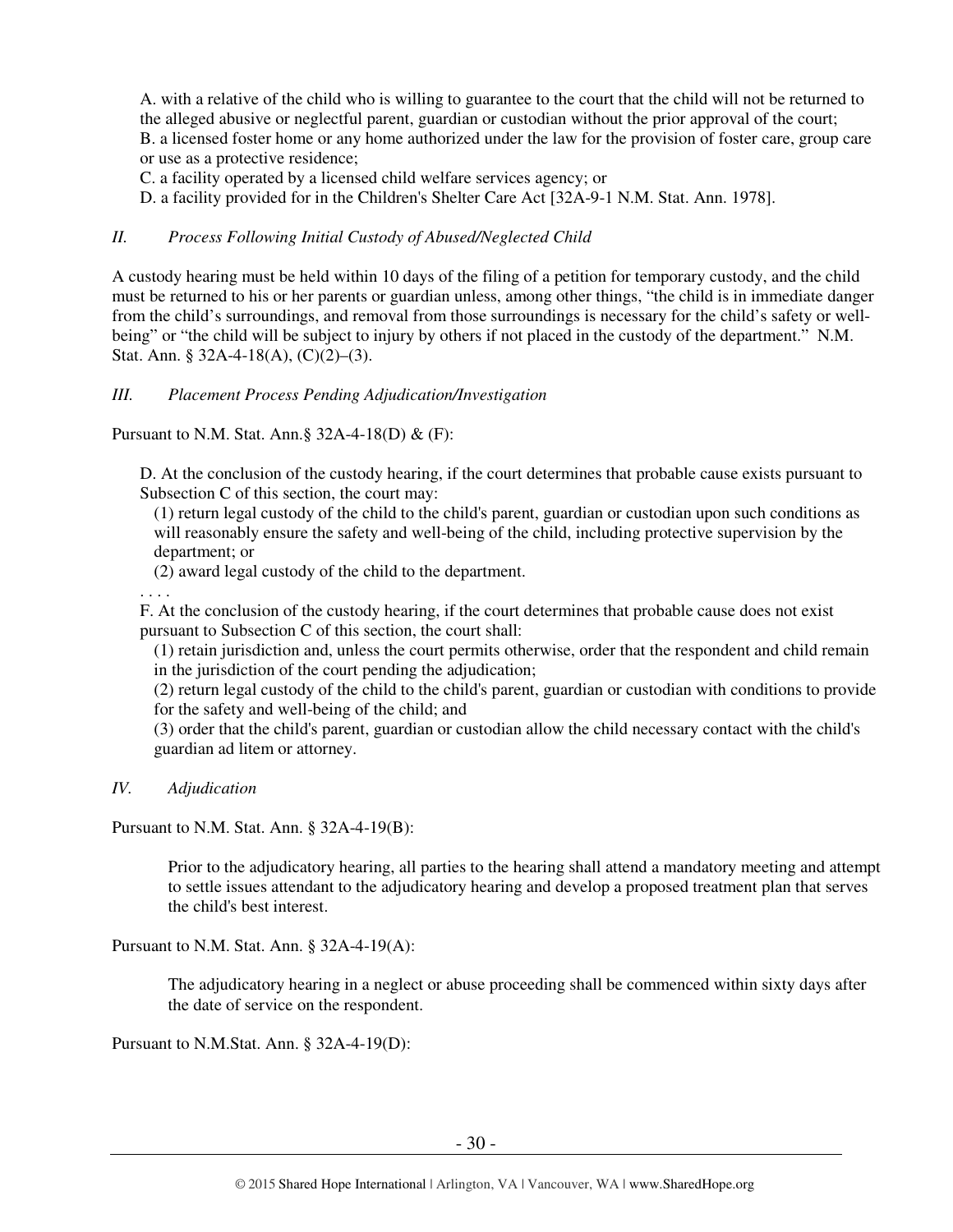A. with a relative of the child who is willing to guarantee to the court that the child will not be returned to the alleged abusive or neglectful parent, guardian or custodian without the prior approval of the court; B. a licensed foster home or any home authorized under the law for the provision of foster care, group care or use as a protective residence;

C. a facility operated by a licensed child welfare services agency; or

D. a facility provided for in the Children's Shelter Care Act [32A-9-1 N.M. Stat. Ann. 1978].

## *II. Process Following Initial Custody of Abused/Neglected Child*

A custody hearing must be held within 10 days of the filing of a petition for temporary custody, and the child must be returned to his or her parents or guardian unless, among other things, "the child is in immediate danger from the child's surroundings, and removal from those surroundings is necessary for the child's safety or wellbeing" or "the child will be subject to injury by others if not placed in the custody of the department." N.M. Stat. Ann. § 32A-4-18(A), (C)(2)–(3).

## *III. Placement Process Pending Adjudication/Investigation*

Pursuant to N.M. Stat. Ann.§ 32A-4-18(D) & (F):

D. At the conclusion of the custody hearing, if the court determines that probable cause exists pursuant to Subsection C of this section, the court may:

(1) return legal custody of the child to the child's parent, guardian or custodian upon such conditions as will reasonably ensure the safety and well-being of the child, including protective supervision by the department; or

(2) award legal custody of the child to the department.

. . . .

F. At the conclusion of the custody hearing, if the court determines that probable cause does not exist pursuant to Subsection C of this section, the court shall:

(1) retain jurisdiction and, unless the court permits otherwise, order that the respondent and child remain in the jurisdiction of the court pending the adjudication;

(2) return legal custody of the child to the child's parent, guardian or custodian with conditions to provide for the safety and well-being of the child; and

(3) order that the child's parent, guardian or custodian allow the child necessary contact with the child's guardian ad litem or attorney.

*IV. Adjudication* 

Pursuant to N.M. Stat. Ann. § 32A-4-19(B):

Prior to the adjudicatory hearing, all parties to the hearing shall attend a mandatory meeting and attempt to settle issues attendant to the adjudicatory hearing and develop a proposed treatment plan that serves the child's best interest.

Pursuant to N.M. Stat. Ann. § 32A-4-19(A):

The adjudicatory hearing in a neglect or abuse proceeding shall be commenced within sixty days after the date of service on the respondent.

Pursuant to N.M.Stat. Ann. § 32A-4-19(D):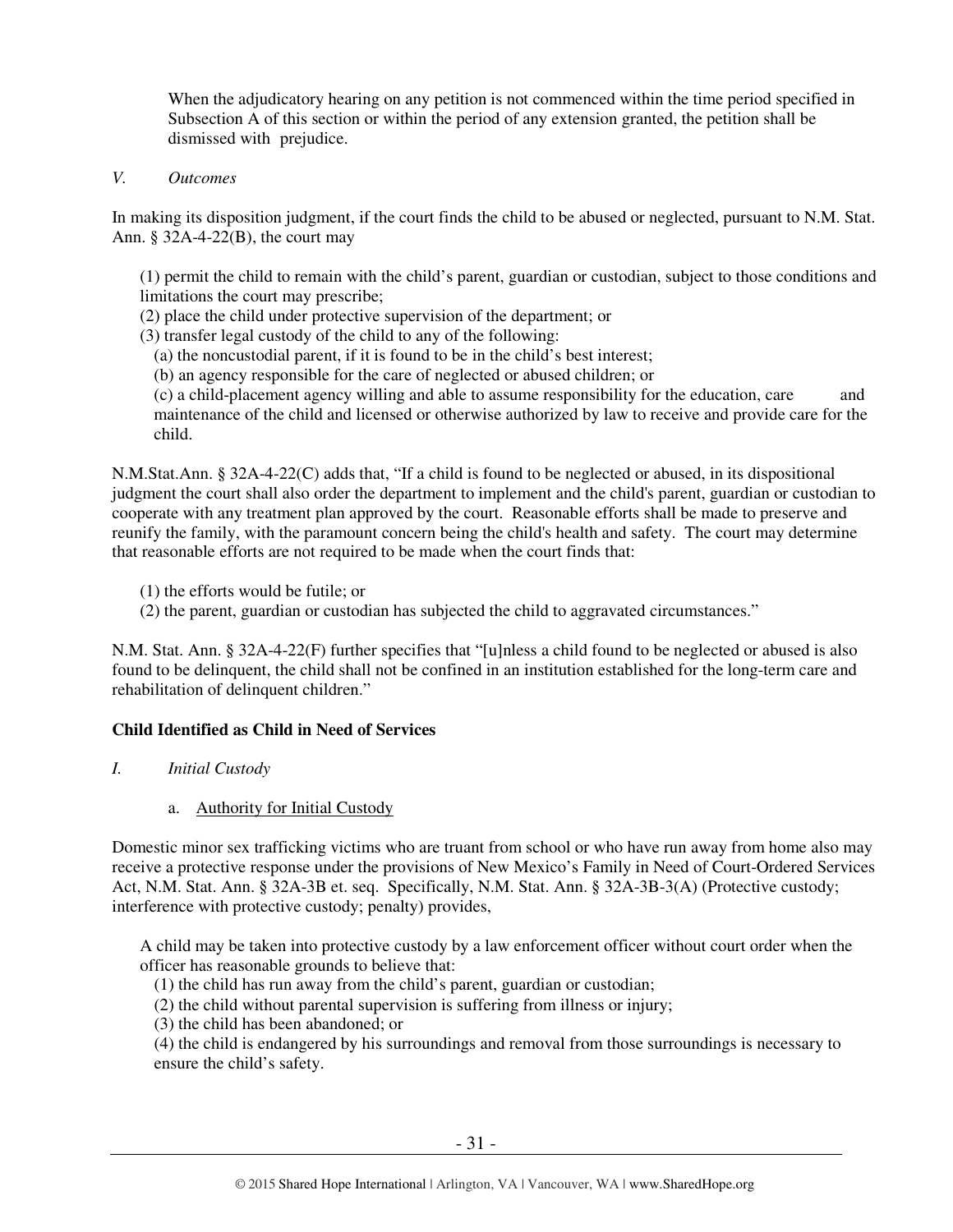When the adjudicatory hearing on any petition is not commenced within the time period specified in Subsection A of this section or within the period of any extension granted, the petition shall be dismissed with prejudice.

#### *V. Outcomes*

In making its disposition judgment, if the court finds the child to be abused or neglected, pursuant to N.M. Stat. Ann. § 32A-4-22(B), the court may

(1) permit the child to remain with the child's parent, guardian or custodian, subject to those conditions and limitations the court may prescribe;

- (2) place the child under protective supervision of the department; or
- (3) transfer legal custody of the child to any of the following:
	- (a) the noncustodial parent, if it is found to be in the child's best interest;
	- (b) an agency responsible for the care of neglected or abused children; or

(c) a child-placement agency willing and able to assume responsibility for the education, care and maintenance of the child and licensed or otherwise authorized by law to receive and provide care for the child.

N.M.Stat.Ann. § 32A-4-22(C) adds that, "If a child is found to be neglected or abused, in its dispositional judgment the court shall also order the department to implement and the child's parent, guardian or custodian to cooperate with any treatment plan approved by the court. Reasonable efforts shall be made to preserve and reunify the family, with the paramount concern being the child's health and safety. The court may determine that reasonable efforts are not required to be made when the court finds that:

- (1) the efforts would be futile; or
- (2) the parent, guardian or custodian has subjected the child to aggravated circumstances."

N.M. Stat. Ann. § 32A-4-22(F) further specifies that "[u]nless a child found to be neglected or abused is also found to be delinquent, the child shall not be confined in an institution established for the long-term care and rehabilitation of delinquent children."

#### **Child Identified as Child in Need of Services**

- *I. Initial Custody*
	- a. Authority for Initial Custody

 Domestic minor sex trafficking victims who are truant from school or who have run away from home also may receive a protective response under the provisions of New Mexico's Family in Need of Court-Ordered Services Act, N.M. Stat. Ann. § 32A-3B et. seq. Specifically, N.M. Stat. Ann. § 32A-3B-3(A) (Protective custody; interference with protective custody; penalty) provides,

A child may be taken into protective custody by a law enforcement officer without court order when the officer has reasonable grounds to believe that:

- (1) the child has run away from the child's parent, guardian or custodian;
- (2) the child without parental supervision is suffering from illness or injury;
- (3) the child has been abandoned; or

(4) the child is endangered by his surroundings and removal from those surroundings is necessary to ensure the child's safety.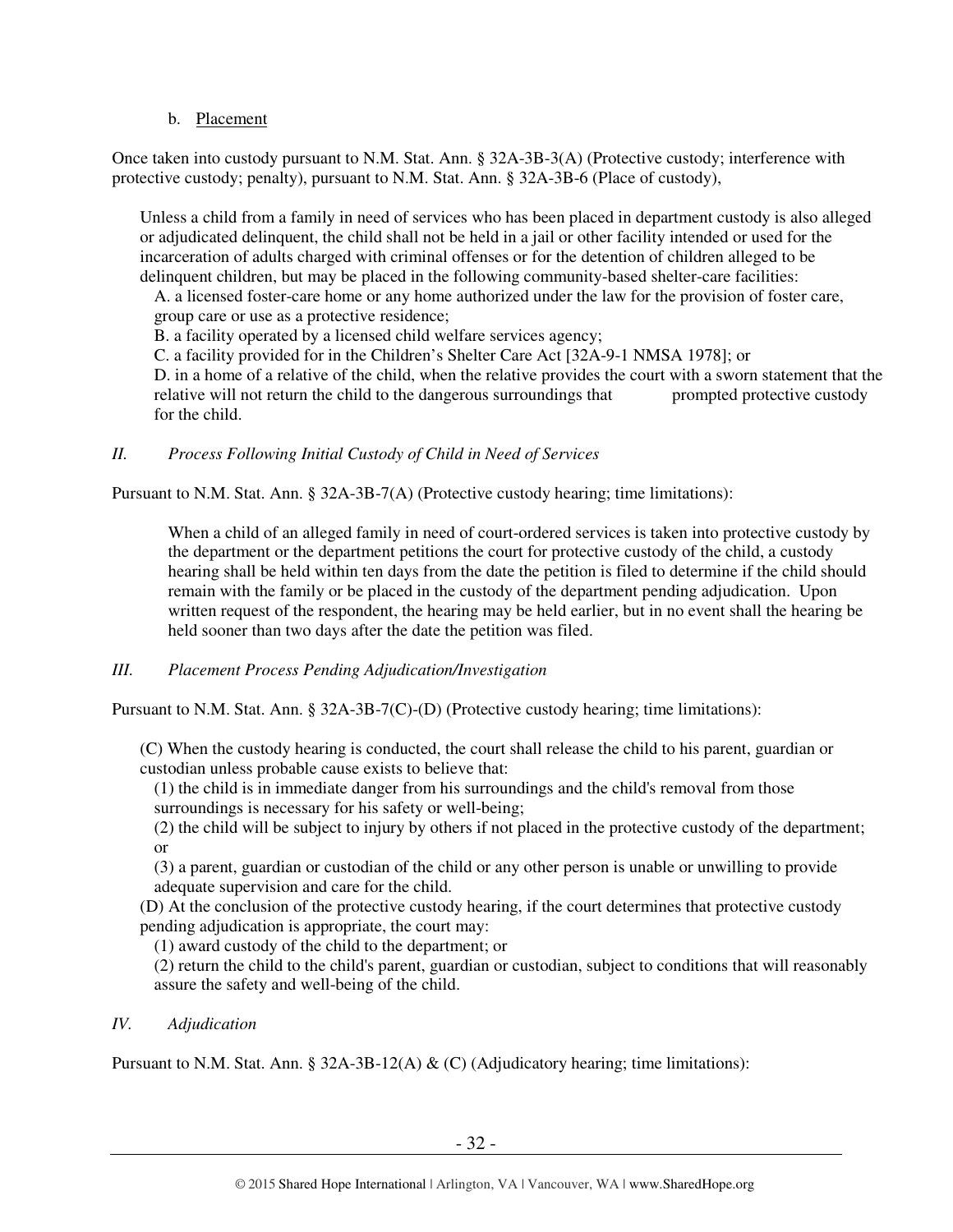## b. Placement

Once taken into custody pursuant to N.M. Stat. Ann. § 32A-3B-3(A) (Protective custody; interference with protective custody; penalty), pursuant to N.M. Stat. Ann. § 32A-3B-6 (Place of custody),

Unless a child from a family in need of services who has been placed in department custody is also alleged or adjudicated delinquent, the child shall not be held in a jail or other facility intended or used for the incarceration of adults charged with criminal offenses or for the detention of children alleged to be delinquent children, but may be placed in the following community-based shelter-care facilities:

A. a licensed foster-care home or any home authorized under the law for the provision of foster care, group care or use as a protective residence;

B. a facility operated by a licensed child welfare services agency;

C. a facility provided for in the Children's Shelter Care Act [32A-9-1 NMSA 1978]; or

D. in a home of a relative of the child, when the relative provides the court with a sworn statement that the relative will not return the child to the dangerous surroundings that prompted protective custody for the child.

*II. Process Following Initial Custody of Child in Need of Services* 

Pursuant to N.M. Stat. Ann. § 32A-3B-7(A) (Protective custody hearing; time limitations):

When a child of an alleged family in need of court-ordered services is taken into protective custody by the department or the department petitions the court for protective custody of the child, a custody hearing shall be held within ten days from the date the petition is filed to determine if the child should remain with the family or be placed in the custody of the department pending adjudication. Upon written request of the respondent, the hearing may be held earlier, but in no event shall the hearing be held sooner than two days after the date the petition was filed.

## *III. Placement Process Pending Adjudication/Investigation*

Pursuant to N.M. Stat. Ann. § 32A-3B-7(C)-(D) (Protective custody hearing; time limitations):

(C) When the custody hearing is conducted, the court shall release the child to his parent, guardian or custodian unless probable cause exists to believe that:

(1) the child is in immediate danger from his surroundings and the child's removal from those surroundings is necessary for his safety or well-being;

(2) the child will be subject to injury by others if not placed in the protective custody of the department; or

(3) a parent, guardian or custodian of the child or any other person is unable or unwilling to provide adequate supervision and care for the child.

(D) At the conclusion of the protective custody hearing, if the court determines that protective custody pending adjudication is appropriate, the court may:

(1) award custody of the child to the department; or

(2) return the child to the child's parent, guardian or custodian, subject to conditions that will reasonably assure the safety and well-being of the child.

#### *IV. Adjudication*

Pursuant to N.M. Stat. Ann. § 32A-3B-12(A)  $\&$  (C) (Adjudicatory hearing; time limitations):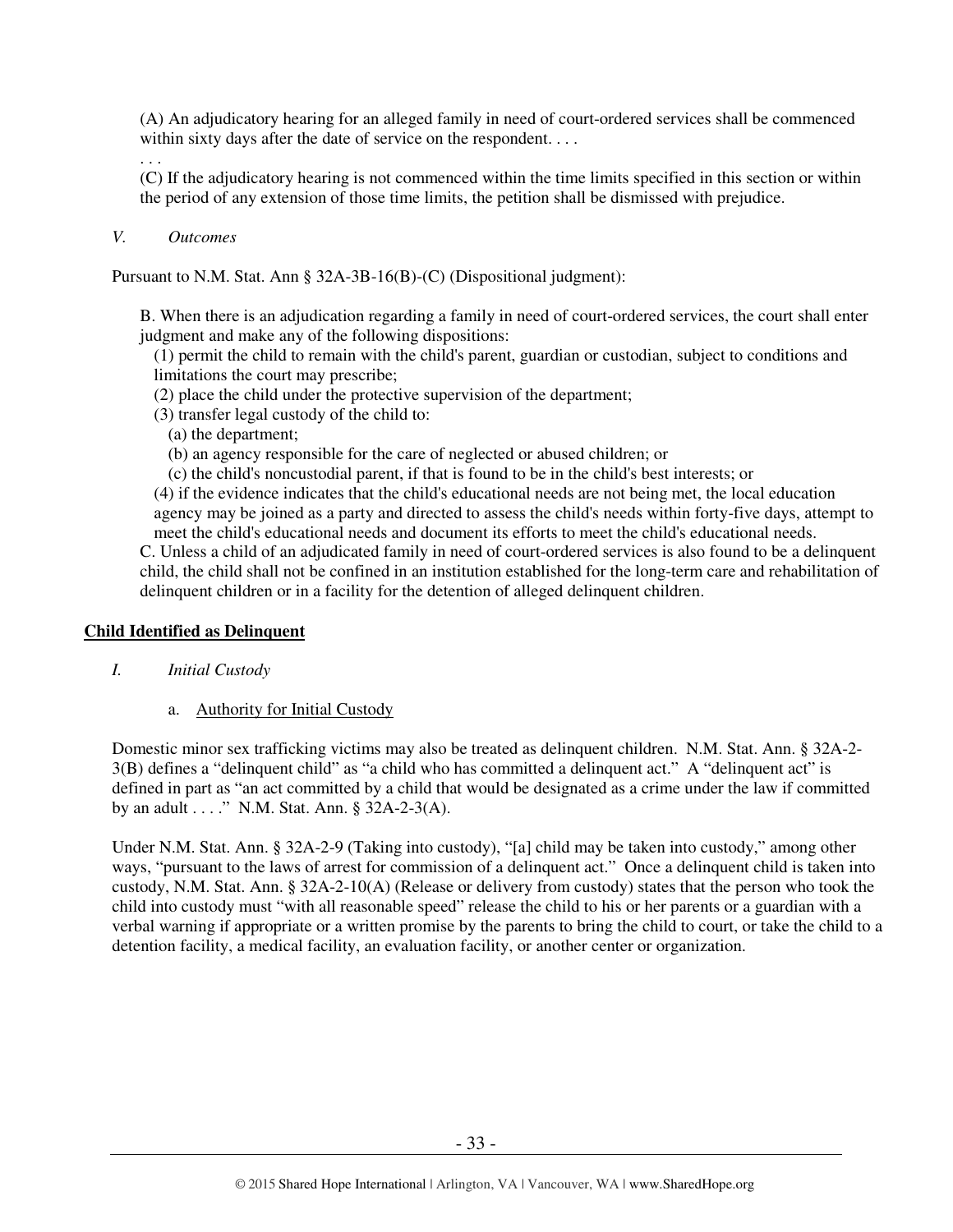(A) An adjudicatory hearing for an alleged family in need of court-ordered services shall be commenced within sixty days after the date of service on the respondent....

. . .

(C) If the adjudicatory hearing is not commenced within the time limits specified in this section or within the period of any extension of those time limits, the petition shall be dismissed with prejudice.

#### *V. Outcomes*

Pursuant to N.M. Stat. Ann § 32A-3B-16(B)-(C) (Dispositional judgment):

B. When there is an adjudication regarding a family in need of court-ordered services, the court shall enter judgment and make any of the following dispositions:

(1) permit the child to remain with the child's parent, guardian or custodian, subject to conditions and limitations the court may prescribe;

- (2) place the child under the protective supervision of the department;
- (3) transfer legal custody of the child to:
	- (a) the department;
	- (b) an agency responsible for the care of neglected or abused children; or

(c) the child's noncustodial parent, if that is found to be in the child's best interests; or

(4) if the evidence indicates that the child's educational needs are not being met, the local education agency may be joined as a party and directed to assess the child's needs within forty-five days, attempt to meet the child's educational needs and document its efforts to meet the child's educational needs.

C. Unless a child of an adjudicated family in need of court-ordered services is also found to be a delinquent child, the child shall not be confined in an institution established for the long-term care and rehabilitation of delinquent children or in a facility for the detention of alleged delinquent children.

#### **Child Identified as Delinquent**

- *I. Initial Custody*
	- a. Authority for Initial Custody

Domestic minor sex trafficking victims may also be treated as delinquent children. N.M. Stat. Ann. § 32A-2- 3(B) defines a "delinquent child" as "a child who has committed a delinquent act." A "delinquent act" is defined in part as "an act committed by a child that would be designated as a crime under the law if committed by an adult  $\dots$ ." N.M. Stat. Ann. § 32A-2-3(A).

Under N.M. Stat. Ann. § 32A-2-9 (Taking into custody), "[a] child may be taken into custody," among other ways, "pursuant to the laws of arrest for commission of a delinquent act." Once a delinquent child is taken into custody, N.M. Stat. Ann. § 32A-2-10(A) (Release or delivery from custody) states that the person who took the child into custody must "with all reasonable speed" release the child to his or her parents or a guardian with a verbal warning if appropriate or a written promise by the parents to bring the child to court, or take the child to a detention facility, a medical facility, an evaluation facility, or another center or organization.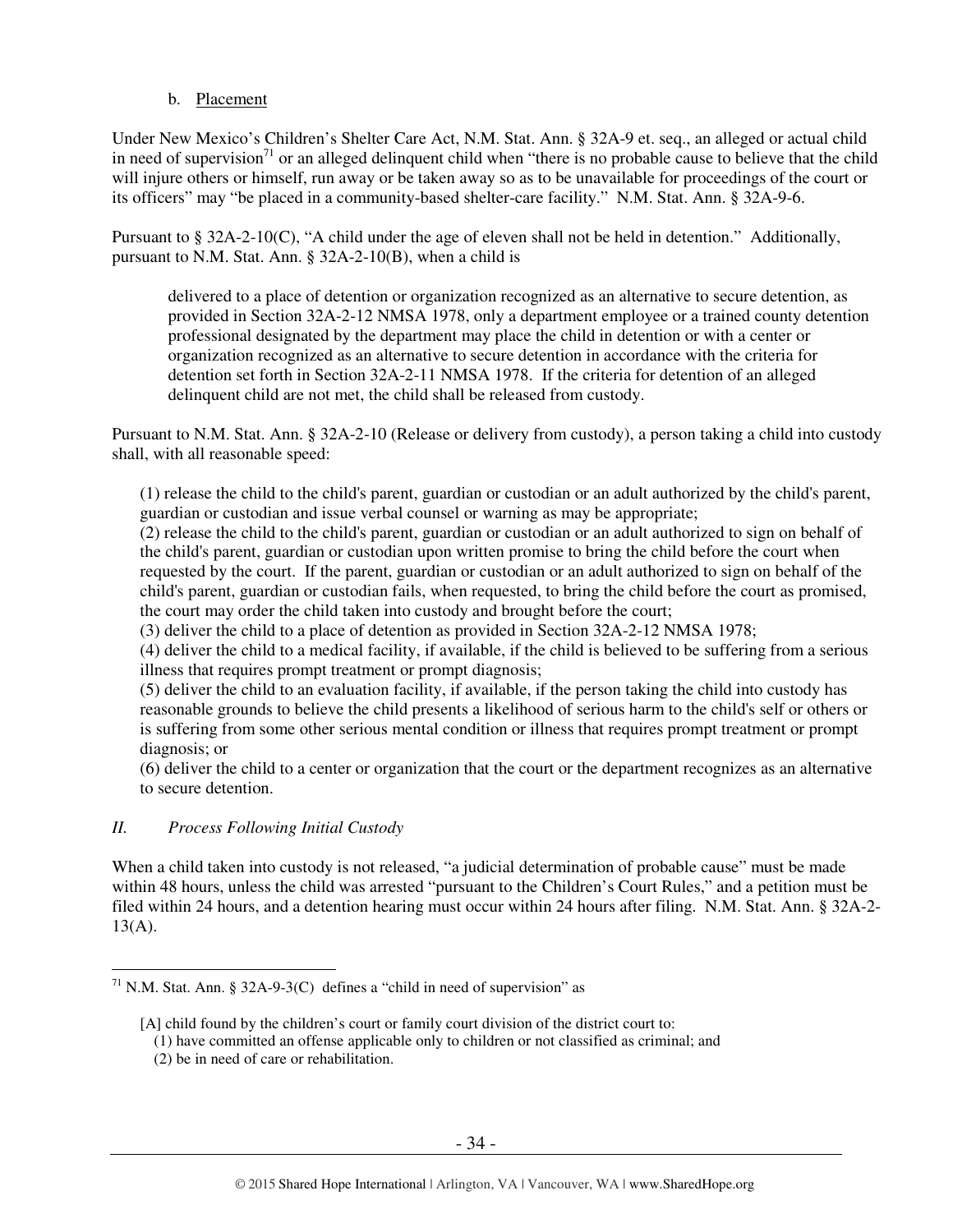#### b. Placement

 Under New Mexico's Children's Shelter Care Act, N.M. Stat. Ann. § 32A-9 et. seq., an alleged or actual child in need of supervision<sup>71</sup> or an alleged delinquent child when "there is no probable cause to believe that the child will injure others or himself, run away or be taken away so as to be unavailable for proceedings of the court or its officers" may "be placed in a community-based shelter-care facility." N.M. Stat. Ann. § 32A-9-6.

 Pursuant to § 32A-2-10(C), "A child under the age of eleven shall not be held in detention." Additionally, pursuant to N.M. Stat. Ann. § 32A-2-10(B), when a child is

delivered to a place of detention or organization recognized as an alternative to secure detention, as provided in Section 32A-2-12 NMSA 1978, only a department employee or a trained county detention professional designated by the department may place the child in detention or with a center or organization recognized as an alternative to secure detention in accordance with the criteria for detention set forth in Section 32A-2-11 NMSA 1978. If the criteria for detention of an alleged delinquent child are not met, the child shall be released from custody.

Pursuant to N.M. Stat. Ann. § 32A-2-10 (Release or delivery from custody), a person taking a child into custody shall, with all reasonable speed:

(1) release the child to the child's parent, guardian or custodian or an adult authorized by the child's parent, guardian or custodian and issue verbal counsel or warning as may be appropriate;

(2) release the child to the child's parent, guardian or custodian or an adult authorized to sign on behalf of the child's parent, guardian or custodian upon written promise to bring the child before the court when requested by the court. If the parent, guardian or custodian or an adult authorized to sign on behalf of the child's parent, guardian or custodian fails, when requested, to bring the child before the court as promised, the court may order the child taken into custody and brought before the court;

(3) deliver the child to a place of detention as provided in Section 32A-2-12 NMSA 1978;

(4) deliver the child to a medical facility, if available, if the child is believed to be suffering from a serious illness that requires prompt treatment or prompt diagnosis;

(5) deliver the child to an evaluation facility, if available, if the person taking the child into custody has reasonable grounds to believe the child presents a likelihood of serious harm to the child's self or others or is suffering from some other serious mental condition or illness that requires prompt treatment or prompt diagnosis; or

(6) deliver the child to a center or organization that the court or the department recognizes as an alternative to secure detention.

#### *II. Process Following Initial Custody*

 $\overline{a}$ 

When a child taken into custody is not released, "a judicial determination of probable cause" must be made within 48 hours, unless the child was arrested "pursuant to the Children's Court Rules," and a petition must be filed within 24 hours, and a detention hearing must occur within 24 hours after filing. N.M. Stat. Ann. § 32A-2-  $13(A)$ .

<sup>&</sup>lt;sup>71</sup> N.M. Stat. Ann. § 32A-9-3(C) defines a "child in need of supervision" as

<sup>[</sup>A] child found by the children's court or family court division of the district court to:

<sup>(1)</sup> have committed an offense applicable only to children or not classified as criminal; and

<sup>(2)</sup> be in need of care or rehabilitation.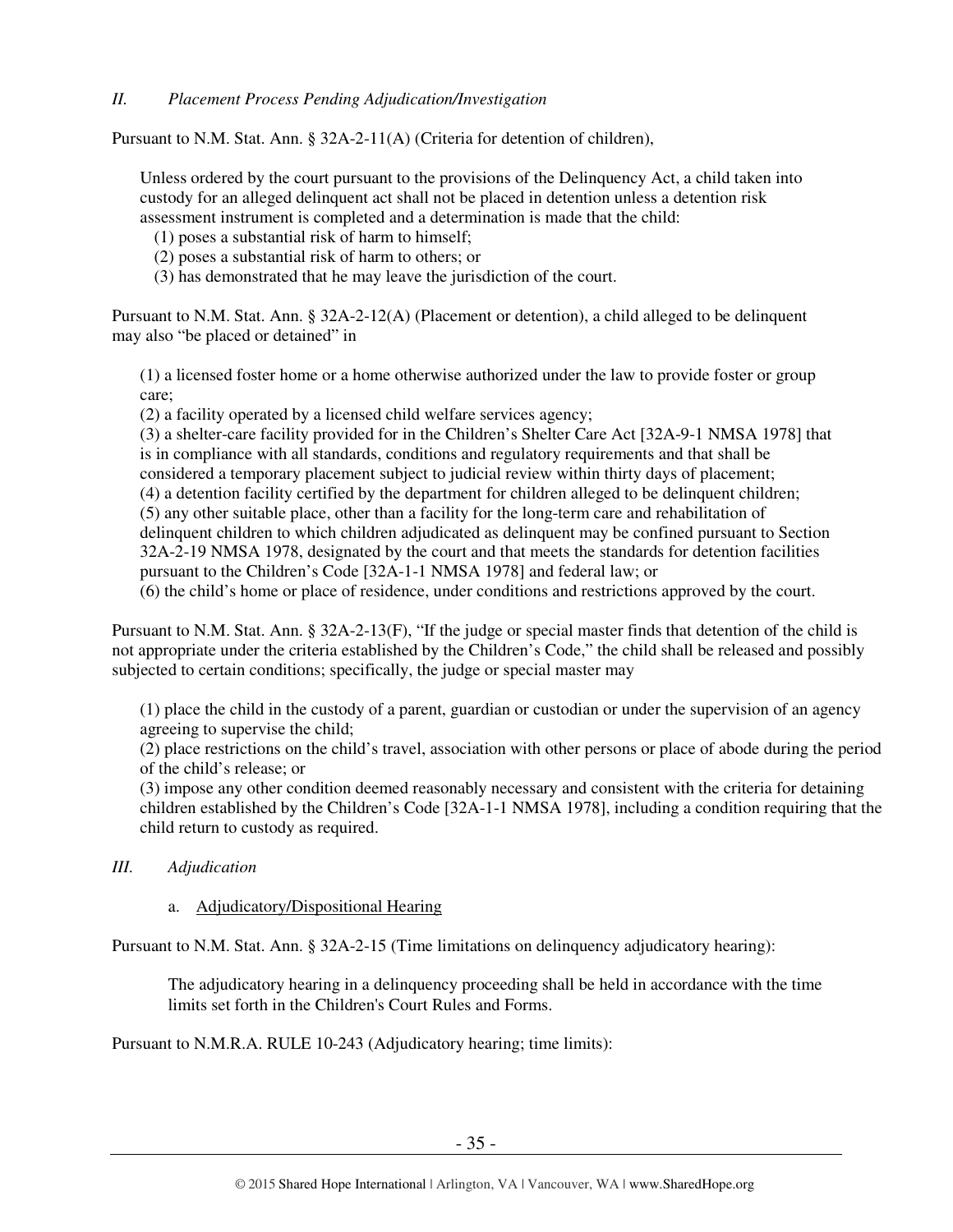#### *II. Placement Process Pending Adjudication/Investigation*

Pursuant to N.M. Stat. Ann. § 32A-2-11(A) (Criteria for detention of children),

Unless ordered by the court pursuant to the provisions of the Delinquency Act, a child taken into custody for an alleged delinquent act shall not be placed in detention unless a detention risk assessment instrument is completed and a determination is made that the child:

- (1) poses a substantial risk of harm to himself;
- (2) poses a substantial risk of harm to others; or
- (3) has demonstrated that he may leave the jurisdiction of the court.

 Pursuant to N.M. Stat. Ann. § 32A-2-12(A) (Placement or detention), a child alleged to be delinquent may also "be placed or detained" in

(1) a licensed foster home or a home otherwise authorized under the law to provide foster or group care;

(2) a facility operated by a licensed child welfare services agency;

(3) a shelter-care facility provided for in the Children's Shelter Care Act [32A-9-1 NMSA 1978] that is in compliance with all standards, conditions and regulatory requirements and that shall be considered a temporary placement subject to judicial review within thirty days of placement; (4) a detention facility certified by the department for children alleged to be delinquent children; (5) any other suitable place, other than a facility for the long-term care and rehabilitation of delinquent children to which children adjudicated as delinquent may be confined pursuant to Section 32A-2-19 NMSA 1978, designated by the court and that meets the standards for detention facilities pursuant to the Children's Code [32A-1-1 NMSA 1978] and federal law; or

(6) the child's home or place of residence, under conditions and restrictions approved by the court.

Pursuant to N.M. Stat. Ann. § 32A-2-13(F), "If the judge or special master finds that detention of the child is not appropriate under the criteria established by the Children's Code," the child shall be released and possibly subjected to certain conditions; specifically, the judge or special master may

(1) place the child in the custody of a parent, guardian or custodian or under the supervision of an agency agreeing to supervise the child;

(2) place restrictions on the child's travel, association with other persons or place of abode during the period of the child's release; or

(3) impose any other condition deemed reasonably necessary and consistent with the criteria for detaining children established by the Children's Code [32A-1-1 NMSA 1978], including a condition requiring that the child return to custody as required.

*III. Adjudication* 

## a. Adjudicatory/Dispositional Hearing

Pursuant to N.M. Stat. Ann. § 32A-2-15 (Time limitations on delinquency adjudicatory hearing):

The adjudicatory hearing in a delinquency proceeding shall be held in accordance with the time limits set forth in the Children's Court Rules and Forms.

Pursuant to N.M.R.A. RULE 10-243 (Adjudicatory hearing; time limits):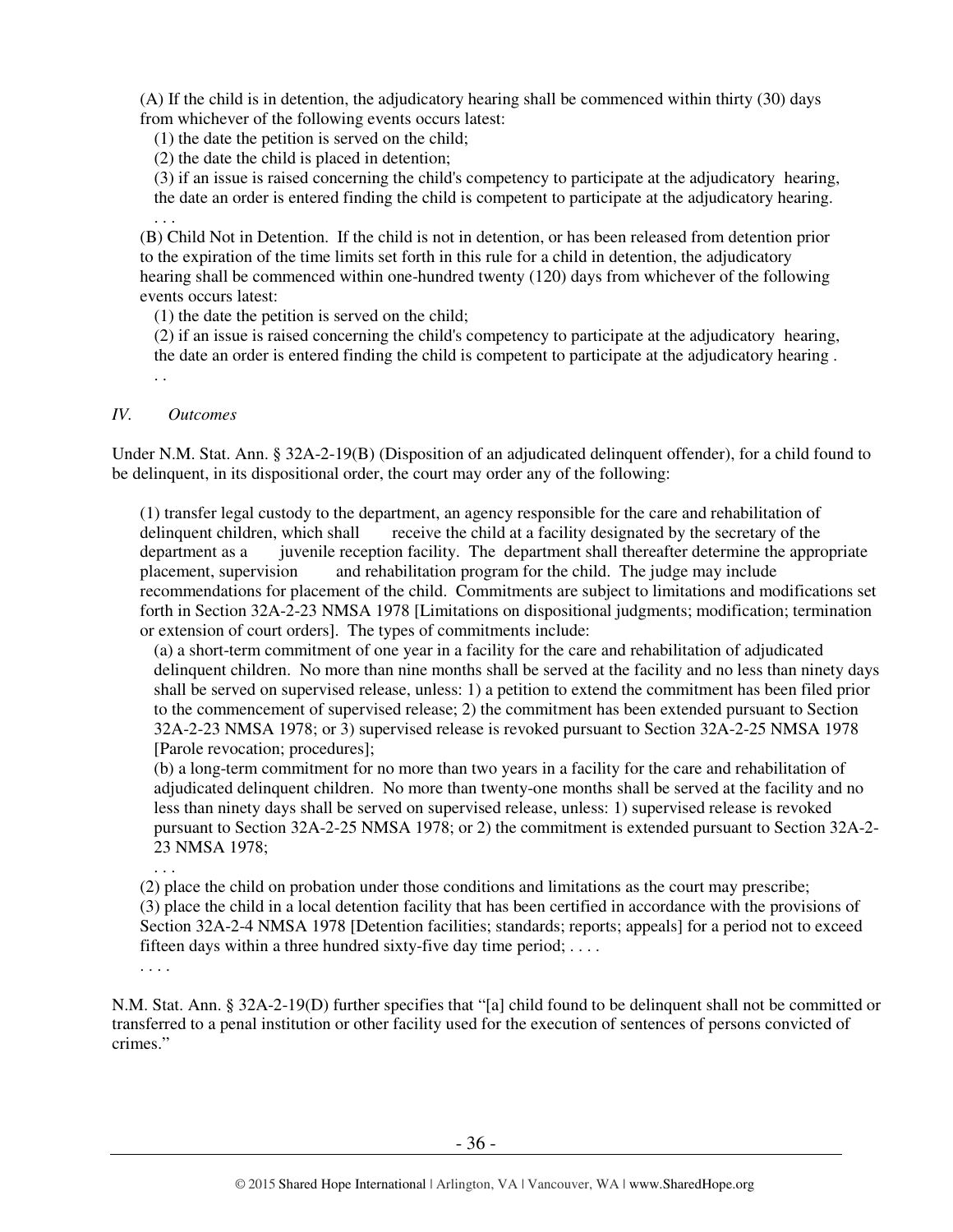(A) If the child is in detention, the adjudicatory hearing shall be commenced within thirty (30) days from whichever of the following events occurs latest:

(1) the date the petition is served on the child;

(2) the date the child is placed in detention;

(3) if an issue is raised concerning the child's competency to participate at the adjudicatory hearing, the date an order is entered finding the child is competent to participate at the adjudicatory hearing. . . .

(B) Child Not in Detention. If the child is not in detention, or has been released from detention prior to the expiration of the time limits set forth in this rule for a child in detention, the adjudicatory hearing shall be commenced within one-hundred twenty (120) days from whichever of the following events occurs latest:

(1) the date the petition is served on the child;

(2) if an issue is raised concerning the child's competency to participate at the adjudicatory hearing, the date an order is entered finding the child is competent to participate at the adjudicatory hearing . . .

#### *IV. Outcomes*

 Under N.M. Stat. Ann. § 32A-2-19(B) (Disposition of an adjudicated delinquent offender), for a child found to be delinquent, in its dispositional order, the court may order any of the following:

(1) transfer legal custody to the department, an agency responsible for the care and rehabilitation of delinquent children, which shall receive the child at a facility designated by the secretary of the department as a juvenile reception facility. The department shall thereafter determine the appropriate placement, supervision and rehabilitation program for the child. The judge may include recommendations for placement of the child. Commitments are subject to limitations and modifications set forth in Section 32A-2-23 NMSA 1978 [Limitations on dispositional judgments; modification; termination or extension of court orders]. The types of commitments include:

(a) a short-term commitment of one year in a facility for the care and rehabilitation of adjudicated delinquent children. No more than nine months shall be served at the facility and no less than ninety days shall be served on supervised release, unless: 1) a petition to extend the commitment has been filed prior to the commencement of supervised release; 2) the commitment has been extended pursuant to Section 32A-2-23 NMSA 1978; or 3) supervised release is revoked pursuant to Section 32A-2-25 NMSA 1978 [Parole revocation; procedures];

(b) a long-term commitment for no more than two years in a facility for the care and rehabilitation of adjudicated delinquent children. No more than twenty-one months shall be served at the facility and no less than ninety days shall be served on supervised release, unless: 1) supervised release is revoked pursuant to Section 32A-2-25 NMSA 1978; or 2) the commitment is extended pursuant to Section 32A-2- 23 NMSA 1978;

(2) place the child on probation under those conditions and limitations as the court may prescribe; (3) place the child in a local detention facility that has been certified in accordance with the provisions of Section 32A-2-4 NMSA 1978 [Detention facilities; standards; reports; appeals] for a period not to exceed fifteen days within a three hundred sixty-five day time period; . . . .

. . . .

. . .

 N.M. Stat. Ann. § 32A-2-19(D) further specifies that "[a] child found to be delinquent shall not be committed or transferred to a penal institution or other facility used for the execution of sentences of persons convicted of crimes."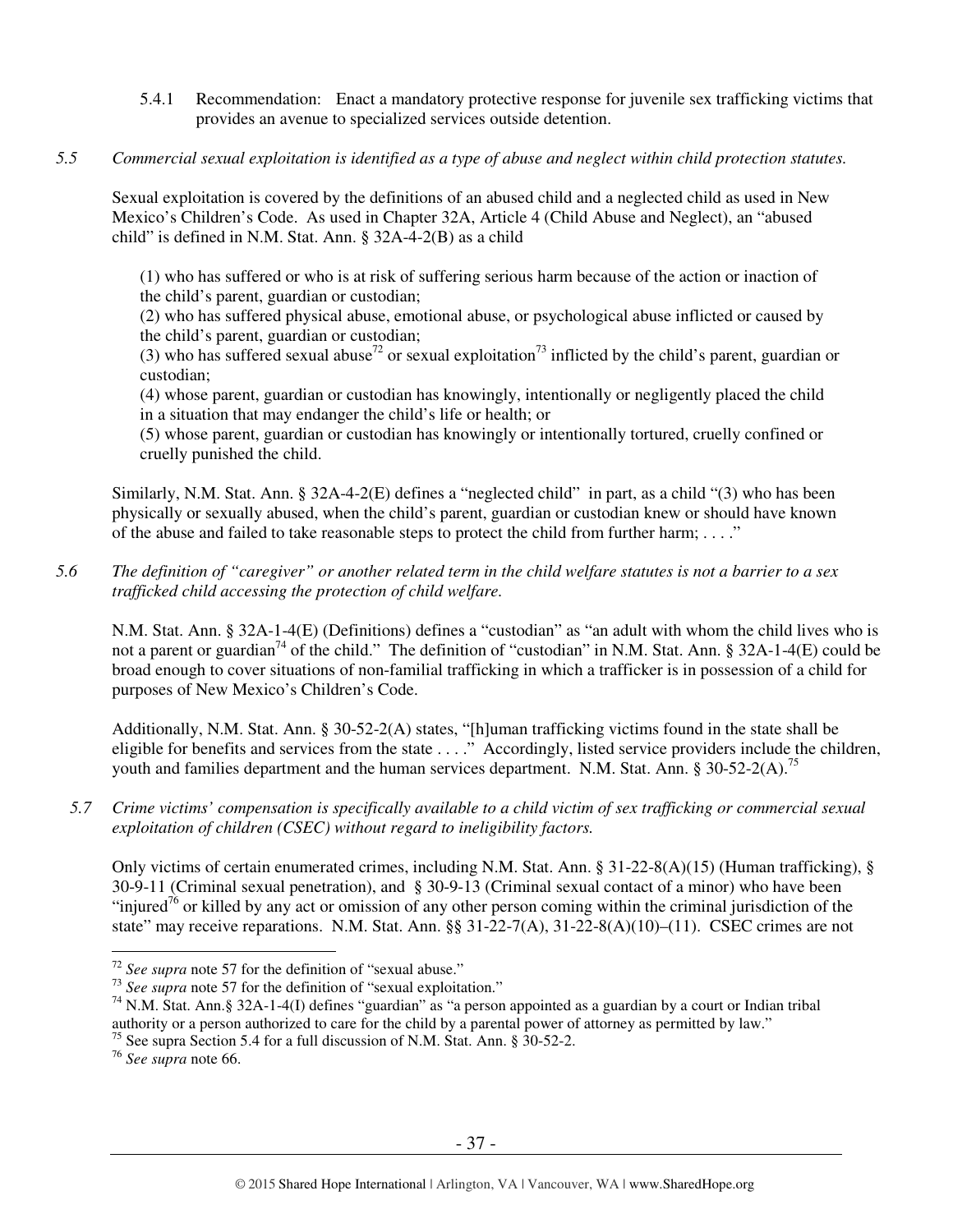- 5.4.1 Recommendation: Enact a mandatory protective response for juvenile sex trafficking victims that provides an avenue to specialized services outside detention.
- *5.5 Commercial sexual exploitation is identified as a type of abuse and neglect within child protection statutes.*

Sexual exploitation is covered by the definitions of an abused child and a neglected child as used in New Mexico's Children's Code. As used in Chapter 32A, Article 4 (Child Abuse and Neglect), an "abused child" is defined in N.M. Stat. Ann. § 32A-4-2(B) as a child

(1) who has suffered or who is at risk of suffering serious harm because of the action or inaction of the child's parent, guardian or custodian;

(2) who has suffered physical abuse, emotional abuse, or psychological abuse inflicted or caused by the child's parent, guardian or custodian;

(3) who has suffered sexual abuse<sup>72</sup> or sexual exploitation<sup>73</sup> inflicted by the child's parent, guardian or custodian;

(4) whose parent, guardian or custodian has knowingly, intentionally or negligently placed the child in a situation that may endanger the child's life or health; or

(5) whose parent, guardian or custodian has knowingly or intentionally tortured, cruelly confined or cruelly punished the child.

Similarly, N.M. Stat. Ann. § 32A-4-2(E) defines a "neglected child" in part, as a child "(3) who has been physically or sexually abused, when the child's parent, guardian or custodian knew or should have known of the abuse and failed to take reasonable steps to protect the child from further harm;  $\dots$ ."

*5.6 The definition of "caregiver" or another related term in the child welfare statutes is not a barrier to a sex trafficked child accessing the protection of child welfare.* 

N.M. Stat. Ann. § 32A-1-4(E) (Definitions) defines a "custodian" as "an adult with whom the child lives who is not a parent or guardian<sup>74</sup> of the child." The definition of "custodian" in N.M. Stat. Ann. § 32A-1-4(E) could be broad enough to cover situations of non-familial trafficking in which a trafficker is in possession of a child for purposes of New Mexico's Children's Code.

Additionally, N.M. Stat. Ann. § 30-52-2(A) states, "[h]uman trafficking victims found in the state shall be eligible for benefits and services from the state . . . ." Accordingly, listed service providers include the children, youth and families department and the human services department. N.M. Stat. Ann. § 30-52-2(A).<sup>75</sup>

*5.7 Crime victims' compensation is specifically available to a child victim of sex trafficking or commercial sexual exploitation of children (CSEC) without regard to ineligibility factors.* 

Only victims of certain enumerated crimes, including N.M. Stat. Ann. § 31-22-8(A)(15) (Human trafficking), § 30-9-11 (Criminal sexual penetration), and § 30-9-13 (Criminal sexual contact of a minor) who have been "injured<sup>76</sup> or killed by any act or omission of any other person coming within the criminal jurisdiction of the state" may receive reparations. N.M. Stat. Ann. §§ 31-22-7(A), 31-22-8(A)(10)–(11). CSEC crimes are not

<sup>&</sup>lt;sup>72</sup> See supra note 57 for the definition of "sexual abuse."

<sup>&</sup>lt;sup>73</sup> *See supra* note 57 for the definition of "sexual exploitation."

 $74$  N.M. Stat. Ann. § 32A-1-4(I) defines "guardian" as "a person appointed as a guardian by a court or Indian tribal authority or a person authorized to care for the child by a parental power of attorney as permitted by law."

<sup>&</sup>lt;sup>75</sup> See supra Section 5.4 for a full discussion of N.M. Stat. Ann.  $\S$  30-52-2.

<sup>76</sup> *See supra* note 66.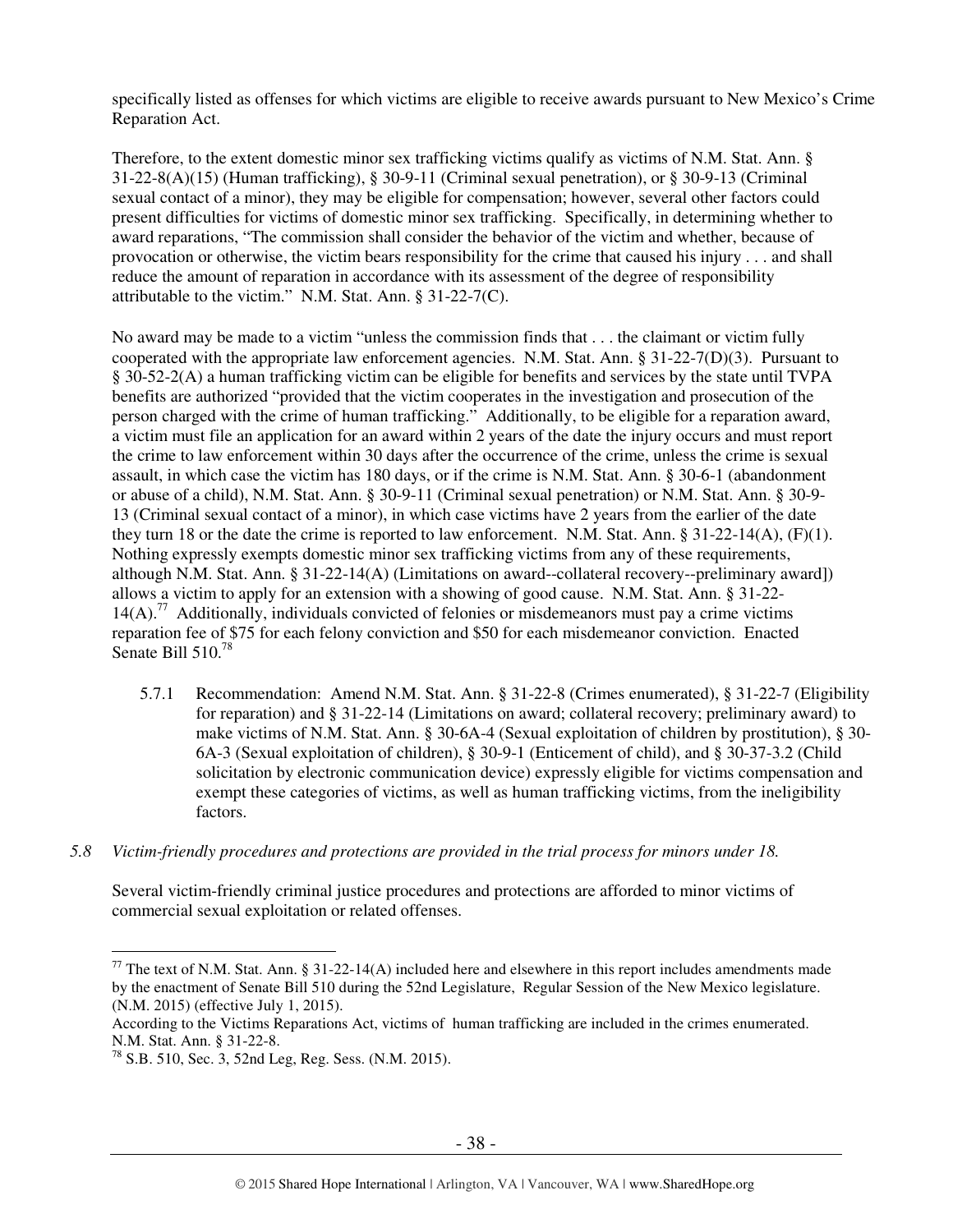specifically listed as offenses for which victims are eligible to receive awards pursuant to New Mexico's Crime Reparation Act.

Therefore, to the extent domestic minor sex trafficking victims qualify as victims of N.M. Stat. Ann. § 31-22-8(A)(15) (Human trafficking), § 30-9-11 (Criminal sexual penetration), or § 30-9-13 (Criminal sexual contact of a minor), they may be eligible for compensation; however, several other factors could present difficulties for victims of domestic minor sex trafficking. Specifically, in determining whether to award reparations, "The commission shall consider the behavior of the victim and whether, because of provocation or otherwise, the victim bears responsibility for the crime that caused his injury . . . and shall reduce the amount of reparation in accordance with its assessment of the degree of responsibility attributable to the victim." N.M. Stat. Ann. § 31-22-7(C).

No award may be made to a victim "unless the commission finds that . . . the claimant or victim fully cooperated with the appropriate law enforcement agencies. N.M. Stat. Ann. § 31-22-7(D)(3). Pursuant to § 30-52-2(A) a human trafficking victim can be eligible for benefits and services by the state until TVPA benefits are authorized "provided that the victim cooperates in the investigation and prosecution of the person charged with the crime of human trafficking." Additionally, to be eligible for a reparation award, a victim must file an application for an award within 2 years of the date the injury occurs and must report the crime to law enforcement within 30 days after the occurrence of the crime, unless the crime is sexual assault, in which case the victim has 180 days, or if the crime is N.M. Stat. Ann. § 30-6-1 (abandonment or abuse of a child), N.M. Stat. Ann. § 30-9-11 (Criminal sexual penetration) or N.M. Stat. Ann. § 30-9- 13 (Criminal sexual contact of a minor), in which case victims have 2 years from the earlier of the date they turn 18 or the date the crime is reported to law enforcement. N.M. Stat. Ann. § 31-22-14(A), (F)(1). Nothing expressly exempts domestic minor sex trafficking victims from any of these requirements, although N.M. Stat. Ann. § 31-22-14(A) (Limitations on award--collateral recovery--preliminary award]) allows a victim to apply for an extension with a showing of good cause. N.M. Stat. Ann. § 31-22-  $14(A)$ .<sup>77</sup> Additionally, individuals convicted of felonies or misdemeanors must pay a crime victims reparation fee of \$75 for each felony conviction and \$50 for each misdemeanor conviction. Enacted Senate Bill 510.<sup>78</sup>

- 5.7.1 Recommendation: Amend N.M. Stat. Ann. § 31-22-8 (Crimes enumerated), § 31-22-7 (Eligibility for reparation) and § 31-22-14 (Limitations on award; collateral recovery; preliminary award) to make victims of N.M. Stat. Ann. § 30-6A-4 (Sexual exploitation of children by prostitution), § 30- 6A-3 (Sexual exploitation of children), § 30-9-1 (Enticement of child), and § 30-37-3.2 (Child solicitation by electronic communication device) expressly eligible for victims compensation and exempt these categories of victims, as well as human trafficking victims, from the ineligibility factors.
- *5.8 Victim-friendly procedures and protections are provided in the trial process for minors under 18.*

Several victim-friendly criminal justice procedures and protections are afforded to minor victims of commercial sexual exploitation or related offenses.

<sup>&</sup>lt;sup>77</sup> The text of N.M. Stat. Ann. § 31-22-14(A) included here and elsewhere in this report includes amendments made by the enactment of Senate Bill 510 during the 52nd Legislature, Regular Session of the New Mexico legislature. (N.M. 2015) (effective July 1, 2015).

According to the Victims Reparations Act, victims of human trafficking are included in the crimes enumerated. N.M. Stat. Ann. § 31-22-8.

<sup>78</sup> S.B. 510, Sec. 3, 52nd Leg, Reg. Sess. (N.M. 2015).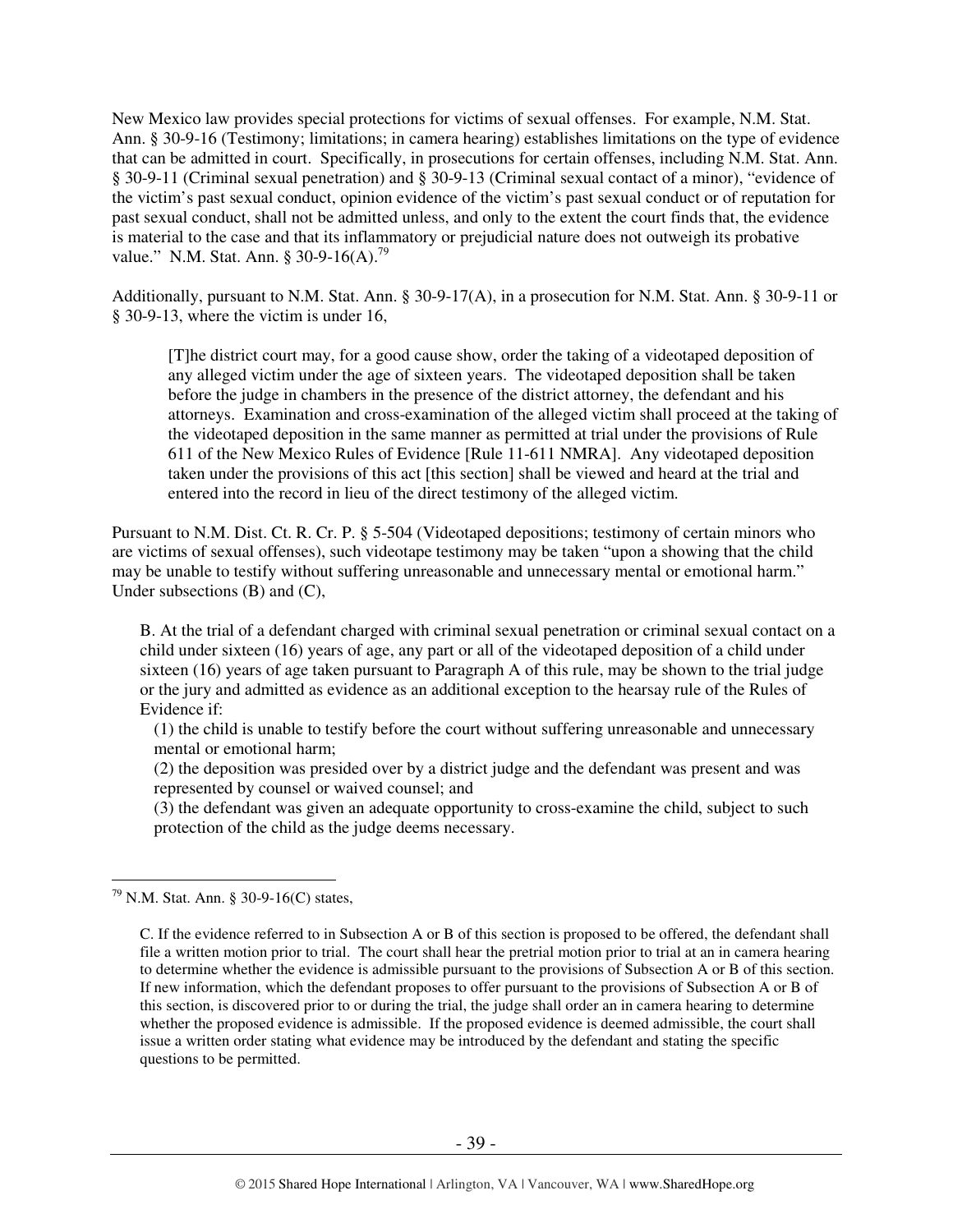New Mexico law provides special protections for victims of sexual offenses. For example, N.M. Stat. Ann. § 30-9-16 (Testimony; limitations; in camera hearing) establishes limitations on the type of evidence that can be admitted in court. Specifically, in prosecutions for certain offenses, including N.M. Stat. Ann. § 30-9-11 (Criminal sexual penetration) and § 30-9-13 (Criminal sexual contact of a minor), "evidence of the victim's past sexual conduct, opinion evidence of the victim's past sexual conduct or of reputation for past sexual conduct, shall not be admitted unless, and only to the extent the court finds that, the evidence is material to the case and that its inflammatory or prejudicial nature does not outweigh its probative value." N.M. Stat. Ann. § 30-9-16(A).<sup>79</sup>

Additionally, pursuant to N.M. Stat. Ann. § 30-9-17(A), in a prosecution for N.M. Stat. Ann. § 30-9-11 or § 30-9-13, where the victim is under 16,

[T]he district court may, for a good cause show, order the taking of a videotaped deposition of any alleged victim under the age of sixteen years. The videotaped deposition shall be taken before the judge in chambers in the presence of the district attorney, the defendant and his attorneys. Examination and cross-examination of the alleged victim shall proceed at the taking of the videotaped deposition in the same manner as permitted at trial under the provisions of Rule 611 of the New Mexico Rules of Evidence [Rule 11-611 NMRA]. Any videotaped deposition taken under the provisions of this act [this section] shall be viewed and heard at the trial and entered into the record in lieu of the direct testimony of the alleged victim.

Pursuant to N.M. Dist. Ct. R. Cr. P. § 5-504 (Videotaped depositions; testimony of certain minors who are victims of sexual offenses), such videotape testimony may be taken "upon a showing that the child may be unable to testify without suffering unreasonable and unnecessary mental or emotional harm." Under subsections (B) and (C),

B. At the trial of a defendant charged with criminal sexual penetration or criminal sexual contact on a child under sixteen (16) years of age, any part or all of the videotaped deposition of a child under sixteen (16) years of age taken pursuant to Paragraph A of this rule, may be shown to the trial judge or the jury and admitted as evidence as an additional exception to the hearsay rule of the Rules of Evidence if:

(1) the child is unable to testify before the court without suffering unreasonable and unnecessary mental or emotional harm;

(2) the deposition was presided over by a district judge and the defendant was present and was represented by counsel or waived counsel; and

(3) the defendant was given an adequate opportunity to cross-examine the child, subject to such protection of the child as the judge deems necessary.

 $79$  N.M. Stat. Ann. § 30-9-16(C) states,

C. If the evidence referred to in Subsection A or B of this section is proposed to be offered, the defendant shall file a written motion prior to trial. The court shall hear the pretrial motion prior to trial at an in camera hearing to determine whether the evidence is admissible pursuant to the provisions of Subsection A or B of this section. If new information, which the defendant proposes to offer pursuant to the provisions of Subsection A or B of this section, is discovered prior to or during the trial, the judge shall order an in camera hearing to determine whether the proposed evidence is admissible. If the proposed evidence is deemed admissible, the court shall issue a written order stating what evidence may be introduced by the defendant and stating the specific questions to be permitted.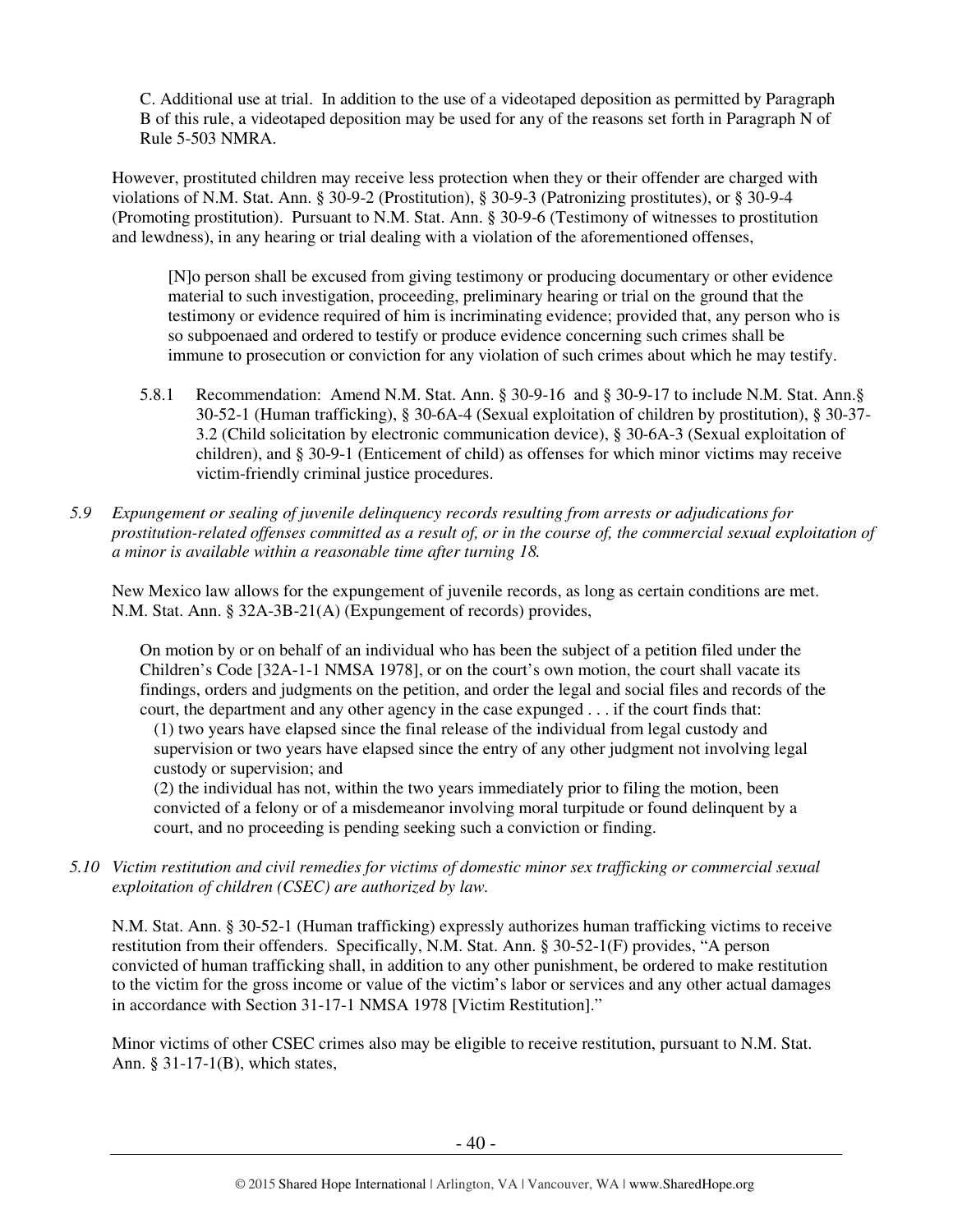C. Additional use at trial. In addition to the use of a videotaped deposition as permitted by Paragraph B of this rule, a videotaped deposition may be used for any of the reasons set forth in Paragraph N of Rule 5-503 NMRA.

However, prostituted children may receive less protection when they or their offender are charged with violations of N.M. Stat. Ann. § 30-9-2 (Prostitution), § 30-9-3 (Patronizing prostitutes), or § 30-9-4 (Promoting prostitution). Pursuant to N.M. Stat. Ann. § 30-9-6 (Testimony of witnesses to prostitution and lewdness), in any hearing or trial dealing with a violation of the aforementioned offenses,

[N]o person shall be excused from giving testimony or producing documentary or other evidence material to such investigation, proceeding, preliminary hearing or trial on the ground that the testimony or evidence required of him is incriminating evidence; provided that, any person who is so subpoenaed and ordered to testify or produce evidence concerning such crimes shall be immune to prosecution or conviction for any violation of such crimes about which he may testify.

- 5.8.1 Recommendation: Amend N.M. Stat. Ann. § 30-9-16 and § 30-9-17 to include N.M. Stat. Ann.§ 30-52-1 (Human trafficking), § 30-6A-4 (Sexual exploitation of children by prostitution), § 30-37- 3.2 (Child solicitation by electronic communication device), § 30-6A-3 (Sexual exploitation of children), and § 30-9-1 (Enticement of child) as offenses for which minor victims may receive victim-friendly criminal justice procedures.
- *5.9 Expungement or sealing of juvenile delinquency records resulting from arrests or adjudications for prostitution-related offenses committed as a result of, or in the course of, the commercial sexual exploitation of a minor is available within a reasonable time after turning 18.*

New Mexico law allows for the expungement of juvenile records, as long as certain conditions are met. N.M. Stat. Ann. § 32A-3B-21(A) (Expungement of records) provides,

On motion by or on behalf of an individual who has been the subject of a petition filed under the Children's Code [32A-1-1 NMSA 1978], or on the court's own motion, the court shall vacate its findings, orders and judgments on the petition, and order the legal and social files and records of the court, the department and any other agency in the case expunged . . . if the court finds that:

(1) two years have elapsed since the final release of the individual from legal custody and supervision or two years have elapsed since the entry of any other judgment not involving legal custody or supervision; and

(2) the individual has not, within the two years immediately prior to filing the motion, been convicted of a felony or of a misdemeanor involving moral turpitude or found delinquent by a court, and no proceeding is pending seeking such a conviction or finding.

*5.10 Victim restitution and civil remedies for victims of domestic minor sex trafficking or commercial sexual exploitation of children (CSEC) are authorized by law.* 

N.M. Stat. Ann. § 30-52-1 (Human trafficking) expressly authorizes human trafficking victims to receive restitution from their offenders. Specifically, N.M. Stat. Ann. § 30-52-1(F) provides, "A person convicted of human trafficking shall, in addition to any other punishment, be ordered to make restitution to the victim for the gross income or value of the victim's labor or services and any other actual damages in accordance with Section 31-17-1 NMSA 1978 [Victim Restitution]."

Minor victims of other CSEC crimes also may be eligible to receive restitution, pursuant to N.M. Stat. Ann. § 31-17-1(B), which states,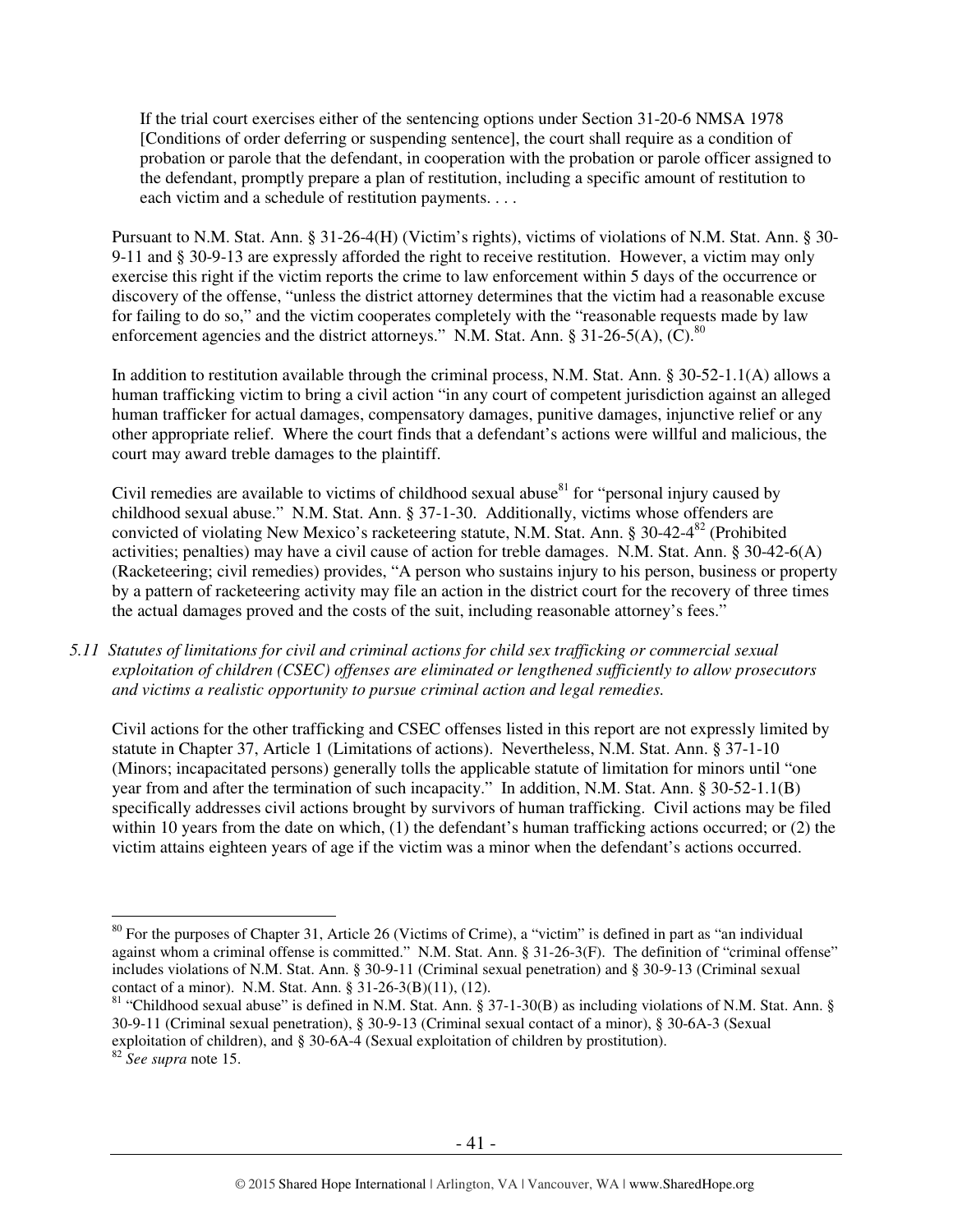If the trial court exercises either of the sentencing options under Section 31-20-6 NMSA 1978 [Conditions of order deferring or suspending sentence], the court shall require as a condition of probation or parole that the defendant, in cooperation with the probation or parole officer assigned to the defendant, promptly prepare a plan of restitution, including a specific amount of restitution to each victim and a schedule of restitution payments. . . .

Pursuant to N.M. Stat. Ann. § 31-26-4(H) (Victim's rights), victims of violations of N.M. Stat. Ann. § 30- 9-11 and § 30-9-13 are expressly afforded the right to receive restitution. However, a victim may only exercise this right if the victim reports the crime to law enforcement within 5 days of the occurrence or discovery of the offense, "unless the district attorney determines that the victim had a reasonable excuse for failing to do so," and the victim cooperates completely with the "reasonable requests made by law enforcement agencies and the district attorneys." N.M. Stat. Ann. § 31-26-5(A),  $(C)$ .<sup>80</sup>

In addition to restitution available through the criminal process, N.M. Stat. Ann. § 30-52-1.1(A) allows a human trafficking victim to bring a civil action "in any court of competent jurisdiction against an alleged human trafficker for actual damages, compensatory damages, punitive damages, injunctive relief or any other appropriate relief. Where the court finds that a defendant's actions were willful and malicious, the court may award treble damages to the plaintiff.

Civil remedies are available to victims of childhood sexual abuse $^{81}$  for "personal injury caused by childhood sexual abuse." N.M. Stat. Ann. § 37-1-30. Additionally, victims whose offenders are convicted of violating New Mexico's racketeering statute, N.M. Stat. Ann. § 30-42-4<sup>82</sup> (Prohibited activities; penalties) may have a civil cause of action for treble damages. N.M. Stat. Ann. § 30-42-6(A) (Racketeering; civil remedies) provides, "A person who sustains injury to his person, business or property by a pattern of racketeering activity may file an action in the district court for the recovery of three times the actual damages proved and the costs of the suit, including reasonable attorney's fees."

*5.11 Statutes of limitations for civil and criminal actions for child sex trafficking or commercial sexual exploitation of children (CSEC) offenses are eliminated or lengthened sufficiently to allow prosecutors and victims a realistic opportunity to pursue criminal action and legal remedies.* 

Civil actions for the other trafficking and CSEC offenses listed in this report are not expressly limited by statute in Chapter 37, Article 1 (Limitations of actions). Nevertheless, N.M. Stat. Ann. § 37-1-10 (Minors; incapacitated persons) generally tolls the applicable statute of limitation for minors until "one year from and after the termination of such incapacity." In addition, N.M. Stat. Ann. § 30-52-1.1(B) specifically addresses civil actions brought by survivors of human trafficking. Civil actions may be filed within 10 years from the date on which, (1) the defendant's human trafficking actions occurred; or (2) the victim attains eighteen years of age if the victim was a minor when the defendant's actions occurred.

 $80$  For the purposes of Chapter 31, Article 26 (Victims of Crime), a "victim" is defined in part as "an individual against whom a criminal offense is committed." N.M. Stat. Ann. § 31-26-3(F). The definition of "criminal offense" includes violations of N.M. Stat. Ann. § 30-9-11 (Criminal sexual penetration) and § 30-9-13 (Criminal sexual contact of a minor). N.M. Stat. Ann. § 31-26-3(B)(11), (12).

<sup>&</sup>lt;sup>81</sup> "Childhood sexual abuse" is defined in N.M. Stat. Ann. § 37-1-30(B) as including violations of N.M. Stat. Ann. § 30-9-11 (Criminal sexual penetration), § 30-9-13 (Criminal sexual contact of a minor), § 30-6A-3 (Sexual exploitation of children), and § 30-6A-4 (Sexual exploitation of children by prostitution). <sup>82</sup> *See supra* note 15.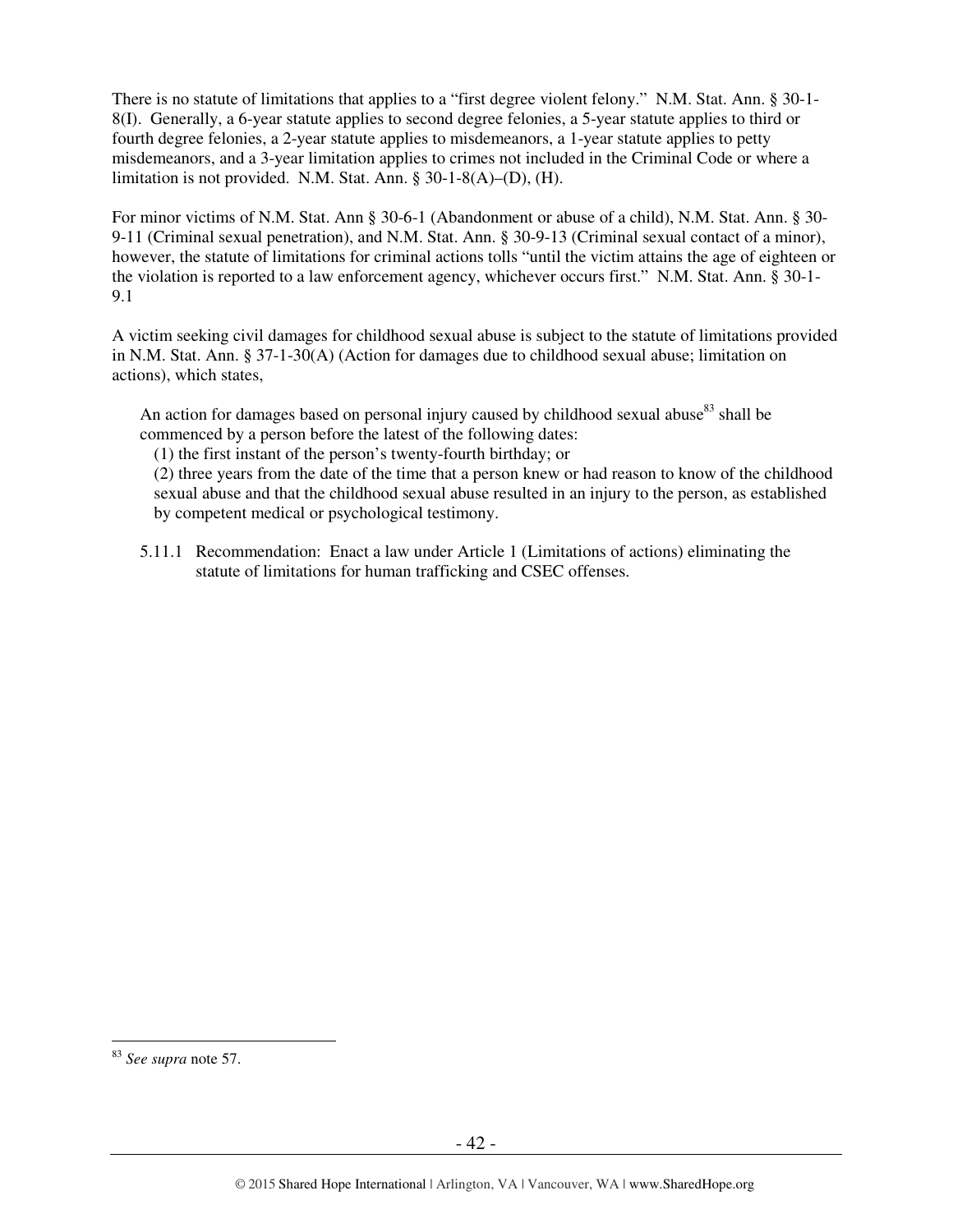There is no statute of limitations that applies to a "first degree violent felony." N.M. Stat. Ann. § 30-1- 8(I). Generally, a 6-year statute applies to second degree felonies, a 5-year statute applies to third or fourth degree felonies, a 2-year statute applies to misdemeanors, a 1-year statute applies to petty misdemeanors, and a 3-year limitation applies to crimes not included in the Criminal Code or where a limitation is not provided. N.M. Stat. Ann. § 30-1-8(A)–(D), (H).

For minor victims of N.M. Stat. Ann § 30-6-1 (Abandonment or abuse of a child), N.M. Stat. Ann. § 30- 9-11 (Criminal sexual penetration), and N.M. Stat. Ann. § 30-9-13 (Criminal sexual contact of a minor), however, the statute of limitations for criminal actions tolls "until the victim attains the age of eighteen or the violation is reported to a law enforcement agency, whichever occurs first." N.M. Stat. Ann. § 30-1- 9.1

A victim seeking civil damages for childhood sexual abuse is subject to the statute of limitations provided in N.M. Stat. Ann. § 37-1-30(A) (Action for damages due to childhood sexual abuse; limitation on actions), which states,

An action for damages based on personal injury caused by childhood sexual abuse $83$  shall be commenced by a person before the latest of the following dates:

(1) the first instant of the person's twenty-fourth birthday; or

(2) three years from the date of the time that a person knew or had reason to know of the childhood sexual abuse and that the childhood sexual abuse resulted in an injury to the person, as established by competent medical or psychological testimony.

5.11.1 Recommendation: Enact a law under Article 1 (Limitations of actions) eliminating the statute of limitations for human trafficking and CSEC offenses.

<sup>83</sup> *See supra* note 57.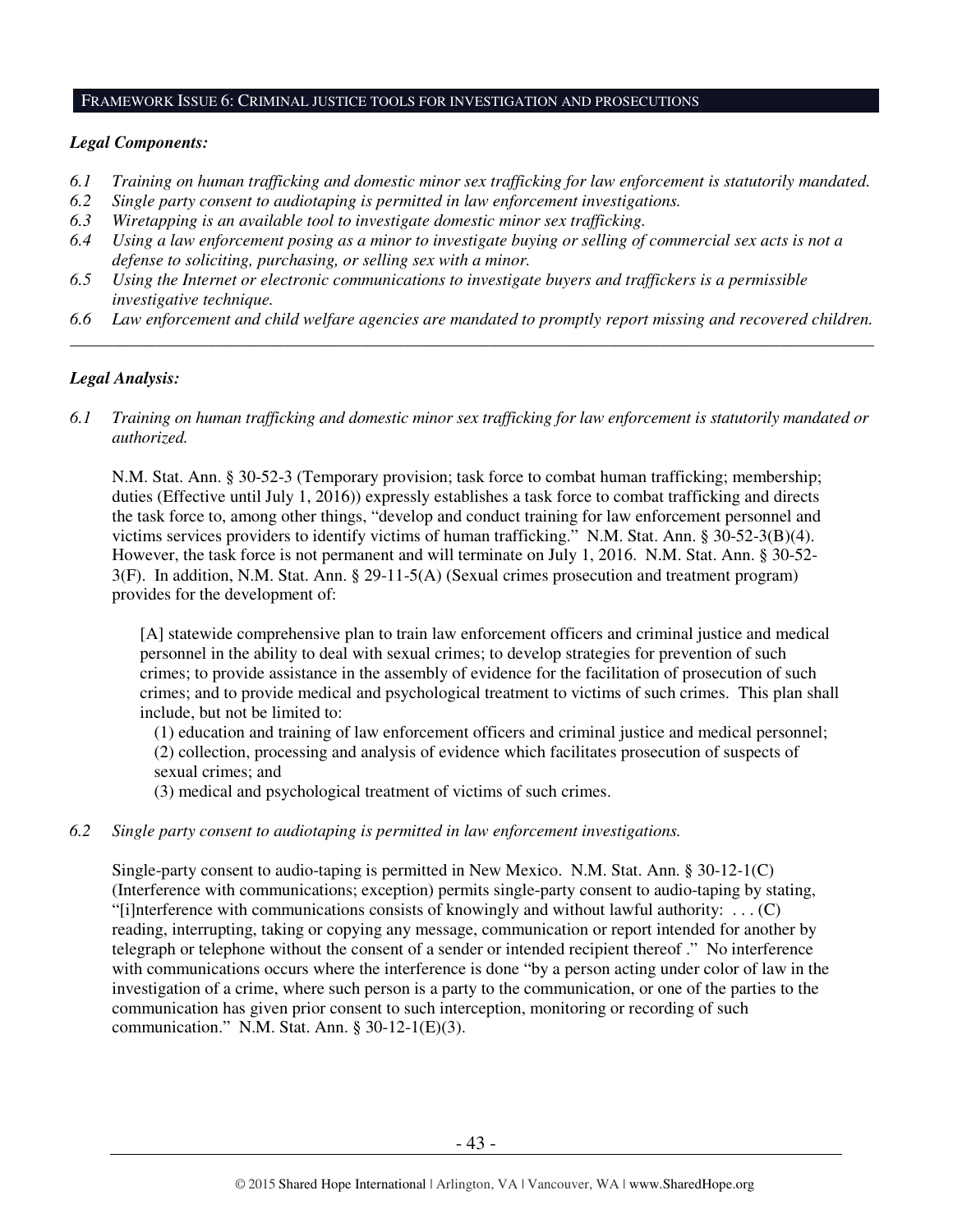#### FRAMEWORK ISSUE 6: CRIMINAL JUSTICE TOOLS FOR INVESTIGATION AND PROSECUTIONS

#### *Legal Components:*

- *6.1 Training on human trafficking and domestic minor sex trafficking for law enforcement is statutorily mandated.*
- *6.2 Single party consent to audiotaping is permitted in law enforcement investigations.*
- *6.3 Wiretapping is an available tool to investigate domestic minor sex trafficking.*
- *6.4 Using a law enforcement posing as a minor to investigate buying or selling of commercial sex acts is not a defense to soliciting, purchasing, or selling sex with a minor.*
- *6.5 Using the Internet or electronic communications to investigate buyers and traffickers is a permissible investigative technique.*
- *6.6 Law enforcement and child welfare agencies are mandated to promptly report missing and recovered children. \_\_\_\_\_\_\_\_\_\_\_\_\_\_\_\_\_\_\_\_\_\_\_\_\_\_\_\_\_\_\_\_\_\_\_\_\_\_\_\_\_\_\_\_\_\_\_\_\_\_\_\_\_\_\_\_\_\_\_\_\_\_\_\_\_\_\_\_\_\_\_\_\_\_\_\_\_\_\_\_\_\_\_\_\_\_\_\_\_\_\_\_\_\_*

## *Legal Analysis:*

*6.1 Training on human trafficking and domestic minor sex trafficking for law enforcement is statutorily mandated or authorized.* 

N.M. Stat. Ann. § 30-52-3 (Temporary provision; task force to combat human trafficking; membership; duties (Effective until July 1, 2016)) expressly establishes a task force to combat trafficking and directs the task force to, among other things, "develop and conduct training for law enforcement personnel and victims services providers to identify victims of human trafficking." N.M. Stat. Ann. § 30-52-3(B)(4). However, the task force is not permanent and will terminate on July 1, 2016. N.M. Stat. Ann. § 30-52- 3(F). In addition, N.M. Stat. Ann. § 29-11-5(A) (Sexual crimes prosecution and treatment program) provides for the development of:

[A] statewide comprehensive plan to train law enforcement officers and criminal justice and medical personnel in the ability to deal with sexual crimes; to develop strategies for prevention of such crimes; to provide assistance in the assembly of evidence for the facilitation of prosecution of such crimes; and to provide medical and psychological treatment to victims of such crimes. This plan shall include, but not be limited to:

(1) education and training of law enforcement officers and criminal justice and medical personnel; (2) collection, processing and analysis of evidence which facilitates prosecution of suspects of sexual crimes; and

(3) medical and psychological treatment of victims of such crimes.

#### *6.2 Single party consent to audiotaping is permitted in law enforcement investigations.*

Single-party consent to audio-taping is permitted in New Mexico. N.M. Stat. Ann. § 30-12-1(C) (Interference with communications; exception) permits single-party consent to audio-taping by stating, "[i]nterference with communications consists of knowingly and without lawful authority:  $\dots$  (C) reading, interrupting, taking or copying any message, communication or report intended for another by telegraph or telephone without the consent of a sender or intended recipient thereof ." No interference with communications occurs where the interference is done "by a person acting under color of law in the investigation of a crime, where such person is a party to the communication, or one of the parties to the communication has given prior consent to such interception, monitoring or recording of such communication." N.M. Stat. Ann. § 30-12-1(E)(3).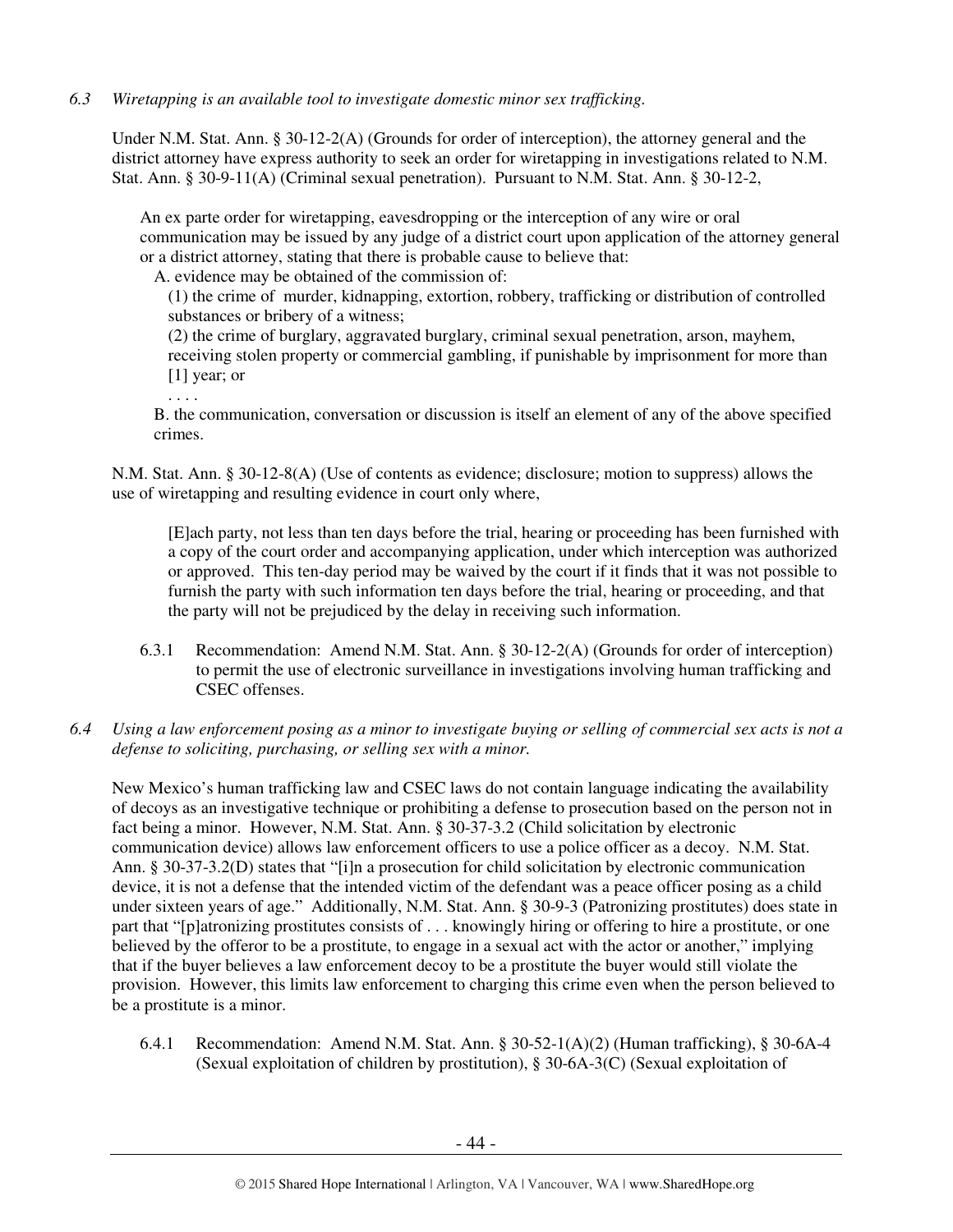## *6.3 Wiretapping is an available tool to investigate domestic minor sex trafficking.*

Under N.M. Stat. Ann. § 30-12-2(A) (Grounds for order of interception), the attorney general and the district attorney have express authority to seek an order for wiretapping in investigations related to N.M. Stat. Ann. § 30-9-11(A) (Criminal sexual penetration). Pursuant to N.M. Stat. Ann. § 30-12-2,

An ex parte order for wiretapping, eavesdropping or the interception of any wire or oral communication may be issued by any judge of a district court upon application of the attorney general or a district attorney, stating that there is probable cause to believe that:

A. evidence may be obtained of the commission of:

(1) the crime of murder, kidnapping, extortion, robbery, trafficking or distribution of controlled substances or bribery of a witness;

(2) the crime of burglary, aggravated burglary, criminal sexual penetration, arson, mayhem, receiving stolen property or commercial gambling, if punishable by imprisonment for more than [1] year; or

. . . .

B. the communication, conversation or discussion is itself an element of any of the above specified crimes.

N.M. Stat. Ann. § 30-12-8(A) (Use of contents as evidence; disclosure; motion to suppress) allows the use of wiretapping and resulting evidence in court only where,

[E]ach party, not less than ten days before the trial, hearing or proceeding has been furnished with a copy of the court order and accompanying application, under which interception was authorized or approved. This ten-day period may be waived by the court if it finds that it was not possible to furnish the party with such information ten days before the trial, hearing or proceeding, and that the party will not be prejudiced by the delay in receiving such information.

- 6.3.1 Recommendation: Amend N.M. Stat. Ann. § 30-12-2(A) (Grounds for order of interception) to permit the use of electronic surveillance in investigations involving human trafficking and CSEC offenses.
- *6.4 Using a law enforcement posing as a minor to investigate buying or selling of commercial sex acts is not a defense to soliciting, purchasing, or selling sex with a minor.*

New Mexico's human trafficking law and CSEC laws do not contain language indicating the availability of decoys as an investigative technique or prohibiting a defense to prosecution based on the person not in fact being a minor. However, N.M. Stat. Ann. § 30-37-3.2 (Child solicitation by electronic communication device) allows law enforcement officers to use a police officer as a decoy. N.M. Stat. Ann. § 30-37-3.2(D) states that "[i]n a prosecution for child solicitation by electronic communication device, it is not a defense that the intended victim of the defendant was a peace officer posing as a child under sixteen years of age." Additionally, N.M. Stat. Ann. § 30-9-3 (Patronizing prostitutes) does state in part that "[p]atronizing prostitutes consists of . . . knowingly hiring or offering to hire a prostitute, or one believed by the offeror to be a prostitute, to engage in a sexual act with the actor or another," implying that if the buyer believes a law enforcement decoy to be a prostitute the buyer would still violate the provision. However, this limits law enforcement to charging this crime even when the person believed to be a prostitute is a minor.

6.4.1 Recommendation: Amend N.M. Stat. Ann. § 30-52-1(A)(2) (Human trafficking), § 30-6A-4 (Sexual exploitation of children by prostitution), § 30-6A-3(C) (Sexual exploitation of